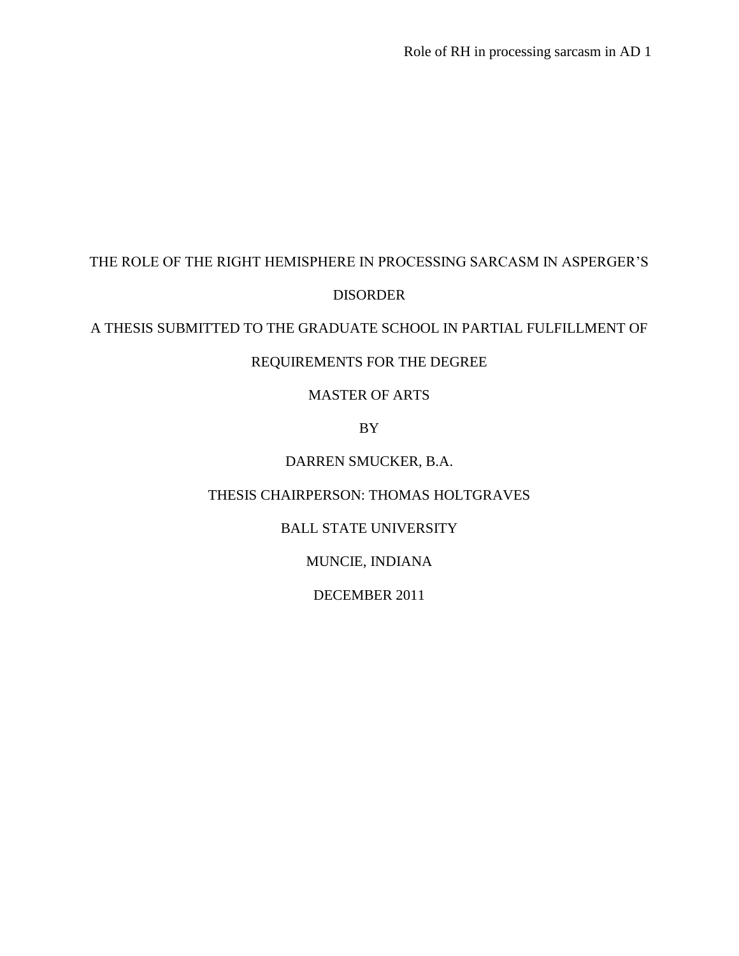# THE ROLE OF THE RIGHT HEMISPHERE IN PROCESSING SARCASM IN ASPERGER"S DISORDER

# A THESIS SUBMITTED TO THE GRADUATE SCHOOL IN PARTIAL FULFILLMENT OF

# REQUIREMENTS FOR THE DEGREE

### MASTER OF ARTS

### BY

# DARREN SMUCKER, B.A.

### THESIS CHAIRPERSON: THOMAS HOLTGRAVES

## BALL STATE UNIVERSITY

### MUNCIE, INDIANA

### DECEMBER 2011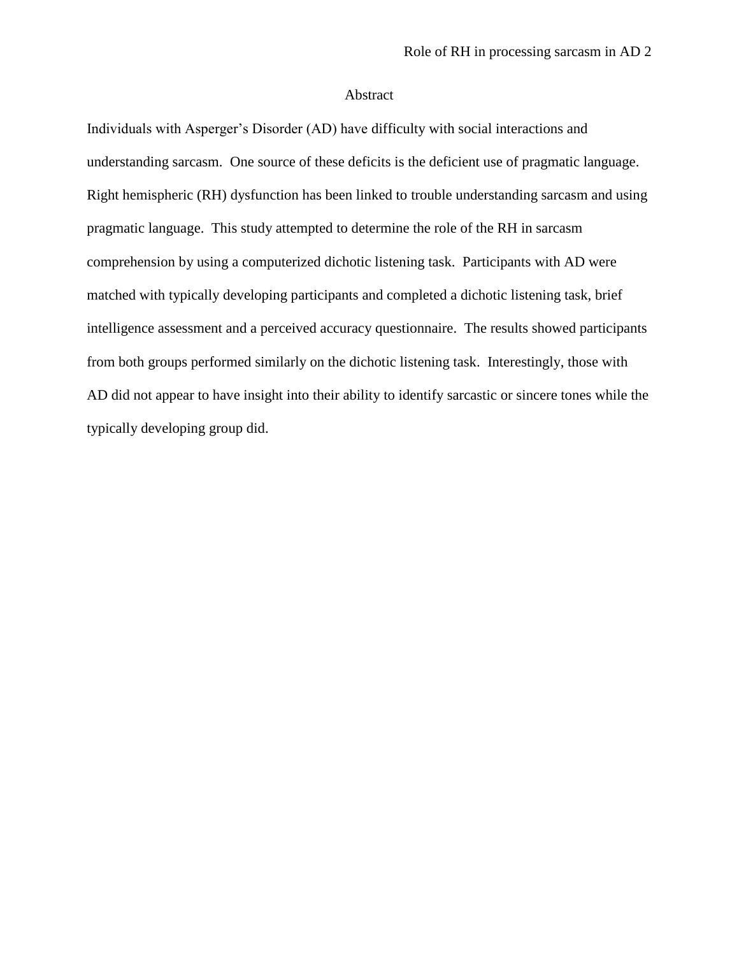#### Abstract

Individuals with Asperger"s Disorder (AD) have difficulty with social interactions and understanding sarcasm. One source of these deficits is the deficient use of pragmatic language. Right hemispheric (RH) dysfunction has been linked to trouble understanding sarcasm and using pragmatic language. This study attempted to determine the role of the RH in sarcasm comprehension by using a computerized dichotic listening task. Participants with AD were matched with typically developing participants and completed a dichotic listening task, brief intelligence assessment and a perceived accuracy questionnaire. The results showed participants from both groups performed similarly on the dichotic listening task. Interestingly, those with AD did not appear to have insight into their ability to identify sarcastic or sincere tones while the typically developing group did.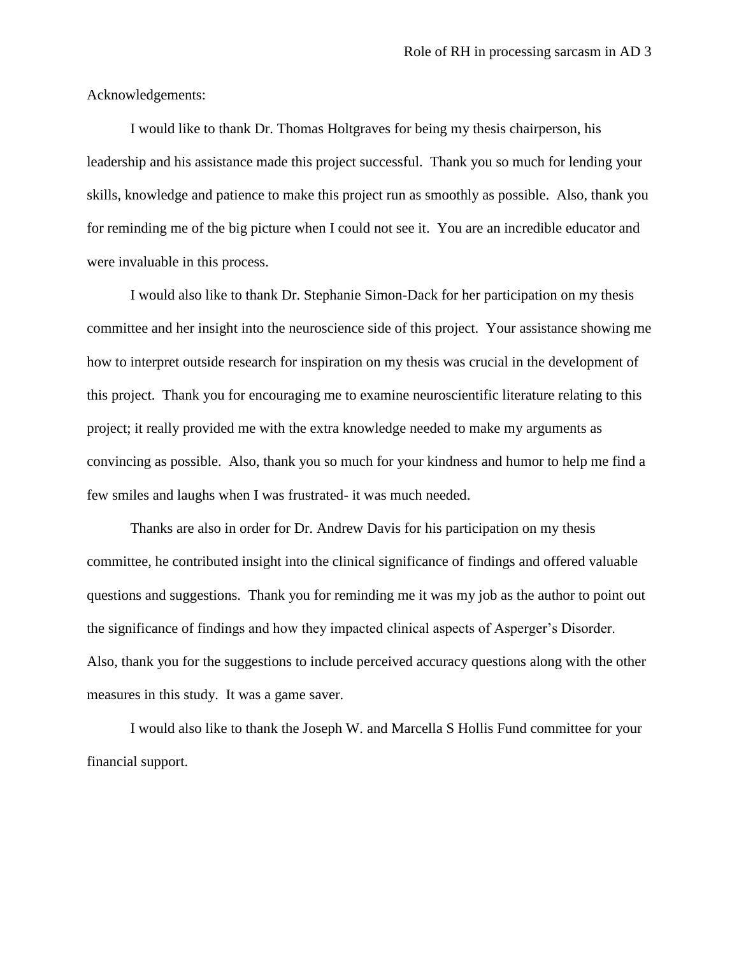Acknowledgements:

I would like to thank Dr. Thomas Holtgraves for being my thesis chairperson, his leadership and his assistance made this project successful. Thank you so much for lending your skills, knowledge and patience to make this project run as smoothly as possible. Also, thank you for reminding me of the big picture when I could not see it. You are an incredible educator and were invaluable in this process.

I would also like to thank Dr. Stephanie Simon-Dack for her participation on my thesis committee and her insight into the neuroscience side of this project. Your assistance showing me how to interpret outside research for inspiration on my thesis was crucial in the development of this project. Thank you for encouraging me to examine neuroscientific literature relating to this project; it really provided me with the extra knowledge needed to make my arguments as convincing as possible. Also, thank you so much for your kindness and humor to help me find a few smiles and laughs when I was frustrated- it was much needed.

Thanks are also in order for Dr. Andrew Davis for his participation on my thesis committee, he contributed insight into the clinical significance of findings and offered valuable questions and suggestions. Thank you for reminding me it was my job as the author to point out the significance of findings and how they impacted clinical aspects of Asperger's Disorder. Also, thank you for the suggestions to include perceived accuracy questions along with the other measures in this study. It was a game saver.

I would also like to thank the Joseph W. and Marcella S Hollis Fund committee for your financial support.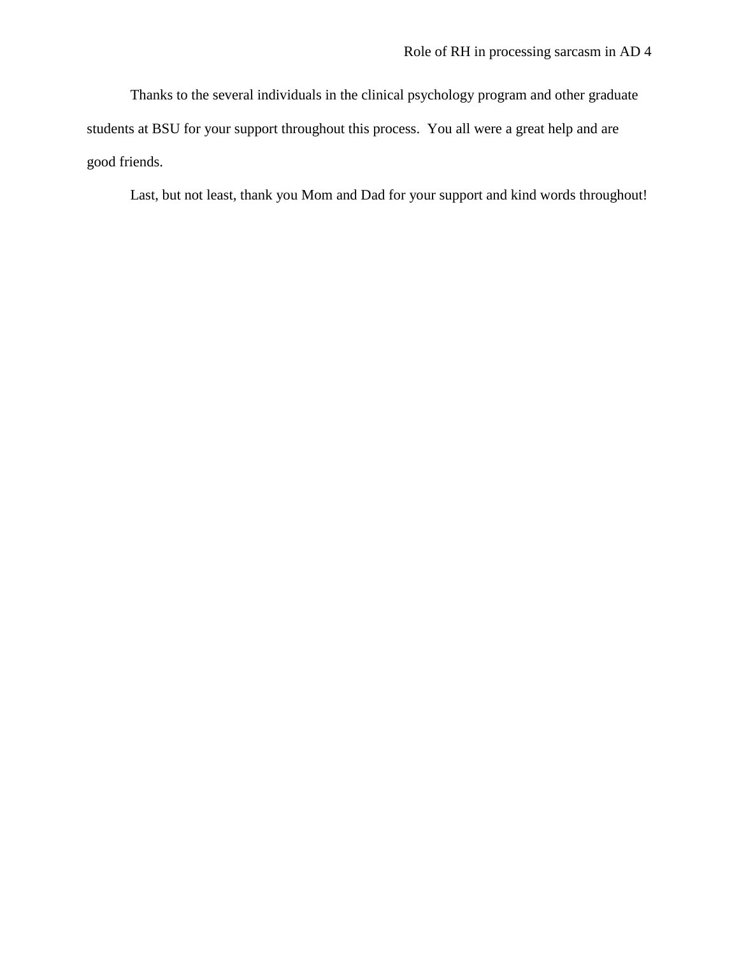Thanks to the several individuals in the clinical psychology program and other graduate students at BSU for your support throughout this process. You all were a great help and are good friends.

Last, but not least, thank you Mom and Dad for your support and kind words throughout!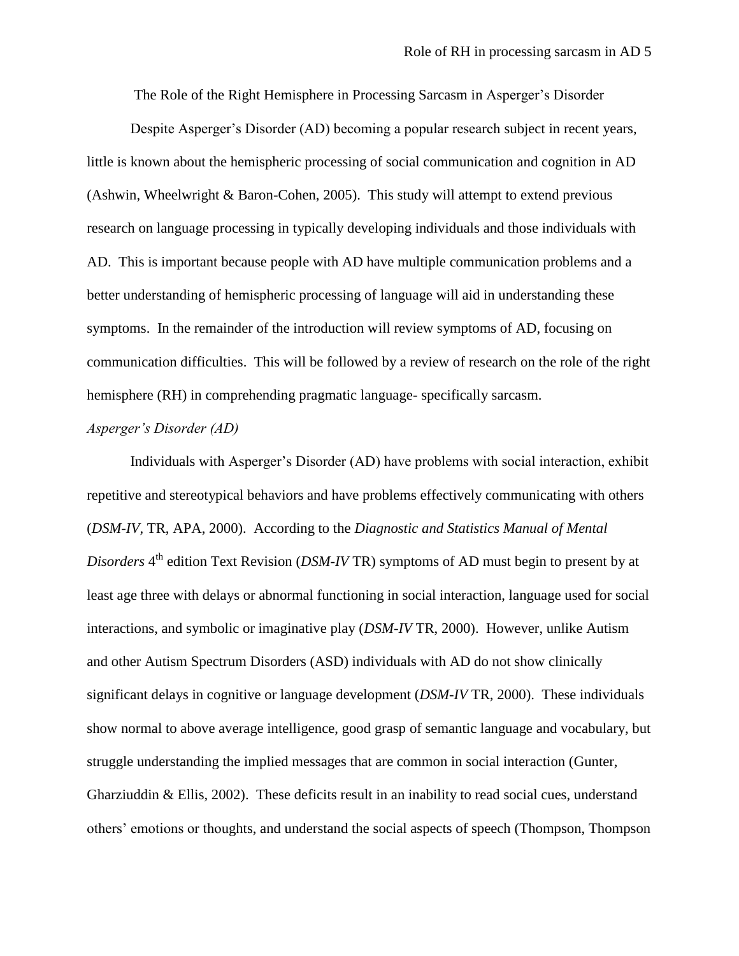The Role of the Right Hemisphere in Processing Sarcasm in Asperger"s Disorder

Despite Asperger"s Disorder (AD) becoming a popular research subject in recent years, little is known about the hemispheric processing of social communication and cognition in AD (Ashwin, Wheelwright & Baron-Cohen, 2005). This study will attempt to extend previous research on language processing in typically developing individuals and those individuals with AD. This is important because people with AD have multiple communication problems and a better understanding of hemispheric processing of language will aid in understanding these symptoms. In the remainder of the introduction will review symptoms of AD, focusing on communication difficulties. This will be followed by a review of research on the role of the right hemisphere (RH) in comprehending pragmatic language- specifically sarcasm.

#### *Asperger's Disorder (AD)*

Individuals with Asperger"s Disorder (AD) have problems with social interaction, exhibit repetitive and stereotypical behaviors and have problems effectively communicating with others (*DSM-IV,* TR, APA, 2000). According to the *Diagnostic and Statistics Manual of Mental*  Disorders 4<sup>th</sup> edition Text Revision (DSM-IV TR) symptoms of AD must begin to present by at least age three with delays or abnormal functioning in social interaction, language used for social interactions, and symbolic or imaginative play (*DSM-IV* TR, 2000). However, unlike Autism and other Autism Spectrum Disorders (ASD) individuals with AD do not show clinically significant delays in cognitive or language development (*DSM-IV* TR, 2000). These individuals show normal to above average intelligence, good grasp of semantic language and vocabulary, but struggle understanding the implied messages that are common in social interaction (Gunter, Gharziuddin & Ellis, 2002). These deficits result in an inability to read social cues, understand others" emotions or thoughts, and understand the social aspects of speech (Thompson, Thompson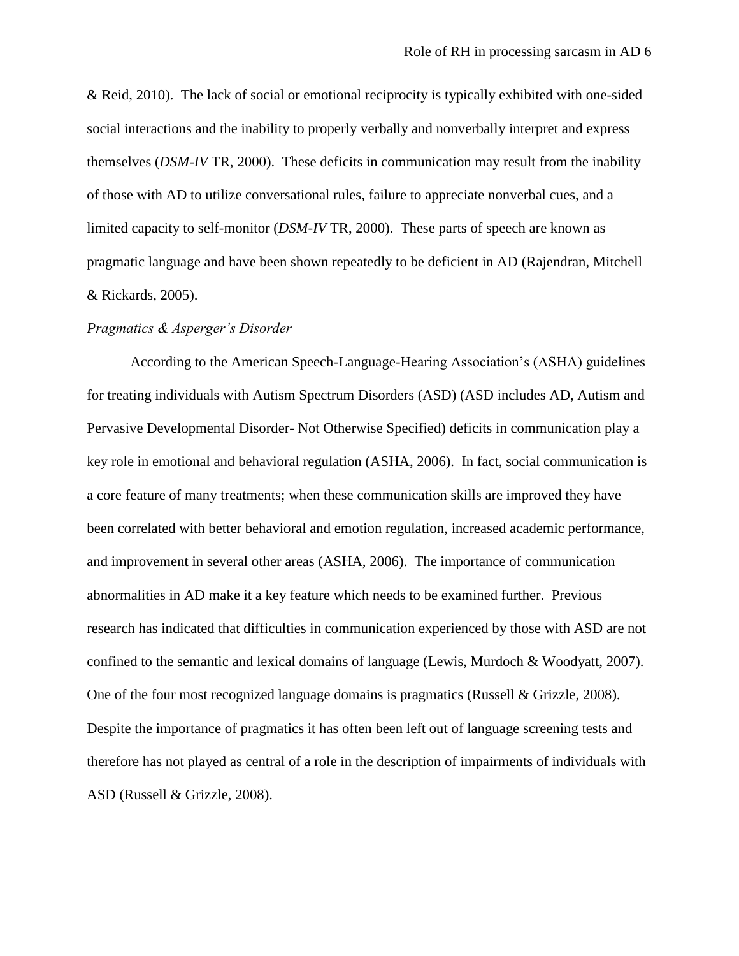& Reid, 2010). The lack of social or emotional reciprocity is typically exhibited with one-sided social interactions and the inability to properly verbally and nonverbally interpret and express themselves (*DSM-IV* TR, 2000). These deficits in communication may result from the inability of those with AD to utilize conversational rules, failure to appreciate nonverbal cues, and a limited capacity to self-monitor (*DSM-IV* TR, 2000). These parts of speech are known as pragmatic language and have been shown repeatedly to be deficient in AD (Rajendran, Mitchell & Rickards, 2005).

#### *Pragmatics & Asperger's Disorder*

According to the American Speech-Language-Hearing Association"s (ASHA) guidelines for treating individuals with Autism Spectrum Disorders (ASD) (ASD includes AD, Autism and Pervasive Developmental Disorder- Not Otherwise Specified) deficits in communication play a key role in emotional and behavioral regulation (ASHA, 2006). In fact, social communication is a core feature of many treatments; when these communication skills are improved they have been correlated with better behavioral and emotion regulation, increased academic performance, and improvement in several other areas (ASHA, 2006). The importance of communication abnormalities in AD make it a key feature which needs to be examined further. Previous research has indicated that difficulties in communication experienced by those with ASD are not confined to the semantic and lexical domains of language (Lewis, Murdoch & Woodyatt, 2007). One of the four most recognized language domains is pragmatics (Russell & Grizzle, 2008). Despite the importance of pragmatics it has often been left out of language screening tests and therefore has not played as central of a role in the description of impairments of individuals with ASD (Russell & Grizzle, 2008).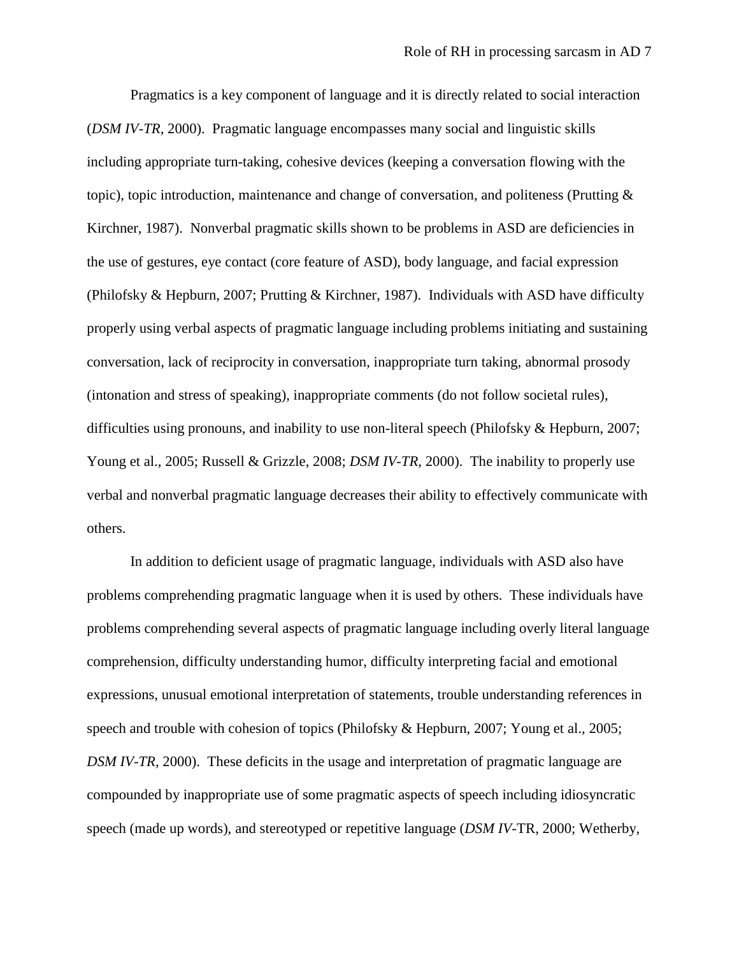Pragmatics is a key component of language and it is directly related to social interaction (*DSM IV-TR*, 2000). Pragmatic language encompasses many social and linguistic skills including appropriate turn-taking, cohesive devices (keeping a conversation flowing with the topic), topic introduction, maintenance and change of conversation, and politeness (Prutting & Kirchner, 1987). Nonverbal pragmatic skills shown to be problems in ASD are deficiencies in the use of gestures, eye contact (core feature of ASD), body language, and facial expression (Philofsky & Hepburn, 2007; Prutting & Kirchner, 1987). Individuals with ASD have difficulty properly using verbal aspects of pragmatic language including problems initiating and sustaining conversation, lack of reciprocity in conversation, inappropriate turn taking, abnormal prosody (intonation and stress of speaking), inappropriate comments (do not follow societal rules), difficulties using pronouns, and inability to use non-literal speech (Philofsky & Hepburn, 2007; Young et al., 2005; Russell & Grizzle, 2008; *DSM IV-TR*, 2000). The inability to properly use verbal and nonverbal pragmatic language decreases their ability to effectively communicate with others.

In addition to deficient usage of pragmatic language, individuals with ASD also have problems comprehending pragmatic language when it is used by others. These individuals have problems comprehending several aspects of pragmatic language including overly literal language comprehension, difficulty understanding humor, difficulty interpreting facial and emotional expressions, unusual emotional interpretation of statements, trouble understanding references in speech and trouble with cohesion of topics (Philofsky & Hepburn, 2007; Young et al., 2005; *DSM IV-TR,* 2000). These deficits in the usage and interpretation of pragmatic language are compounded by inappropriate use of some pragmatic aspects of speech including idiosyncratic speech (made up words), and stereotyped or repetitive language (*DSM IV-*TR, 2000; Wetherby,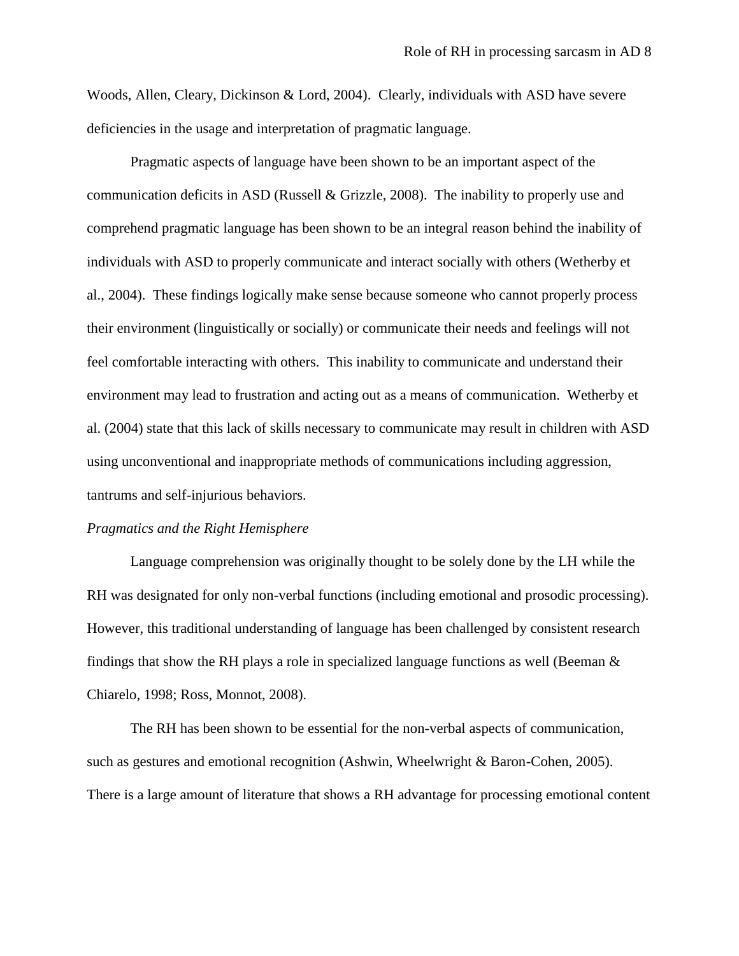Woods, Allen, Cleary, Dickinson & Lord, 2004). Clearly, individuals with ASD have severe deficiencies in the usage and interpretation of pragmatic language.

Pragmatic aspects of language have been shown to be an important aspect of the communication deficits in ASD (Russell & Grizzle, 2008). The inability to properly use and comprehend pragmatic language has been shown to be an integral reason behind the inability of individuals with ASD to properly communicate and interact socially with others (Wetherby et al., 2004). These findings logically make sense because someone who cannot properly process their environment (linguistically or socially) or communicate their needs and feelings will not feel comfortable interacting with others. This inability to communicate and understand their environment may lead to frustration and acting out as a means of communication. Wetherby et al. (2004) state that this lack of skills necessary to communicate may result in children with ASD using unconventional and inappropriate methods of communications including aggression, tantrums and self-injurious behaviors.

#### *Pragmatics and the Right Hemisphere*

Language comprehension was originally thought to be solely done by the LH while the RH was designated for only non-verbal functions (including emotional and prosodic processing). However, this traditional understanding of language has been challenged by consistent research findings that show the RH plays a role in specialized language functions as well (Beeman  $\&$ Chiarelo, 1998; Ross, Monnot, 2008).

The RH has been shown to be essential for the non-verbal aspects of communication, such as gestures and emotional recognition (Ashwin, Wheelwright & Baron-Cohen, 2005). There is a large amount of literature that shows a RH advantage for processing emotional content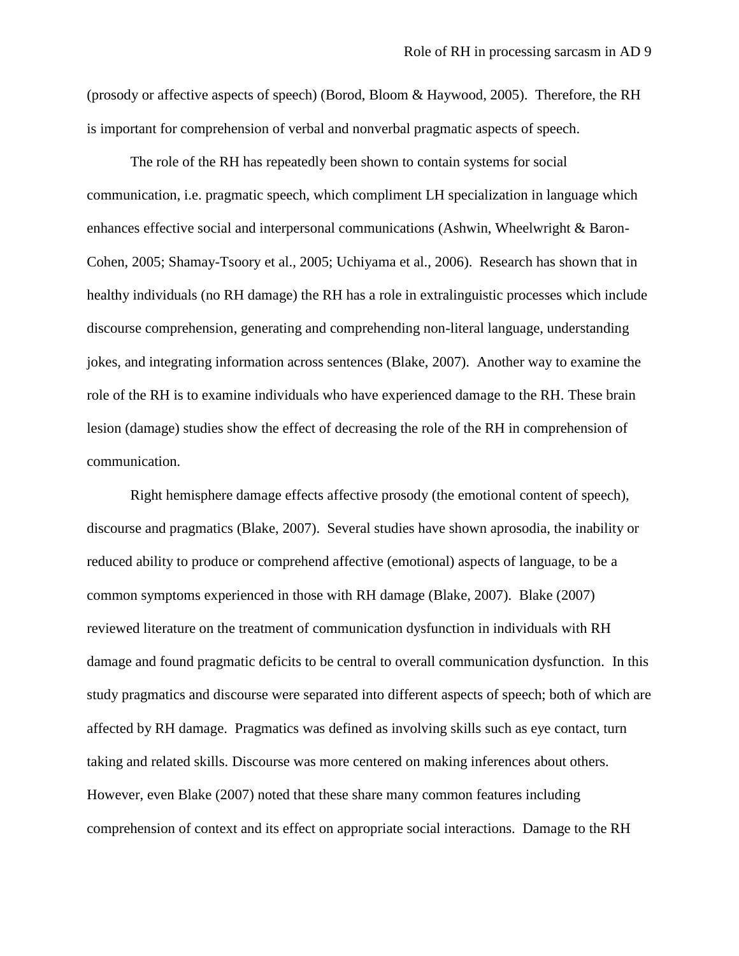(prosody or affective aspects of speech) (Borod, Bloom & Haywood, 2005). Therefore, the RH is important for comprehension of verbal and nonverbal pragmatic aspects of speech.

The role of the RH has repeatedly been shown to contain systems for social communication, i.e. pragmatic speech, which compliment LH specialization in language which enhances effective social and interpersonal communications (Ashwin, Wheelwright & Baron-Cohen, 2005; Shamay-Tsoory et al., 2005; Uchiyama et al., 2006). Research has shown that in healthy individuals (no RH damage) the RH has a role in extralinguistic processes which include discourse comprehension, generating and comprehending non-literal language, understanding jokes, and integrating information across sentences (Blake, 2007). Another way to examine the role of the RH is to examine individuals who have experienced damage to the RH. These brain lesion (damage) studies show the effect of decreasing the role of the RH in comprehension of communication.

Right hemisphere damage effects affective prosody (the emotional content of speech), discourse and pragmatics (Blake, 2007). Several studies have shown aprosodia, the inability or reduced ability to produce or comprehend affective (emotional) aspects of language, to be a common symptoms experienced in those with RH damage (Blake, 2007). Blake (2007) reviewed literature on the treatment of communication dysfunction in individuals with RH damage and found pragmatic deficits to be central to overall communication dysfunction. In this study pragmatics and discourse were separated into different aspects of speech; both of which are affected by RH damage. Pragmatics was defined as involving skills such as eye contact, turn taking and related skills. Discourse was more centered on making inferences about others. However, even Blake (2007) noted that these share many common features including comprehension of context and its effect on appropriate social interactions. Damage to the RH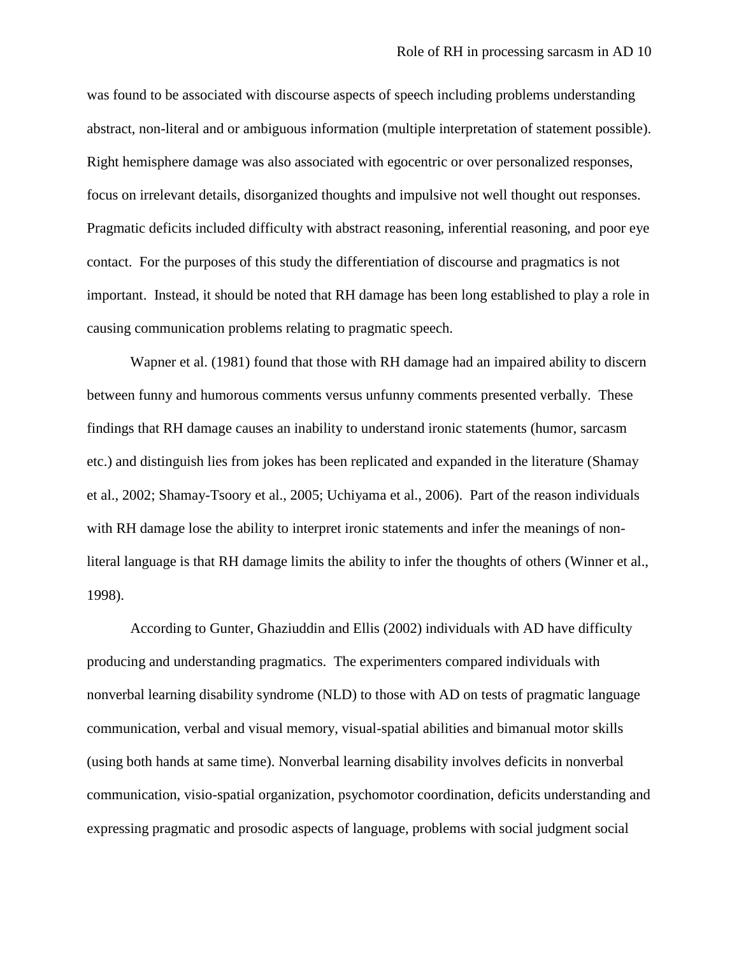was found to be associated with discourse aspects of speech including problems understanding abstract, non-literal and or ambiguous information (multiple interpretation of statement possible). Right hemisphere damage was also associated with egocentric or over personalized responses, focus on irrelevant details, disorganized thoughts and impulsive not well thought out responses. Pragmatic deficits included difficulty with abstract reasoning, inferential reasoning, and poor eye contact. For the purposes of this study the differentiation of discourse and pragmatics is not important. Instead, it should be noted that RH damage has been long established to play a role in causing communication problems relating to pragmatic speech.

Wapner et al. (1981) found that those with RH damage had an impaired ability to discern between funny and humorous comments versus unfunny comments presented verbally. These findings that RH damage causes an inability to understand ironic statements (humor, sarcasm etc.) and distinguish lies from jokes has been replicated and expanded in the literature (Shamay et al., 2002; Shamay-Tsoory et al., 2005; Uchiyama et al., 2006). Part of the reason individuals with RH damage lose the ability to interpret ironic statements and infer the meanings of nonliteral language is that RH damage limits the ability to infer the thoughts of others (Winner et al., 1998).

According to Gunter, Ghaziuddin and Ellis (2002) individuals with AD have difficulty producing and understanding pragmatics. The experimenters compared individuals with nonverbal learning disability syndrome (NLD) to those with AD on tests of pragmatic language communication, verbal and visual memory, visual-spatial abilities and bimanual motor skills (using both hands at same time). Nonverbal learning disability involves deficits in nonverbal communication, visio-spatial organization, psychomotor coordination, deficits understanding and expressing pragmatic and prosodic aspects of language, problems with social judgment social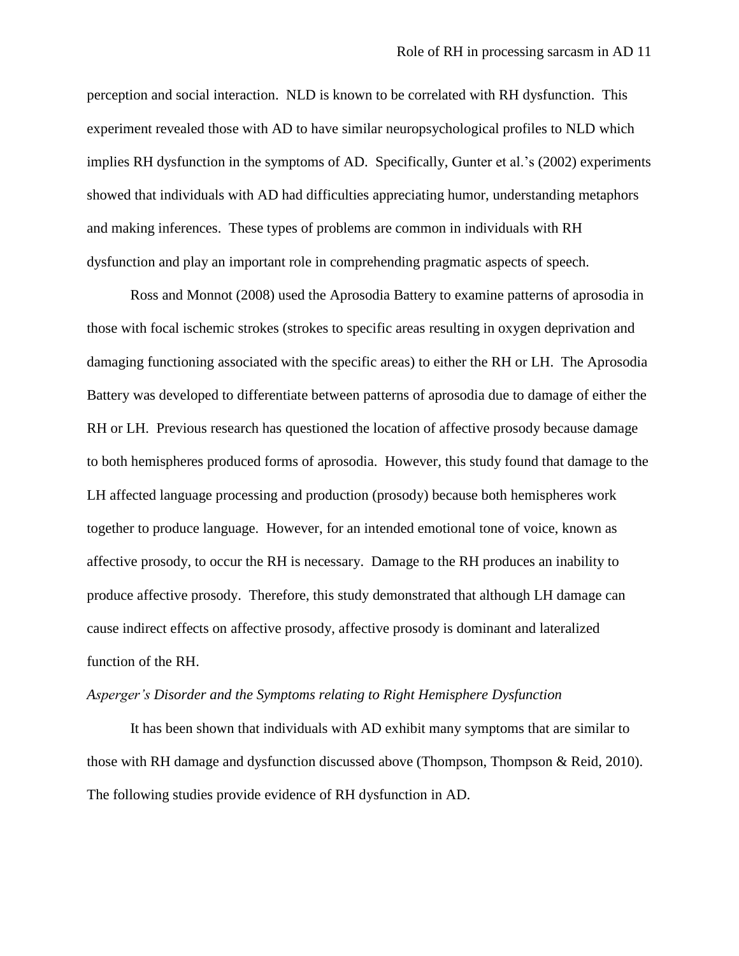perception and social interaction. NLD is known to be correlated with RH dysfunction. This experiment revealed those with AD to have similar neuropsychological profiles to NLD which implies RH dysfunction in the symptoms of AD. Specifically, Gunter et al.'s (2002) experiments showed that individuals with AD had difficulties appreciating humor, understanding metaphors and making inferences. These types of problems are common in individuals with RH dysfunction and play an important role in comprehending pragmatic aspects of speech.

Ross and Monnot (2008) used the Aprosodia Battery to examine patterns of aprosodia in those with focal ischemic strokes (strokes to specific areas resulting in oxygen deprivation and damaging functioning associated with the specific areas) to either the RH or LH. The Aprosodia Battery was developed to differentiate between patterns of aprosodia due to damage of either the RH or LH. Previous research has questioned the location of affective prosody because damage to both hemispheres produced forms of aprosodia. However, this study found that damage to the LH affected language processing and production (prosody) because both hemispheres work together to produce language. However, for an intended emotional tone of voice, known as affective prosody, to occur the RH is necessary. Damage to the RH produces an inability to produce affective prosody. Therefore, this study demonstrated that although LH damage can cause indirect effects on affective prosody, affective prosody is dominant and lateralized function of the RH.

#### *Asperger's Disorder and the Symptoms relating to Right Hemisphere Dysfunction*

It has been shown that individuals with AD exhibit many symptoms that are similar to those with RH damage and dysfunction discussed above (Thompson, Thompson & Reid, 2010). The following studies provide evidence of RH dysfunction in AD.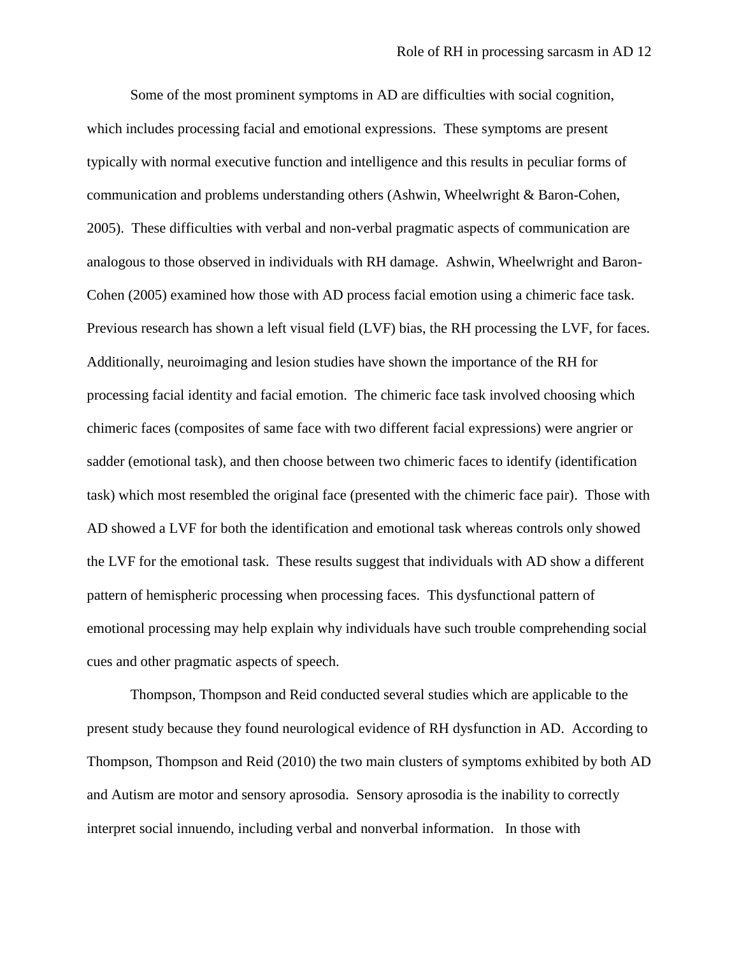Some of the most prominent symptoms in AD are difficulties with social cognition, which includes processing facial and emotional expressions. These symptoms are present typically with normal executive function and intelligence and this results in peculiar forms of communication and problems understanding others (Ashwin, Wheelwright & Baron-Cohen, 2005). These difficulties with verbal and non-verbal pragmatic aspects of communication are analogous to those observed in individuals with RH damage. Ashwin, Wheelwright and Baron-Cohen (2005) examined how those with AD process facial emotion using a chimeric face task. Previous research has shown a left visual field (LVF) bias, the RH processing the LVF, for faces. Additionally, neuroimaging and lesion studies have shown the importance of the RH for processing facial identity and facial emotion. The chimeric face task involved choosing which chimeric faces (composites of same face with two different facial expressions) were angrier or sadder (emotional task), and then choose between two chimeric faces to identify (identification task) which most resembled the original face (presented with the chimeric face pair). Those with AD showed a LVF for both the identification and emotional task whereas controls only showed the LVF for the emotional task. These results suggest that individuals with AD show a different pattern of hemispheric processing when processing faces. This dysfunctional pattern of emotional processing may help explain why individuals have such trouble comprehending social cues and other pragmatic aspects of speech.

Thompson, Thompson and Reid conducted several studies which are applicable to the present study because they found neurological evidence of RH dysfunction in AD. According to Thompson, Thompson and Reid (2010) the two main clusters of symptoms exhibited by both AD and Autism are motor and sensory aprosodia. Sensory aprosodia is the inability to correctly interpret social innuendo, including verbal and nonverbal information. In those with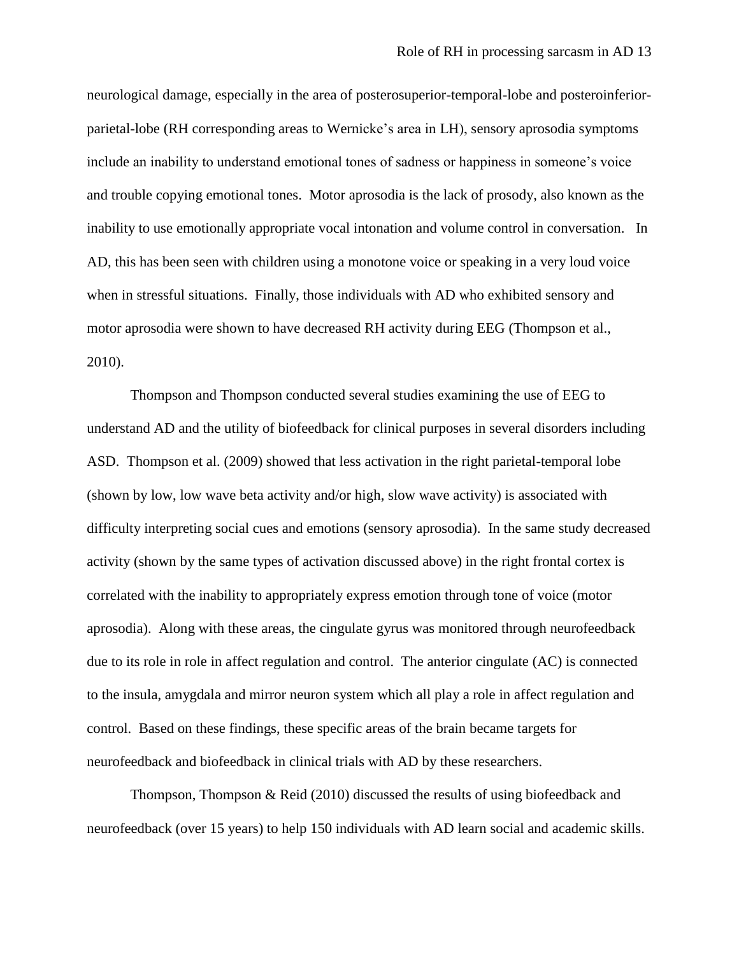neurological damage, especially in the area of posterosuperior-temporal-lobe and posteroinferiorparietal-lobe (RH corresponding areas to Wernicke"s area in LH), sensory aprosodia symptoms include an inability to understand emotional tones of sadness or happiness in someone"s voice and trouble copying emotional tones. Motor aprosodia is the lack of prosody, also known as the inability to use emotionally appropriate vocal intonation and volume control in conversation. In AD, this has been seen with children using a monotone voice or speaking in a very loud voice when in stressful situations. Finally, those individuals with AD who exhibited sensory and motor aprosodia were shown to have decreased RH activity during EEG (Thompson et al., 2010).

Thompson and Thompson conducted several studies examining the use of EEG to understand AD and the utility of biofeedback for clinical purposes in several disorders including ASD. Thompson et al. (2009) showed that less activation in the right parietal-temporal lobe (shown by low, low wave beta activity and/or high, slow wave activity) is associated with difficulty interpreting social cues and emotions (sensory aprosodia). In the same study decreased activity (shown by the same types of activation discussed above) in the right frontal cortex is correlated with the inability to appropriately express emotion through tone of voice (motor aprosodia). Along with these areas, the cingulate gyrus was monitored through neurofeedback due to its role in role in affect regulation and control. The anterior cingulate (AC) is connected to the insula, amygdala and mirror neuron system which all play a role in affect regulation and control. Based on these findings, these specific areas of the brain became targets for neurofeedback and biofeedback in clinical trials with AD by these researchers.

Thompson, Thompson & Reid (2010) discussed the results of using biofeedback and neurofeedback (over 15 years) to help 150 individuals with AD learn social and academic skills.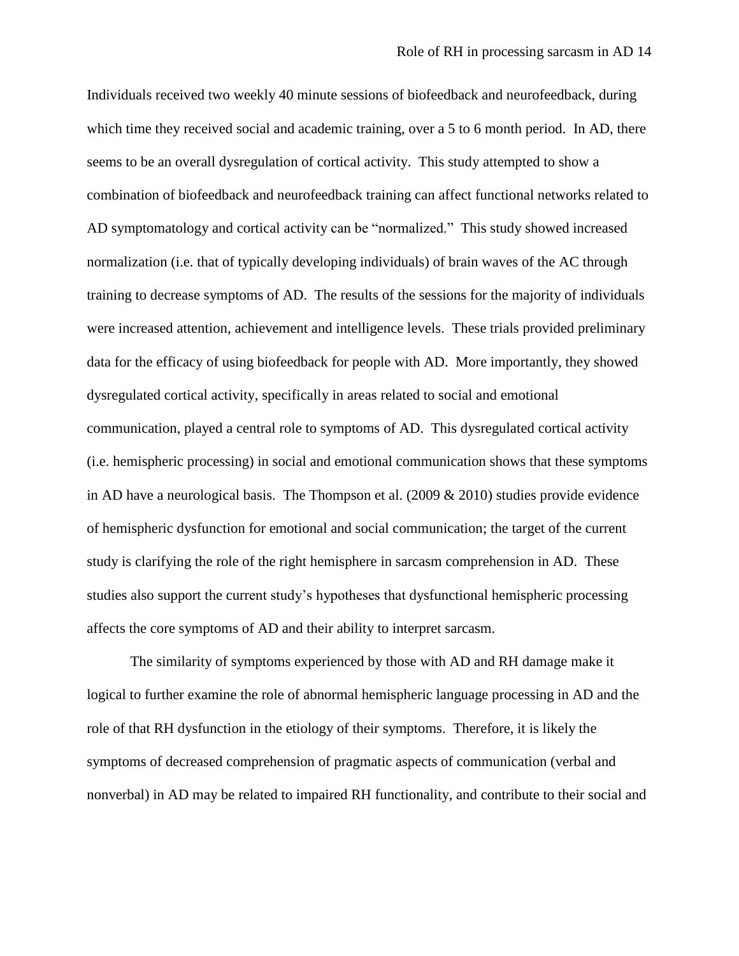Individuals received two weekly 40 minute sessions of biofeedback and neurofeedback, during which time they received social and academic training, over a 5 to 6 month period. In AD, there seems to be an overall dysregulation of cortical activity. This study attempted to show a combination of biofeedback and neurofeedback training can affect functional networks related to AD symptomatology and cortical activity can be "normalized." This study showed increased normalization (i.e. that of typically developing individuals) of brain waves of the AC through training to decrease symptoms of AD. The results of the sessions for the majority of individuals were increased attention, achievement and intelligence levels. These trials provided preliminary data for the efficacy of using biofeedback for people with AD. More importantly, they showed dysregulated cortical activity, specifically in areas related to social and emotional communication, played a central role to symptoms of AD. This dysregulated cortical activity (i.e. hemispheric processing) in social and emotional communication shows that these symptoms in AD have a neurological basis. The Thompson et al. (2009 & 2010) studies provide evidence of hemispheric dysfunction for emotional and social communication; the target of the current study is clarifying the role of the right hemisphere in sarcasm comprehension in AD. These studies also support the current study"s hypotheses that dysfunctional hemispheric processing affects the core symptoms of AD and their ability to interpret sarcasm.

The similarity of symptoms experienced by those with AD and RH damage make it logical to further examine the role of abnormal hemispheric language processing in AD and the role of that RH dysfunction in the etiology of their symptoms. Therefore, it is likely the symptoms of decreased comprehension of pragmatic aspects of communication (verbal and nonverbal) in AD may be related to impaired RH functionality, and contribute to their social and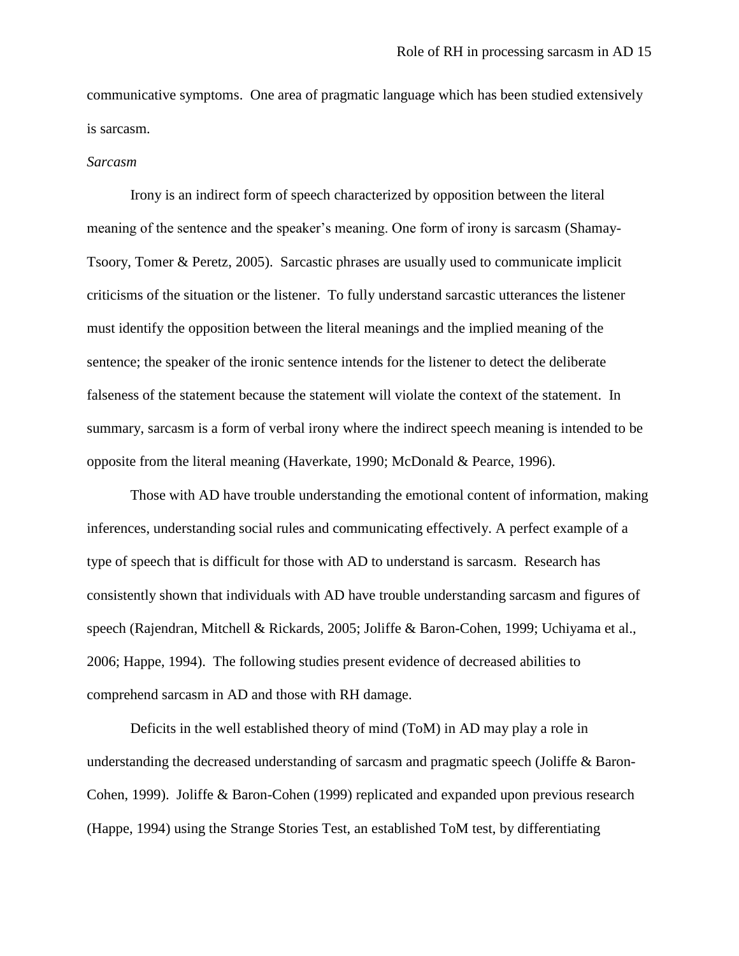communicative symptoms. One area of pragmatic language which has been studied extensively is sarcasm.

#### *Sarcasm*

Irony is an indirect form of speech characterized by opposition between the literal meaning of the sentence and the speaker's meaning. One form of irony is sarcasm (Shamay-Tsoory, Tomer & Peretz, 2005). Sarcastic phrases are usually used to communicate implicit criticisms of the situation or the listener. To fully understand sarcastic utterances the listener must identify the opposition between the literal meanings and the implied meaning of the sentence; the speaker of the ironic sentence intends for the listener to detect the deliberate falseness of the statement because the statement will violate the context of the statement. In summary, sarcasm is a form of verbal irony where the indirect speech meaning is intended to be opposite from the literal meaning (Haverkate, 1990; McDonald & Pearce, 1996).

Those with AD have trouble understanding the emotional content of information, making inferences, understanding social rules and communicating effectively. A perfect example of a type of speech that is difficult for those with AD to understand is sarcasm. Research has consistently shown that individuals with AD have trouble understanding sarcasm and figures of speech (Rajendran, Mitchell & Rickards, 2005; Joliffe & Baron-Cohen, 1999; Uchiyama et al., 2006; Happe, 1994). The following studies present evidence of decreased abilities to comprehend sarcasm in AD and those with RH damage.

Deficits in the well established theory of mind (ToM) in AD may play a role in understanding the decreased understanding of sarcasm and pragmatic speech (Joliffe & Baron-Cohen, 1999). Joliffe & Baron-Cohen (1999) replicated and expanded upon previous research (Happe, 1994) using the Strange Stories Test, an established ToM test, by differentiating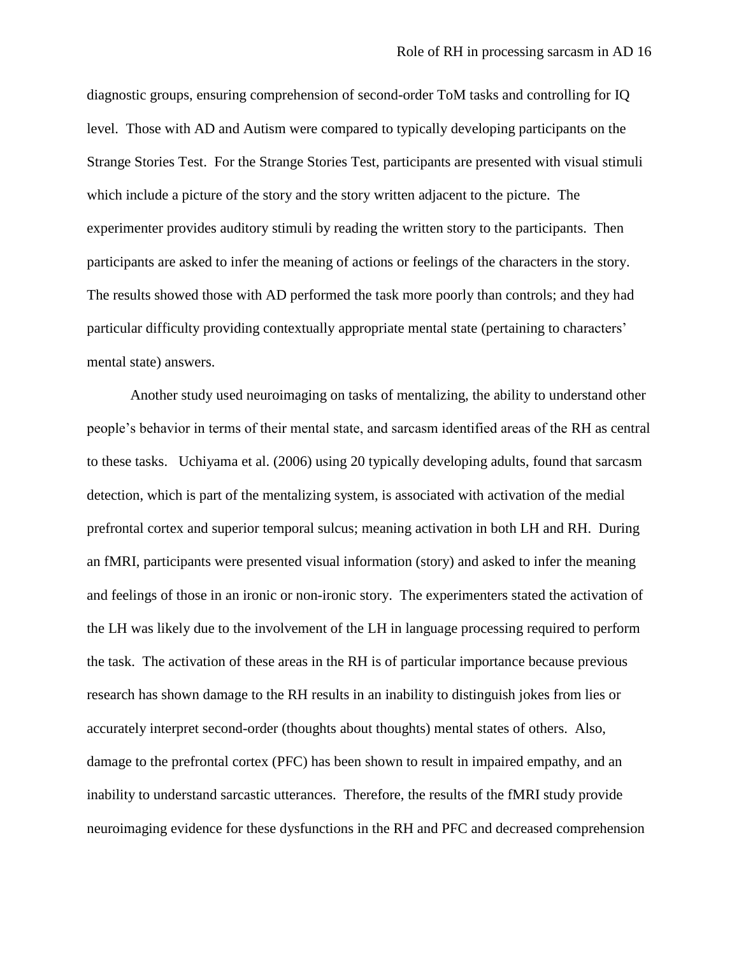diagnostic groups, ensuring comprehension of second-order ToM tasks and controlling for IQ level. Those with AD and Autism were compared to typically developing participants on the Strange Stories Test. For the Strange Stories Test, participants are presented with visual stimuli which include a picture of the story and the story written adjacent to the picture. The experimenter provides auditory stimuli by reading the written story to the participants. Then participants are asked to infer the meaning of actions or feelings of the characters in the story. The results showed those with AD performed the task more poorly than controls; and they had particular difficulty providing contextually appropriate mental state (pertaining to characters" mental state) answers.

Another study used neuroimaging on tasks of mentalizing, the ability to understand other people"s behavior in terms of their mental state, and sarcasm identified areas of the RH as central to these tasks. Uchiyama et al. (2006) using 20 typically developing adults, found that sarcasm detection, which is part of the mentalizing system, is associated with activation of the medial prefrontal cortex and superior temporal sulcus; meaning activation in both LH and RH. During an fMRI, participants were presented visual information (story) and asked to infer the meaning and feelings of those in an ironic or non-ironic story. The experimenters stated the activation of the LH was likely due to the involvement of the LH in language processing required to perform the task. The activation of these areas in the RH is of particular importance because previous research has shown damage to the RH results in an inability to distinguish jokes from lies or accurately interpret second-order (thoughts about thoughts) mental states of others. Also, damage to the prefrontal cortex (PFC) has been shown to result in impaired empathy, and an inability to understand sarcastic utterances. Therefore, the results of the fMRI study provide neuroimaging evidence for these dysfunctions in the RH and PFC and decreased comprehension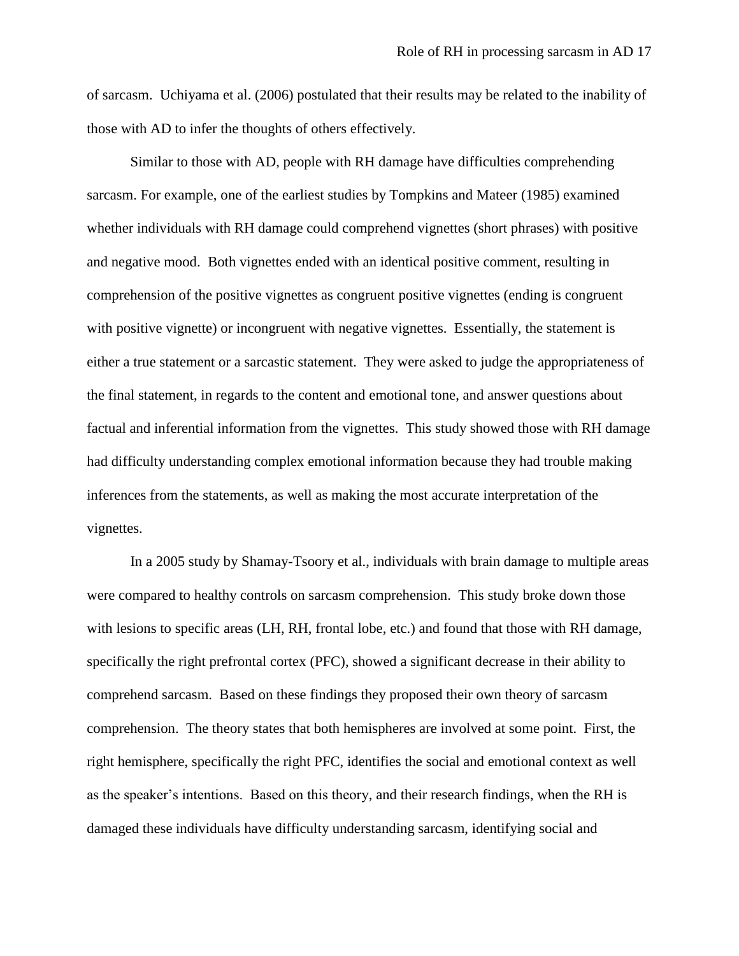of sarcasm. Uchiyama et al. (2006) postulated that their results may be related to the inability of those with AD to infer the thoughts of others effectively.

Similar to those with AD, people with RH damage have difficulties comprehending sarcasm. For example, one of the earliest studies by Tompkins and Mateer (1985) examined whether individuals with RH damage could comprehend vignettes (short phrases) with positive and negative mood. Both vignettes ended with an identical positive comment, resulting in comprehension of the positive vignettes as congruent positive vignettes (ending is congruent with positive vignette) or incongruent with negative vignettes. Essentially, the statement is either a true statement or a sarcastic statement. They were asked to judge the appropriateness of the final statement, in regards to the content and emotional tone, and answer questions about factual and inferential information from the vignettes. This study showed those with RH damage had difficulty understanding complex emotional information because they had trouble making inferences from the statements, as well as making the most accurate interpretation of the vignettes.

In a 2005 study by Shamay-Tsoory et al., individuals with brain damage to multiple areas were compared to healthy controls on sarcasm comprehension. This study broke down those with lesions to specific areas (LH, RH, frontal lobe, etc.) and found that those with RH damage, specifically the right prefrontal cortex (PFC), showed a significant decrease in their ability to comprehend sarcasm. Based on these findings they proposed their own theory of sarcasm comprehension. The theory states that both hemispheres are involved at some point. First, the right hemisphere, specifically the right PFC, identifies the social and emotional context as well as the speaker"s intentions. Based on this theory, and their research findings, when the RH is damaged these individuals have difficulty understanding sarcasm, identifying social and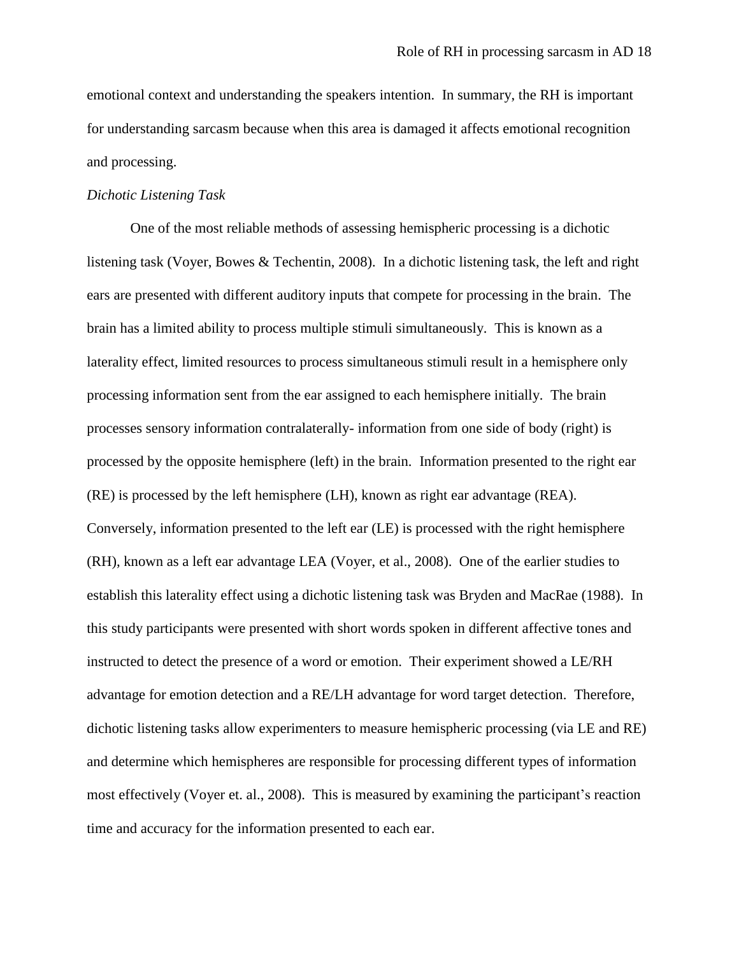emotional context and understanding the speakers intention. In summary, the RH is important for understanding sarcasm because when this area is damaged it affects emotional recognition and processing.

#### *Dichotic Listening Task*

One of the most reliable methods of assessing hemispheric processing is a dichotic listening task (Voyer, Bowes & Techentin, 2008). In a dichotic listening task, the left and right ears are presented with different auditory inputs that compete for processing in the brain. The brain has a limited ability to process multiple stimuli simultaneously. This is known as a laterality effect, limited resources to process simultaneous stimuli result in a hemisphere only processing information sent from the ear assigned to each hemisphere initially. The brain processes sensory information contralaterally- information from one side of body (right) is processed by the opposite hemisphere (left) in the brain. Information presented to the right ear (RE) is processed by the left hemisphere (LH), known as right ear advantage (REA). Conversely, information presented to the left ear (LE) is processed with the right hemisphere (RH), known as a left ear advantage LEA (Voyer, et al., 2008). One of the earlier studies to establish this laterality effect using a dichotic listening task was Bryden and MacRae (1988). In this study participants were presented with short words spoken in different affective tones and instructed to detect the presence of a word or emotion. Their experiment showed a LE/RH advantage for emotion detection and a RE/LH advantage for word target detection. Therefore, dichotic listening tasks allow experimenters to measure hemispheric processing (via LE and RE) and determine which hemispheres are responsible for processing different types of information most effectively (Voyer et. al., 2008). This is measured by examining the participant's reaction time and accuracy for the information presented to each ear.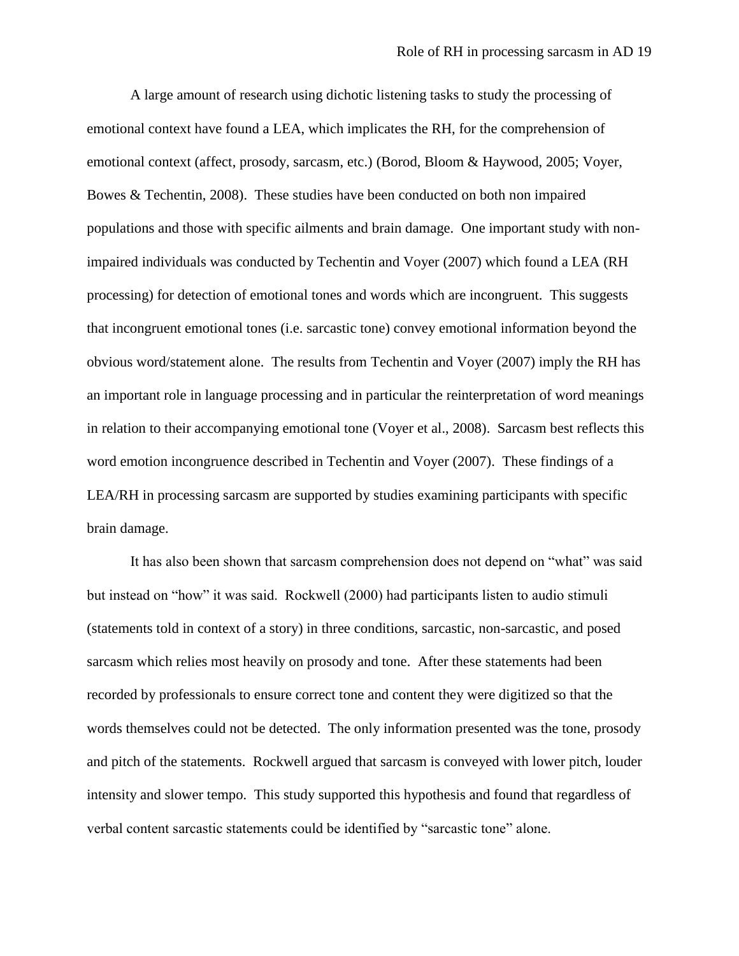A large amount of research using dichotic listening tasks to study the processing of emotional context have found a LEA, which implicates the RH, for the comprehension of emotional context (affect, prosody, sarcasm, etc.) (Borod, Bloom & Haywood, 2005; Voyer, Bowes & Techentin, 2008). These studies have been conducted on both non impaired populations and those with specific ailments and brain damage. One important study with nonimpaired individuals was conducted by Techentin and Voyer (2007) which found a LEA (RH processing) for detection of emotional tones and words which are incongruent. This suggests that incongruent emotional tones (i.e. sarcastic tone) convey emotional information beyond the obvious word/statement alone. The results from Techentin and Voyer (2007) imply the RH has an important role in language processing and in particular the reinterpretation of word meanings in relation to their accompanying emotional tone (Voyer et al., 2008). Sarcasm best reflects this word emotion incongruence described in Techentin and Voyer (2007). These findings of a LEA/RH in processing sarcasm are supported by studies examining participants with specific brain damage.

It has also been shown that sarcasm comprehension does not depend on "what" was said but instead on "how" it was said. Rockwell (2000) had participants listen to audio stimuli (statements told in context of a story) in three conditions, sarcastic, non-sarcastic, and posed sarcasm which relies most heavily on prosody and tone. After these statements had been recorded by professionals to ensure correct tone and content they were digitized so that the words themselves could not be detected. The only information presented was the tone, prosody and pitch of the statements. Rockwell argued that sarcasm is conveyed with lower pitch, louder intensity and slower tempo. This study supported this hypothesis and found that regardless of verbal content sarcastic statements could be identified by "sarcastic tone" alone.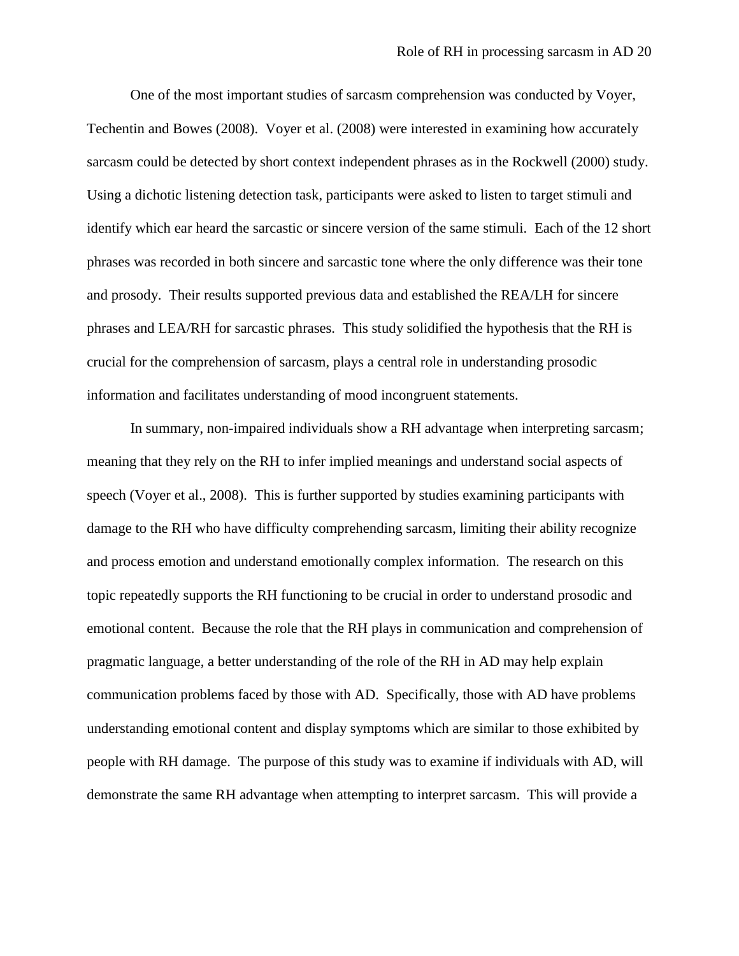One of the most important studies of sarcasm comprehension was conducted by Voyer, Techentin and Bowes (2008). Voyer et al. (2008) were interested in examining how accurately sarcasm could be detected by short context independent phrases as in the Rockwell (2000) study. Using a dichotic listening detection task, participants were asked to listen to target stimuli and identify which ear heard the sarcastic or sincere version of the same stimuli. Each of the 12 short phrases was recorded in both sincere and sarcastic tone where the only difference was their tone and prosody. Their results supported previous data and established the REA/LH for sincere phrases and LEA/RH for sarcastic phrases. This study solidified the hypothesis that the RH is crucial for the comprehension of sarcasm, plays a central role in understanding prosodic information and facilitates understanding of mood incongruent statements.

In summary, non-impaired individuals show a RH advantage when interpreting sarcasm; meaning that they rely on the RH to infer implied meanings and understand social aspects of speech (Voyer et al., 2008). This is further supported by studies examining participants with damage to the RH who have difficulty comprehending sarcasm, limiting their ability recognize and process emotion and understand emotionally complex information. The research on this topic repeatedly supports the RH functioning to be crucial in order to understand prosodic and emotional content. Because the role that the RH plays in communication and comprehension of pragmatic language, a better understanding of the role of the RH in AD may help explain communication problems faced by those with AD. Specifically, those with AD have problems understanding emotional content and display symptoms which are similar to those exhibited by people with RH damage. The purpose of this study was to examine if individuals with AD, will demonstrate the same RH advantage when attempting to interpret sarcasm. This will provide a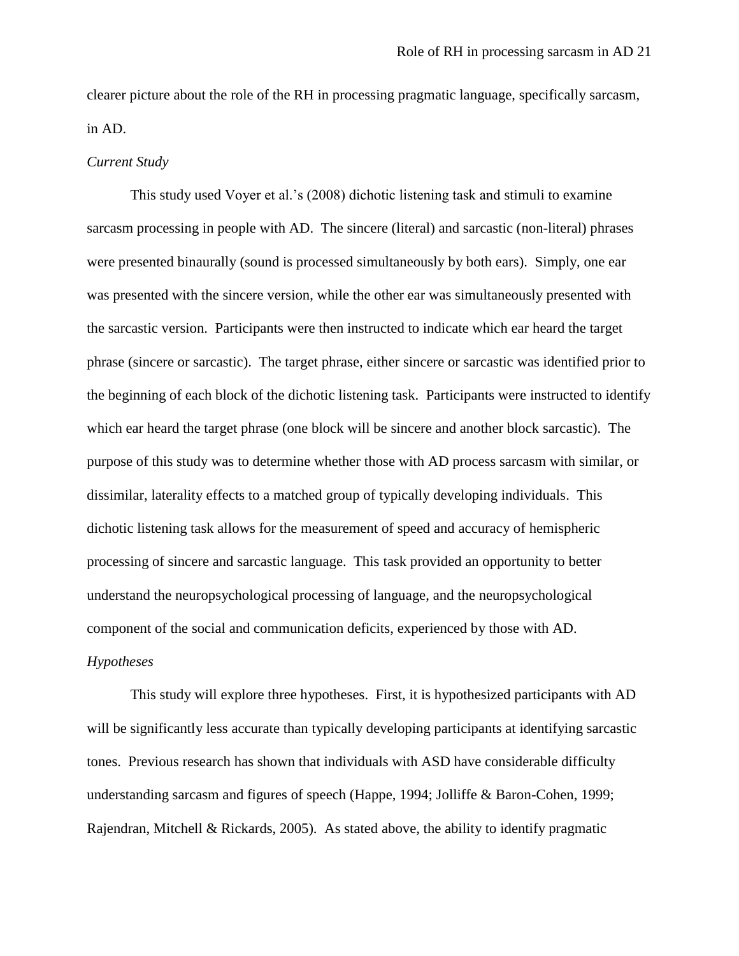clearer picture about the role of the RH in processing pragmatic language, specifically sarcasm, in AD.

#### *Current Study*

This study used Voyer et al."s (2008) dichotic listening task and stimuli to examine sarcasm processing in people with AD. The sincere (literal) and sarcastic (non-literal) phrases were presented binaurally (sound is processed simultaneously by both ears). Simply, one ear was presented with the sincere version, while the other ear was simultaneously presented with the sarcastic version. Participants were then instructed to indicate which ear heard the target phrase (sincere or sarcastic). The target phrase, either sincere or sarcastic was identified prior to the beginning of each block of the dichotic listening task. Participants were instructed to identify which ear heard the target phrase (one block will be sincere and another block sarcastic). The purpose of this study was to determine whether those with AD process sarcasm with similar, or dissimilar, laterality effects to a matched group of typically developing individuals. This dichotic listening task allows for the measurement of speed and accuracy of hemispheric processing of sincere and sarcastic language. This task provided an opportunity to better understand the neuropsychological processing of language, and the neuropsychological component of the social and communication deficits, experienced by those with AD. *Hypotheses* 

This study will explore three hypotheses. First, it is hypothesized participants with AD will be significantly less accurate than typically developing participants at identifying sarcastic tones. Previous research has shown that individuals with ASD have considerable difficulty understanding sarcasm and figures of speech (Happe, 1994; Jolliffe & Baron-Cohen, 1999; Rajendran, Mitchell & Rickards, 2005). As stated above, the ability to identify pragmatic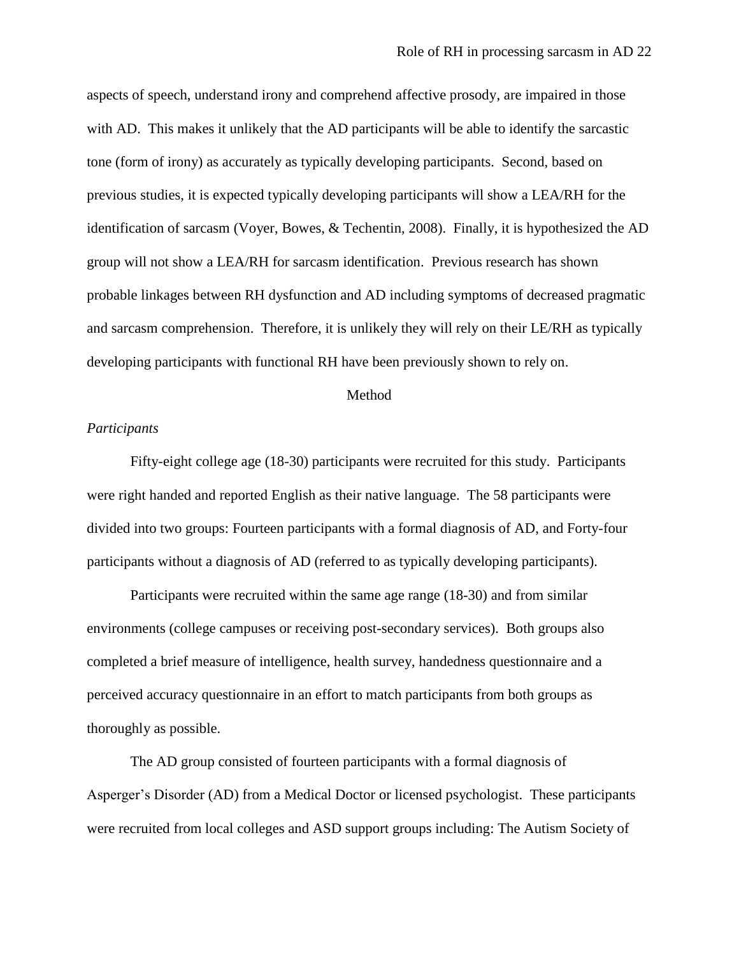aspects of speech, understand irony and comprehend affective prosody, are impaired in those with AD. This makes it unlikely that the AD participants will be able to identify the sarcastic tone (form of irony) as accurately as typically developing participants. Second, based on previous studies, it is expected typically developing participants will show a LEA/RH for the identification of sarcasm (Voyer, Bowes, & Techentin, 2008). Finally, it is hypothesized the AD group will not show a LEA/RH for sarcasm identification. Previous research has shown probable linkages between RH dysfunction and AD including symptoms of decreased pragmatic and sarcasm comprehension. Therefore, it is unlikely they will rely on their LE/RH as typically developing participants with functional RH have been previously shown to rely on.

#### Method

#### *Participants*

Fifty-eight college age (18-30) participants were recruited for this study. Participants were right handed and reported English as their native language. The 58 participants were divided into two groups: Fourteen participants with a formal diagnosis of AD, and Forty-four participants without a diagnosis of AD (referred to as typically developing participants).

Participants were recruited within the same age range (18-30) and from similar environments (college campuses or receiving post-secondary services). Both groups also completed a brief measure of intelligence, health survey, handedness questionnaire and a perceived accuracy questionnaire in an effort to match participants from both groups as thoroughly as possible.

The AD group consisted of fourteen participants with a formal diagnosis of Asperger"s Disorder (AD) from a Medical Doctor or licensed psychologist. These participants were recruited from local colleges and ASD support groups including: The Autism Society of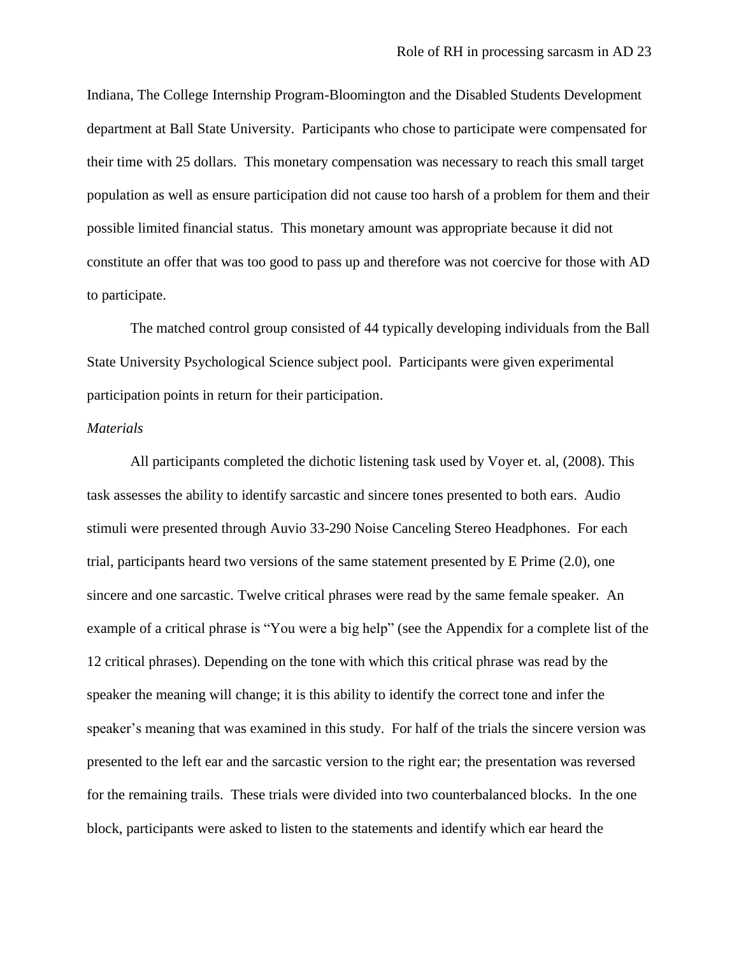Indiana, The College Internship Program-Bloomington and the Disabled Students Development department at Ball State University. Participants who chose to participate were compensated for their time with 25 dollars. This monetary compensation was necessary to reach this small target population as well as ensure participation did not cause too harsh of a problem for them and their possible limited financial status. This monetary amount was appropriate because it did not constitute an offer that was too good to pass up and therefore was not coercive for those with AD to participate.

The matched control group consisted of 44 typically developing individuals from the Ball State University Psychological Science subject pool. Participants were given experimental participation points in return for their participation.

#### *Materials*

All participants completed the dichotic listening task used by Voyer et. al, (2008). This task assesses the ability to identify sarcastic and sincere tones presented to both ears. Audio stimuli were presented through Auvio 33-290 Noise Canceling Stereo Headphones. For each trial, participants heard two versions of the same statement presented by E Prime (2.0), one sincere and one sarcastic. Twelve critical phrases were read by the same female speaker. An example of a critical phrase is "You were a big help" (see the Appendix for a complete list of the 12 critical phrases). Depending on the tone with which this critical phrase was read by the speaker the meaning will change; it is this ability to identify the correct tone and infer the speaker"s meaning that was examined in this study. For half of the trials the sincere version was presented to the left ear and the sarcastic version to the right ear; the presentation was reversed for the remaining trails. These trials were divided into two counterbalanced blocks. In the one block, participants were asked to listen to the statements and identify which ear heard the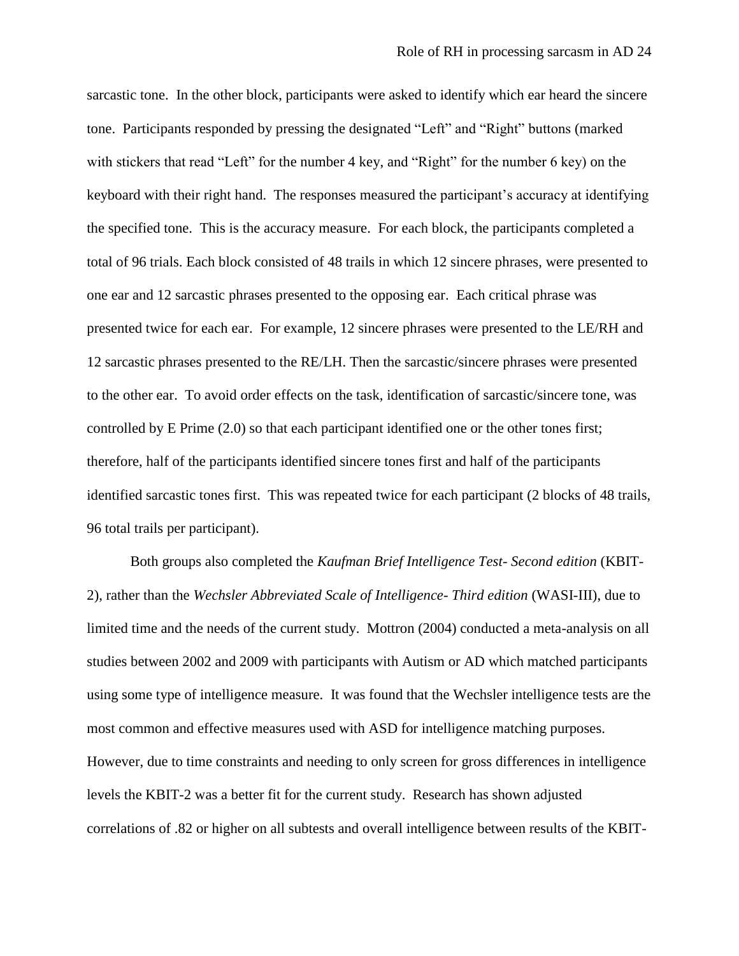sarcastic tone. In the other block, participants were asked to identify which ear heard the sincere tone. Participants responded by pressing the designated "Left" and "Right" buttons (marked with stickers that read "Left" for the number 4 key, and "Right" for the number 6 key) on the keyboard with their right hand. The responses measured the participant"s accuracy at identifying the specified tone. This is the accuracy measure. For each block, the participants completed a total of 96 trials. Each block consisted of 48 trails in which 12 sincere phrases, were presented to one ear and 12 sarcastic phrases presented to the opposing ear. Each critical phrase was presented twice for each ear. For example, 12 sincere phrases were presented to the LE/RH and 12 sarcastic phrases presented to the RE/LH. Then the sarcastic/sincere phrases were presented to the other ear. To avoid order effects on the task, identification of sarcastic/sincere tone, was controlled by E Prime (2.0) so that each participant identified one or the other tones first; therefore, half of the participants identified sincere tones first and half of the participants identified sarcastic tones first. This was repeated twice for each participant (2 blocks of 48 trails, 96 total trails per participant).

Both groups also completed the *Kaufman Brief Intelligence Test- Second edition* (KBIT-2), rather than the *Wechsler Abbreviated Scale of Intelligence- Third edition* (WASI-III), due to limited time and the needs of the current study. Mottron (2004) conducted a meta-analysis on all studies between 2002 and 2009 with participants with Autism or AD which matched participants using some type of intelligence measure. It was found that the Wechsler intelligence tests are the most common and effective measures used with ASD for intelligence matching purposes. However, due to time constraints and needing to only screen for gross differences in intelligence levels the KBIT-2 was a better fit for the current study. Research has shown adjusted correlations of .82 or higher on all subtests and overall intelligence between results of the KBIT-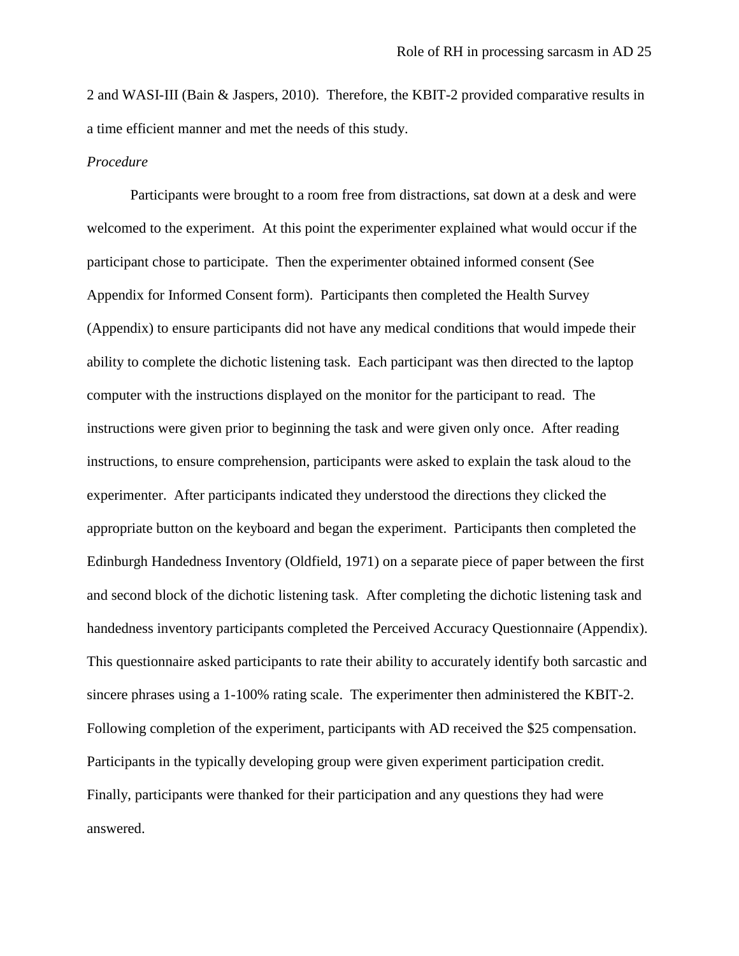2 and WASI-III (Bain & Jaspers, 2010). Therefore, the KBIT-2 provided comparative results in a time efficient manner and met the needs of this study.

#### *Procedure*

Participants were brought to a room free from distractions, sat down at a desk and were welcomed to the experiment. At this point the experimenter explained what would occur if the participant chose to participate. Then the experimenter obtained informed consent (See Appendix for Informed Consent form). Participants then completed the Health Survey (Appendix) to ensure participants did not have any medical conditions that would impede their ability to complete the dichotic listening task. Each participant was then directed to the laptop computer with the instructions displayed on the monitor for the participant to read. The instructions were given prior to beginning the task and were given only once. After reading instructions, to ensure comprehension, participants were asked to explain the task aloud to the experimenter. After participants indicated they understood the directions they clicked the appropriate button on the keyboard and began the experiment. Participants then completed the Edinburgh Handedness Inventory (Oldfield, 1971) on a separate piece of paper between the first and second block of the dichotic listening task. After completing the dichotic listening task and handedness inventory participants completed the Perceived Accuracy Questionnaire (Appendix). This questionnaire asked participants to rate their ability to accurately identify both sarcastic and sincere phrases using a 1-100% rating scale. The experimenter then administered the KBIT-2. Following completion of the experiment, participants with AD received the \$25 compensation. Participants in the typically developing group were given experiment participation credit. Finally, participants were thanked for their participation and any questions they had were answered.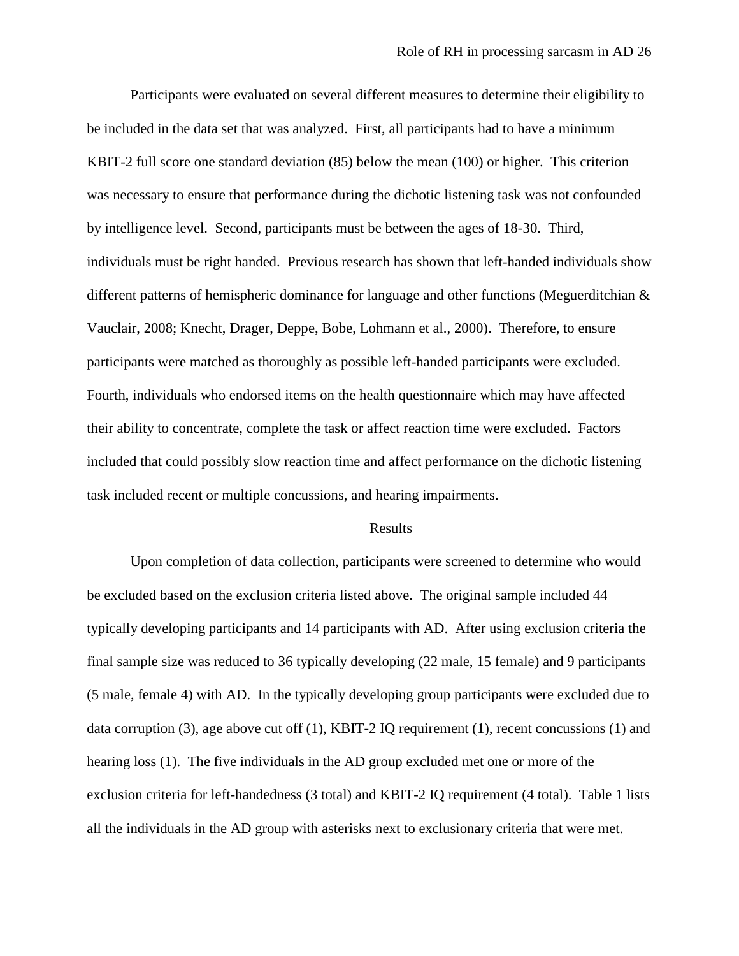Participants were evaluated on several different measures to determine their eligibility to be included in the data set that was analyzed. First, all participants had to have a minimum KBIT-2 full score one standard deviation (85) below the mean (100) or higher. This criterion was necessary to ensure that performance during the dichotic listening task was not confounded by intelligence level. Second, participants must be between the ages of 18-30. Third, individuals must be right handed. Previous research has shown that left-handed individuals show different patterns of hemispheric dominance for language and other functions (Meguerditchian & Vauclair, 2008; Knecht, Drager, Deppe, Bobe, Lohmann et al., 2000). Therefore, to ensure participants were matched as thoroughly as possible left-handed participants were excluded. Fourth, individuals who endorsed items on the health questionnaire which may have affected their ability to concentrate, complete the task or affect reaction time were excluded. Factors included that could possibly slow reaction time and affect performance on the dichotic listening task included recent or multiple concussions, and hearing impairments.

#### Results

Upon completion of data collection, participants were screened to determine who would be excluded based on the exclusion criteria listed above. The original sample included 44 typically developing participants and 14 participants with AD. After using exclusion criteria the final sample size was reduced to 36 typically developing (22 male, 15 female) and 9 participants (5 male, female 4) with AD. In the typically developing group participants were excluded due to data corruption (3), age above cut off  $(1)$ , KBIT-2 IQ requirement  $(1)$ , recent concussions  $(1)$  and hearing loss (1). The five individuals in the AD group excluded met one or more of the exclusion criteria for left-handedness (3 total) and KBIT-2 IQ requirement (4 total). Table 1 lists all the individuals in the AD group with asterisks next to exclusionary criteria that were met.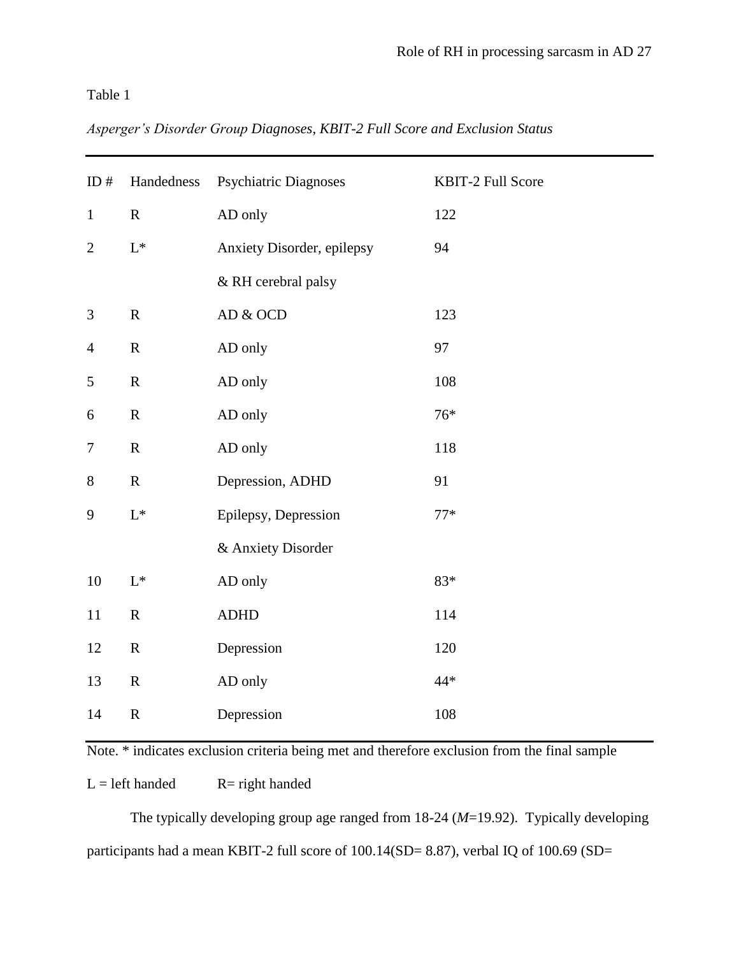# Table 1

| Asperger's Disorder Group Diagnoses, KBIT-2 Full Score and Exclusion Status |  |  |  |  |
|-----------------------------------------------------------------------------|--|--|--|--|
|                                                                             |  |  |  |  |

| ID $#$           | Handedness      | <b>Psychiatric Diagnoses</b> | KBIT-2 Full Score |
|------------------|-----------------|------------------------------|-------------------|
| $\mathbf{1}$     | $\mathbf R$     | AD only                      | 122               |
| $\overline{2}$   | $\mathcal{L}^*$ | Anxiety Disorder, epilepsy   | 94                |
|                  |                 | & RH cerebral palsy          |                   |
| $\mathfrak{Z}$   | ${\bf R}$       | ${\rm AD}$ & OCD             | 123               |
| $\overline{4}$   | $\mathbf R$     | AD only                      | 97                |
| 5                | ${\bf R}$       | AD only                      | 108               |
| 6                | ${\bf R}$       | AD only                      | $76*$             |
| $\boldsymbol{7}$ | $\mathbf R$     | AD only                      | 118               |
| $8\,$            | ${\bf R}$       | Depression, ADHD             | 91                |
| 9                | $\mathcal{L}^*$ | Epilepsy, Depression         | $77*$             |
|                  |                 | & Anxiety Disorder           |                   |
| 10               | $\mathcal{L}^*$ | AD only                      | 83*               |
| 11               | ${\bf R}$       | <b>ADHD</b>                  | 114               |
| 12               | ${\bf R}$       | Depression                   | 120               |
| 13               | ${\bf R}$       | AD only                      | 44*               |
| 14               | ${\bf R}$       | Depression                   | 108               |

Note. \* indicates exclusion criteria being met and therefore exclusion from the final sample

 $L = left$  handed  $R = right$  handed

The typically developing group age ranged from 18-24 (*M*=19.92). Typically developing participants had a mean KBIT-2 full score of 100.14(SD= 8.87), verbal IQ of 100.69 (SD=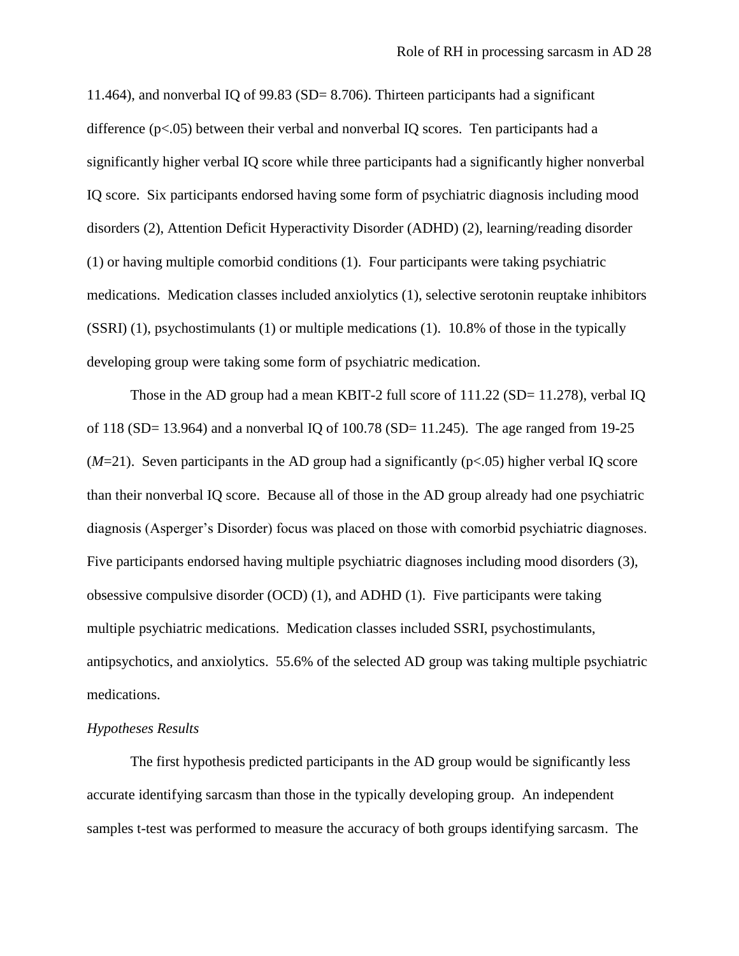11.464), and nonverbal IQ of 99.83 (SD= 8.706). Thirteen participants had a significant difference (p<.05) between their verbal and nonverbal IQ scores. Ten participants had a significantly higher verbal IQ score while three participants had a significantly higher nonverbal IQ score. Six participants endorsed having some form of psychiatric diagnosis including mood disorders (2), Attention Deficit Hyperactivity Disorder (ADHD) (2), learning/reading disorder (1) or having multiple comorbid conditions (1). Four participants were taking psychiatric medications. Medication classes included anxiolytics (1), selective serotonin reuptake inhibitors (SSRI) (1), psychostimulants (1) or multiple medications (1). 10.8% of those in the typically developing group were taking some form of psychiatric medication.

Those in the AD group had a mean KBIT-2 full score of 111.22 (SD= 11.278), verbal IQ of 118 (SD= 13.964) and a nonverbal IQ of 100.78 (SD= 11.245). The age ranged from 19-25  $(M=21)$ . Seven participants in the AD group had a significantly ( $p<.05$ ) higher verbal IQ score than their nonverbal IQ score. Because all of those in the AD group already had one psychiatric diagnosis (Asperger"s Disorder) focus was placed on those with comorbid psychiatric diagnoses. Five participants endorsed having multiple psychiatric diagnoses including mood disorders (3), obsessive compulsive disorder (OCD) (1), and ADHD (1). Five participants were taking multiple psychiatric medications. Medication classes included SSRI, psychostimulants, antipsychotics, and anxiolytics. 55.6% of the selected AD group was taking multiple psychiatric medications.

#### *Hypotheses Results*

The first hypothesis predicted participants in the AD group would be significantly less accurate identifying sarcasm than those in the typically developing group. An independent samples t-test was performed to measure the accuracy of both groups identifying sarcasm. The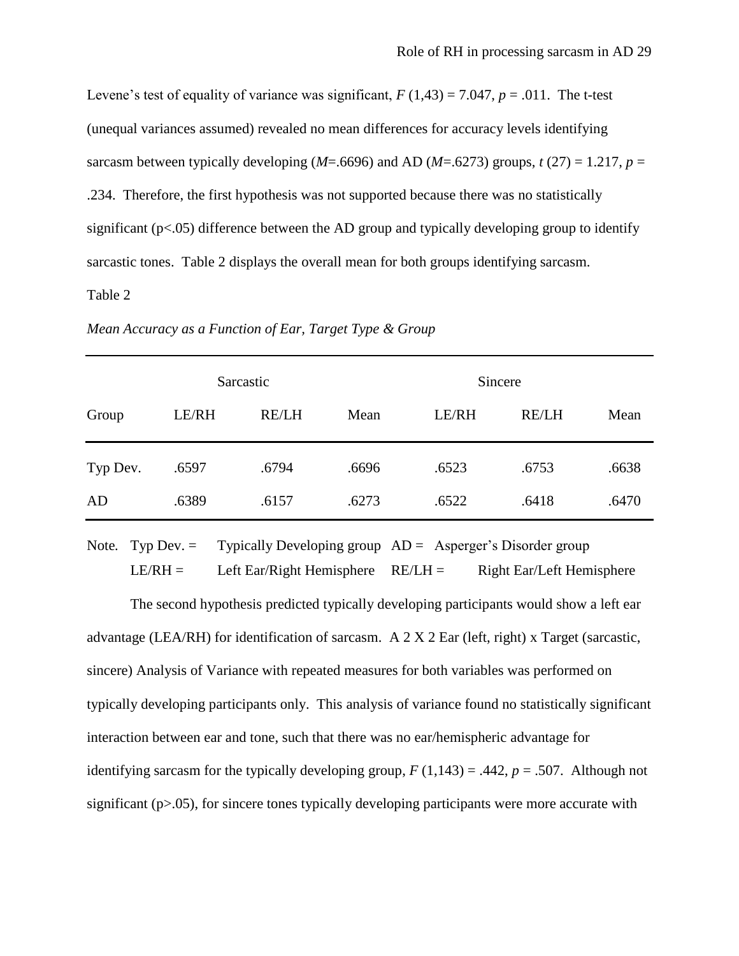Levene's test of equality of variance was significant,  $F(1,43) = 7.047$ ,  $p = .011$ . The t-test (unequal variances assumed) revealed no mean differences for accuracy levels identifying sarcasm between typically developing ( $M = .6696$ ) and AD ( $M = .6273$ ) groups,  $t(27) = 1.217$ ,  $p =$ .234. Therefore, the first hypothesis was not supported because there was no statistically significant (p<.05) difference between the AD group and typically developing group to identify sarcastic tones. Table 2 displays the overall mean for both groups identifying sarcasm.

### Table 2

| Mean Accuracy as a Function of Ear, Target Type & Group |  |  |
|---------------------------------------------------------|--|--|
|                                                         |  |  |

|          | Sarcastic |              |       | Sincere |              |       |
|----------|-----------|--------------|-------|---------|--------------|-------|
| Group    | LE/RH     | <b>RE/LH</b> | Mean  | LE/RH   | <b>RE/LH</b> | Mean  |
| Typ Dev. | .6597     | .6794        | .6696 | .6523   | .6753        | .6638 |
| AD       | .6389     | .6157        | .6273 | .6522   | .6418        | .6470 |

Note. Typ Dev. = Typically Developing group  $AD =$  Asperger's Disorder group  $LE/RH =$  Left Ear/Right Hemisphere  $RE/LH =$  Right Ear/Left Hemisphere

The second hypothesis predicted typically developing participants would show a left ear advantage (LEA/RH) for identification of sarcasm. A 2 X 2 Ear (left, right) x Target (sarcastic, sincere) Analysis of Variance with repeated measures for both variables was performed on typically developing participants only. This analysis of variance found no statistically significant interaction between ear and tone, such that there was no ear/hemispheric advantage for identifying sarcasm for the typically developing group,  $F(1,143) = .442$ ,  $p = .507$ . Although not significant  $(p>0.05)$ , for sincere tones typically developing participants were more accurate with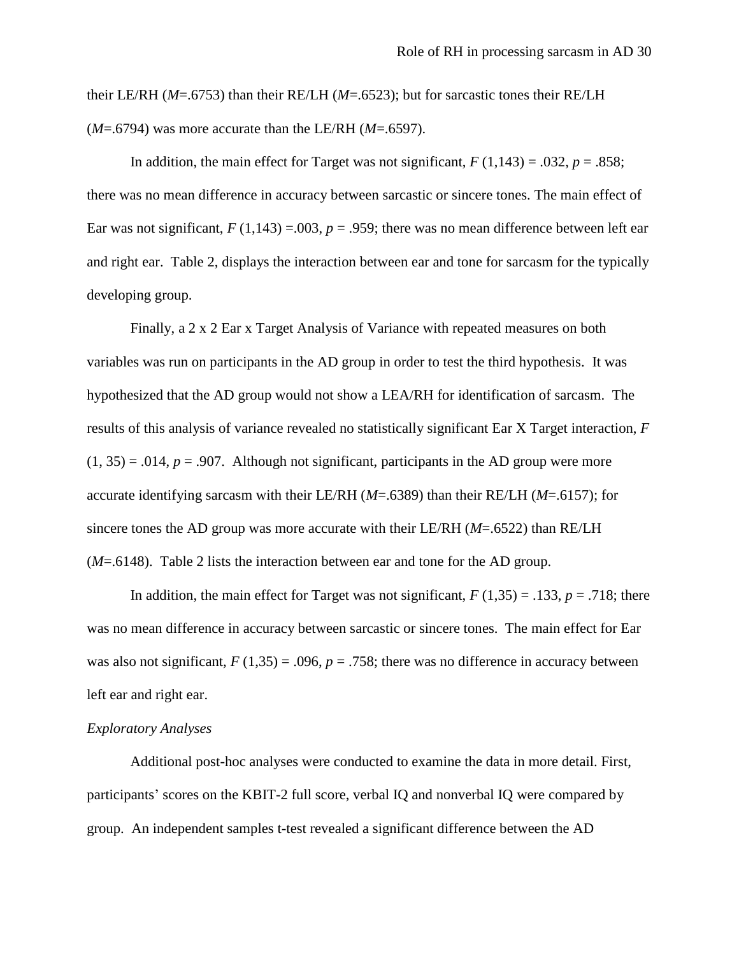their LE/RH (*M*=.6753) than their RE/LH (*M*=.6523); but for sarcastic tones their RE/LH (*M*=.6794) was more accurate than the LE/RH (*M*=.6597).

In addition, the main effect for Target was not significant,  $F(1,143) = .032$ ,  $p = .858$ ; there was no mean difference in accuracy between sarcastic or sincere tones. The main effect of Ear was not significant,  $F(1,143) = .003$ ,  $p = .959$ ; there was no mean difference between left ear and right ear. Table 2, displays the interaction between ear and tone for sarcasm for the typically developing group.

Finally, a 2 x 2 Ear x Target Analysis of Variance with repeated measures on both variables was run on participants in the AD group in order to test the third hypothesis. It was hypothesized that the AD group would not show a LEA/RH for identification of sarcasm. The results of this analysis of variance revealed no statistically significant Ear X Target interaction, *F*  $(1, 35) = .014$ ,  $p = .907$ . Although not significant, participants in the AD group were more accurate identifying sarcasm with their LE/RH (*M*=.6389) than their RE/LH (*M*=.6157); for sincere tones the AD group was more accurate with their LE/RH (*M*=.6522) than RE/LH (*M*=.6148). Table 2 lists the interaction between ear and tone for the AD group.

In addition, the main effect for Target was not significant,  $F(1,35) = .133$ ,  $p = .718$ ; there was no mean difference in accuracy between sarcastic or sincere tones. The main effect for Ear was also not significant,  $F(1,35) = .096$ ,  $p = .758$ ; there was no difference in accuracy between left ear and right ear.

#### *Exploratory Analyses*

Additional post-hoc analyses were conducted to examine the data in more detail. First, participants" scores on the KBIT-2 full score, verbal IQ and nonverbal IQ were compared by group. An independent samples t-test revealed a significant difference between the AD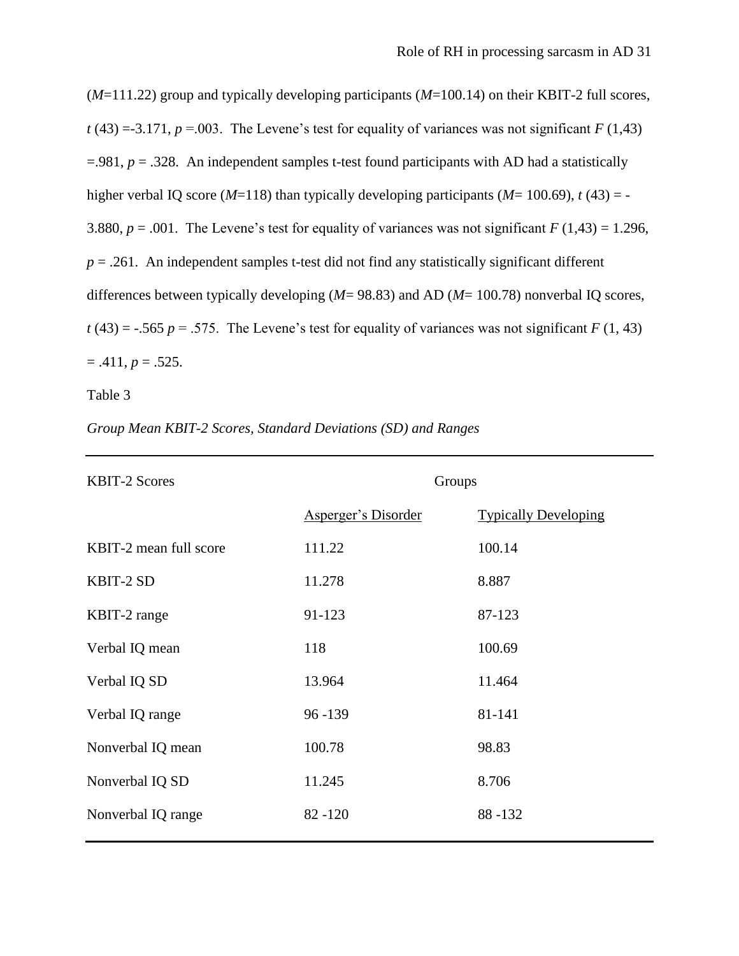(*M*=111.22) group and typically developing participants (*M*=100.14) on their KBIT-2 full scores,  $t(43) = -3.171$ ,  $p = .003$ . The Levene's test for equality of variances was not significant *F* (1,43)  $=$ .981,  $p = 0.328$ . An independent samples t-test found participants with AD had a statistically higher verbal IQ score ( $M=118$ ) than typically developing participants ( $M=100.69$ ),  $t(43) = -$ 3.880,  $p = .001$ . The Levene's test for equality of variances was not significant  $F(1,43) = 1.296$ ,  $p = 0.261$ . An independent samples t-test did not find any statistically significant different differences between typically developing (*M*= 98.83) and AD (*M*= 100.78) nonverbal IQ scores,  $t(43) = -0.565$  *p* = .575. The Levene's test for equality of variances was not significant *F* (1, 43)  $= .411, p = .525.$ 

Table 3

|  | Group Mean KBIT-2 Scores, Standard Deviations (SD) and Ranges |  |  |  |  |
|--|---------------------------------------------------------------|--|--|--|--|
|--|---------------------------------------------------------------|--|--|--|--|

| <b>KBIT-2 Scores</b>   | Groups                     |                             |
|------------------------|----------------------------|-----------------------------|
|                        | <b>Asperger's Disorder</b> | <b>Typically Developing</b> |
| KBIT-2 mean full score | 111.22                     | 100.14                      |
| KBIT-2 SD              | 11.278                     | 8.887                       |
| KBIT-2 range           | 91-123                     | 87-123                      |
| Verbal IQ mean         | 118                        | 100.69                      |
| Verbal IQ SD           | 13.964                     | 11.464                      |
| Verbal IQ range        | 96 - 139                   | 81-141                      |
| Nonverbal IQ mean      | 100.78                     | 98.83                       |
| Nonverbal IQ SD        | 11.245                     | 8.706                       |
| Nonverbal IQ range     | $82 - 120$                 | 88-132                      |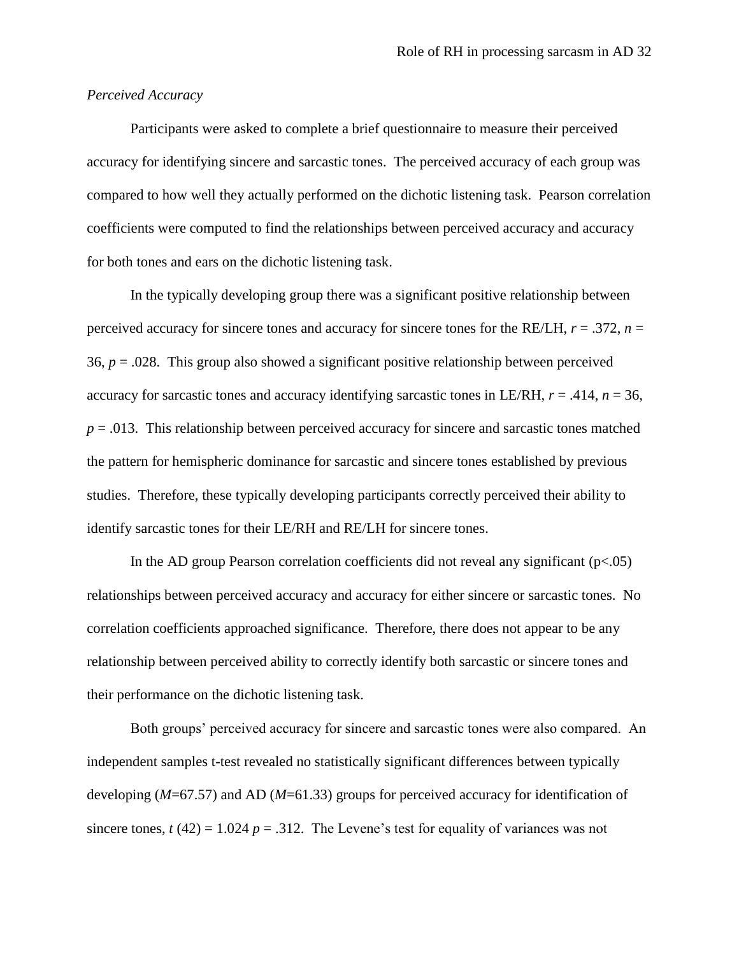#### *Perceived Accuracy*

Participants were asked to complete a brief questionnaire to measure their perceived accuracy for identifying sincere and sarcastic tones. The perceived accuracy of each group was compared to how well they actually performed on the dichotic listening task. Pearson correlation coefficients were computed to find the relationships between perceived accuracy and accuracy for both tones and ears on the dichotic listening task.

In the typically developing group there was a significant positive relationship between perceived accuracy for sincere tones and accuracy for sincere tones for the RE/LH, *r* = .372, *n* = 36,  $p = 0.028$ . This group also showed a significant positive relationship between perceived accuracy for sarcastic tones and accuracy identifying sarcastic tones in LE/RH,  $r = .414$ ,  $n = 36$ ,  $p = 0.013$ . This relationship between perceived accuracy for sincere and sarcastic tones matched the pattern for hemispheric dominance for sarcastic and sincere tones established by previous studies. Therefore, these typically developing participants correctly perceived their ability to identify sarcastic tones for their LE/RH and RE/LH for sincere tones.

In the AD group Pearson correlation coefficients did not reveal any significant  $(p<.05)$ relationships between perceived accuracy and accuracy for either sincere or sarcastic tones. No correlation coefficients approached significance. Therefore, there does not appear to be any relationship between perceived ability to correctly identify both sarcastic or sincere tones and their performance on the dichotic listening task.

Both groups" perceived accuracy for sincere and sarcastic tones were also compared. An independent samples t-test revealed no statistically significant differences between typically developing (*M*=67.57) and AD (*M*=61.33) groups for perceived accuracy for identification of sincere tones,  $t(42) = 1.024$   $p = .312$ . The Levene's test for equality of variances was not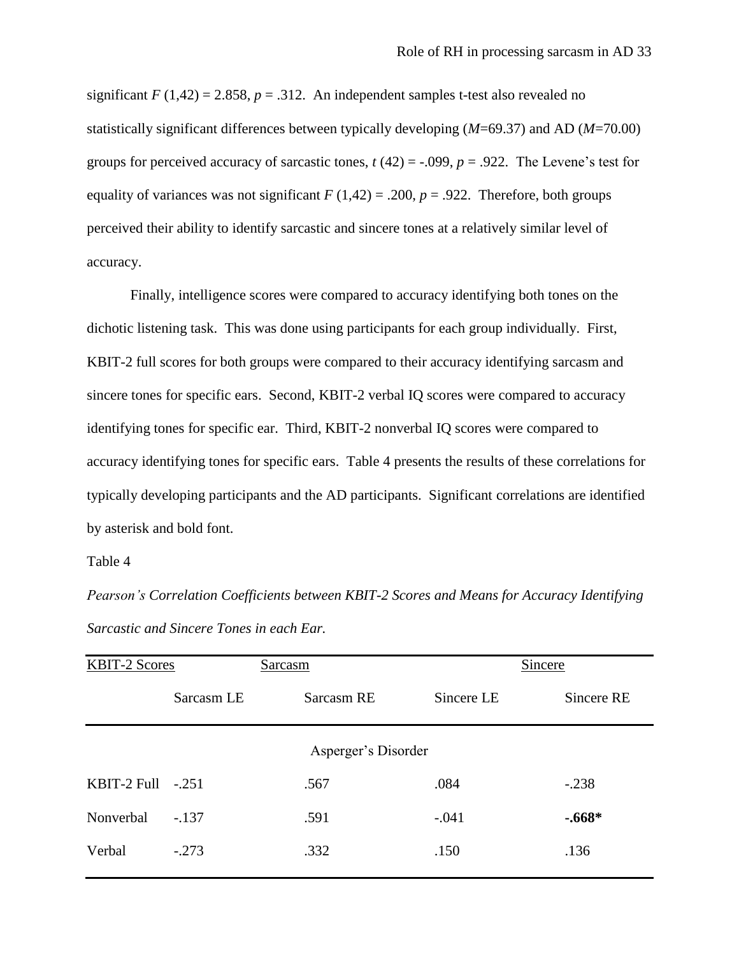significant  $F(1,42) = 2.858$ ,  $p = .312$ . An independent samples t-test also revealed no statistically significant differences between typically developing (*M*=69.37) and AD (*M*=70.00) groups for perceived accuracy of sarcastic tones,  $t(42) = -0.099$ ,  $p = 0.922$ . The Levene's test for equality of variances was not significant  $F(1,42) = .200$ ,  $p = .922$ . Therefore, both groups perceived their ability to identify sarcastic and sincere tones at a relatively similar level of accuracy.

Finally, intelligence scores were compared to accuracy identifying both tones on the dichotic listening task. This was done using participants for each group individually. First, KBIT-2 full scores for both groups were compared to their accuracy identifying sarcasm and sincere tones for specific ears. Second, KBIT-2 verbal IQ scores were compared to accuracy identifying tones for specific ear. Third, KBIT-2 nonverbal IQ scores were compared to accuracy identifying tones for specific ears. Table 4 presents the results of these correlations for typically developing participants and the AD participants. Significant correlations are identified by asterisk and bold font.

Table 4

*Pearson's Correlation Coefficients between KBIT-2 Scores and Means for Accuracy Identifying Sarcastic and Sincere Tones in each Ear.*

| <b>KBIT-2 Scores</b> |            | Sarcasm             |            | Sincere    |
|----------------------|------------|---------------------|------------|------------|
|                      | Sarcasm LE | Sarcasm RE          | Sincere LE | Sincere RE |
|                      |            | Asperger's Disorder |            |            |
| KBIT-2 Full          | $-.251$    | .567                | .084       | $-.238$    |
| Nonverbal            | $-.137$    | .591                | $-.041$    | $-.668*$   |
| Verbal               | $-.273$    | .332                | .150       | .136       |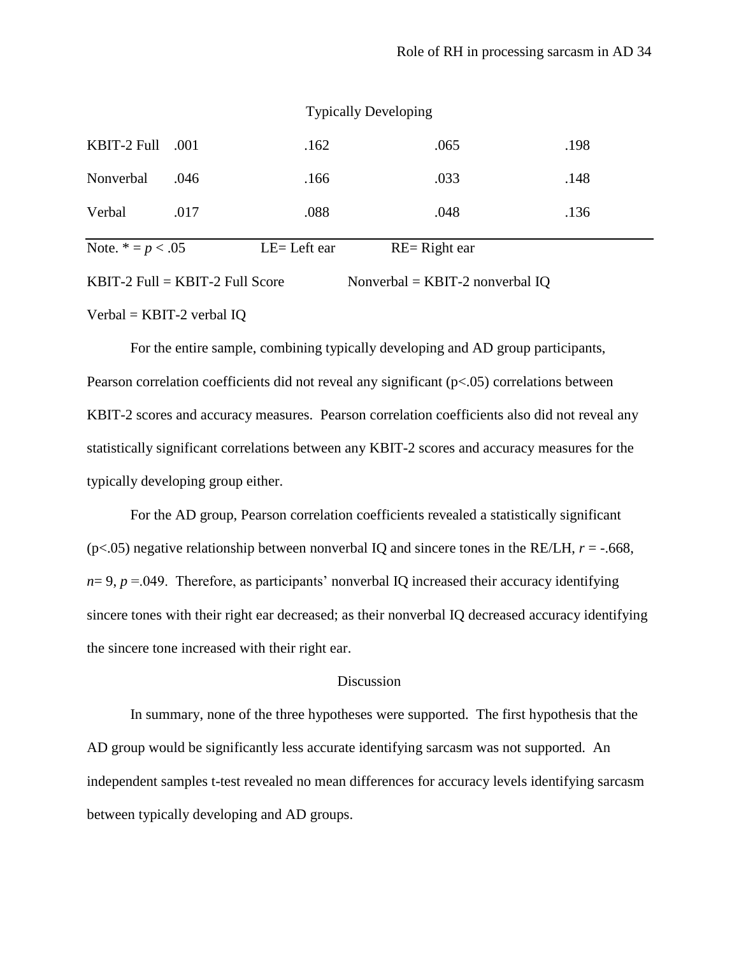|                     | $KBIT-2$ Full = $KBIT-2$ Full Score |               | Nonverbal = $KBIT-2$ nonverbal IQ |      |  |
|---------------------|-------------------------------------|---------------|-----------------------------------|------|--|
| Note. $* = p < .05$ |                                     | $LE=Left$ ear | $RE = Right ear$                  |      |  |
| Verbal              | .017                                | .088          | .048                              | .136 |  |
| Nonverbal           | .046                                | .166          | .033                              | .148 |  |
| KBIT-2 Full         | .001                                | .162          | .065                              | .198 |  |
|                     |                                     |               | <b>Typically Developing</b>       |      |  |

 $Verbal = KBIT-2$  verbal IQ

For the entire sample, combining typically developing and AD group participants, Pearson correlation coefficients did not reveal any significant (p<.05) correlations between KBIT-2 scores and accuracy measures. Pearson correlation coefficients also did not reveal any statistically significant correlations between any KBIT-2 scores and accuracy measures for the typically developing group either.

For the AD group, Pearson correlation coefficients revealed a statistically significant ( $p$ <.05) negative relationship between nonverbal IQ and sincere tones in the RE/LH,  $r = -0.668$ ,  $n= 9$ ,  $p = .049$ . Therefore, as participants' nonverbal IQ increased their accuracy identifying sincere tones with their right ear decreased; as their nonverbal IQ decreased accuracy identifying the sincere tone increased with their right ear.

#### Discussion

In summary, none of the three hypotheses were supported. The first hypothesis that the AD group would be significantly less accurate identifying sarcasm was not supported. An independent samples t-test revealed no mean differences for accuracy levels identifying sarcasm between typically developing and AD groups.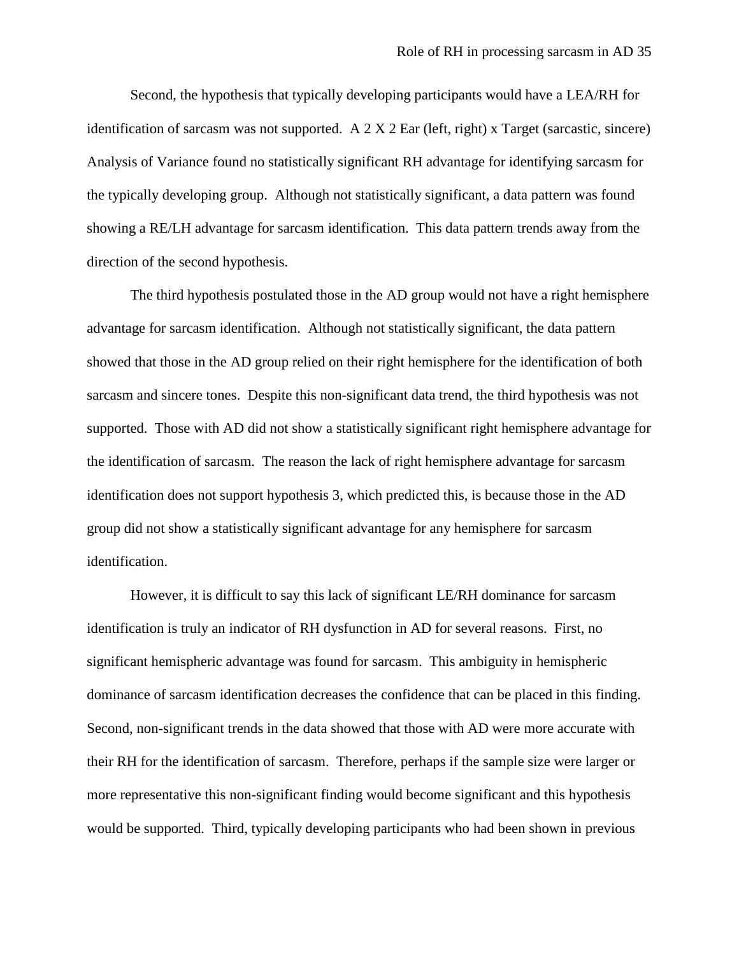Second, the hypothesis that typically developing participants would have a LEA/RH for identification of sarcasm was not supported. A 2 X 2 Ear (left, right) x Target (sarcastic, sincere) Analysis of Variance found no statistically significant RH advantage for identifying sarcasm for the typically developing group. Although not statistically significant, a data pattern was found showing a RE/LH advantage for sarcasm identification. This data pattern trends away from the direction of the second hypothesis.

The third hypothesis postulated those in the AD group would not have a right hemisphere advantage for sarcasm identification. Although not statistically significant, the data pattern showed that those in the AD group relied on their right hemisphere for the identification of both sarcasm and sincere tones. Despite this non-significant data trend, the third hypothesis was not supported. Those with AD did not show a statistically significant right hemisphere advantage for the identification of sarcasm. The reason the lack of right hemisphere advantage for sarcasm identification does not support hypothesis 3, which predicted this, is because those in the AD group did not show a statistically significant advantage for any hemisphere for sarcasm identification.

However, it is difficult to say this lack of significant LE/RH dominance for sarcasm identification is truly an indicator of RH dysfunction in AD for several reasons. First, no significant hemispheric advantage was found for sarcasm. This ambiguity in hemispheric dominance of sarcasm identification decreases the confidence that can be placed in this finding. Second, non-significant trends in the data showed that those with AD were more accurate with their RH for the identification of sarcasm. Therefore, perhaps if the sample size were larger or more representative this non-significant finding would become significant and this hypothesis would be supported. Third, typically developing participants who had been shown in previous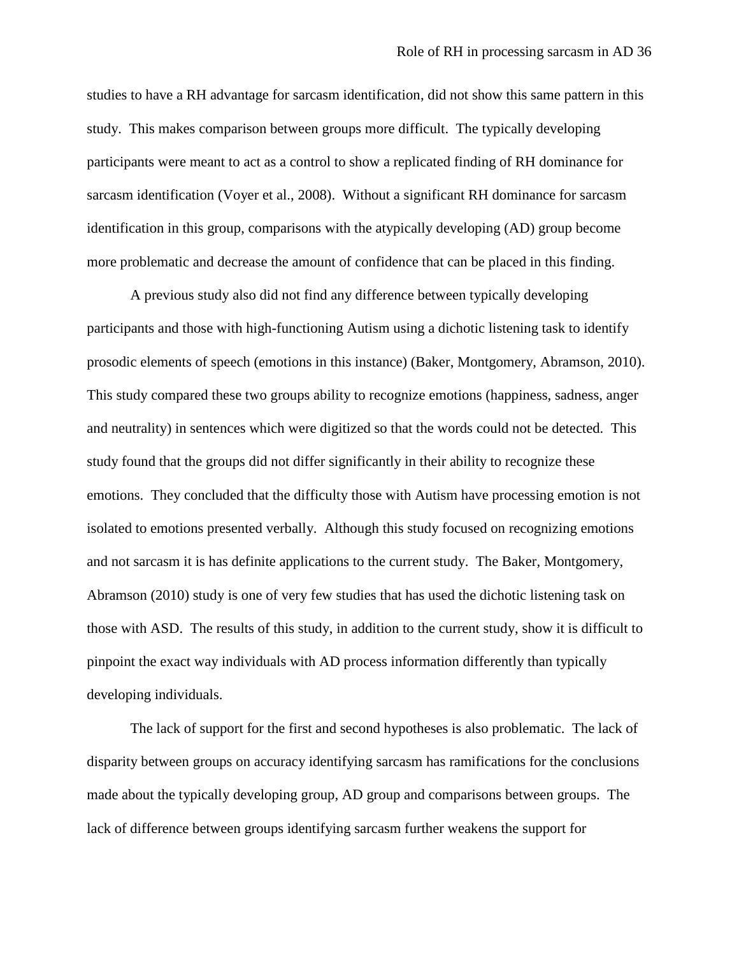studies to have a RH advantage for sarcasm identification, did not show this same pattern in this study. This makes comparison between groups more difficult. The typically developing participants were meant to act as a control to show a replicated finding of RH dominance for sarcasm identification (Voyer et al., 2008). Without a significant RH dominance for sarcasm identification in this group, comparisons with the atypically developing (AD) group become more problematic and decrease the amount of confidence that can be placed in this finding.

A previous study also did not find any difference between typically developing participants and those with high-functioning Autism using a dichotic listening task to identify prosodic elements of speech (emotions in this instance) (Baker, Montgomery, Abramson, 2010). This study compared these two groups ability to recognize emotions (happiness, sadness, anger and neutrality) in sentences which were digitized so that the words could not be detected. This study found that the groups did not differ significantly in their ability to recognize these emotions. They concluded that the difficulty those with Autism have processing emotion is not isolated to emotions presented verbally. Although this study focused on recognizing emotions and not sarcasm it is has definite applications to the current study. The Baker, Montgomery, Abramson (2010) study is one of very few studies that has used the dichotic listening task on those with ASD. The results of this study, in addition to the current study, show it is difficult to pinpoint the exact way individuals with AD process information differently than typically developing individuals.

The lack of support for the first and second hypotheses is also problematic. The lack of disparity between groups on accuracy identifying sarcasm has ramifications for the conclusions made about the typically developing group, AD group and comparisons between groups. The lack of difference between groups identifying sarcasm further weakens the support for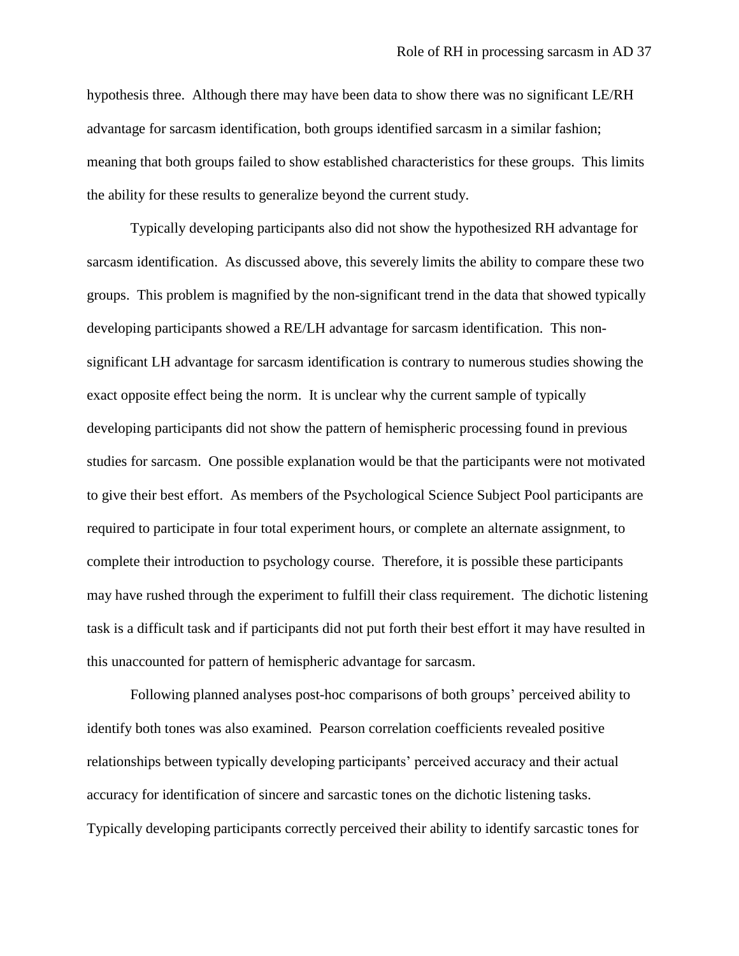hypothesis three. Although there may have been data to show there was no significant LE/RH advantage for sarcasm identification, both groups identified sarcasm in a similar fashion; meaning that both groups failed to show established characteristics for these groups. This limits the ability for these results to generalize beyond the current study.

Typically developing participants also did not show the hypothesized RH advantage for sarcasm identification. As discussed above, this severely limits the ability to compare these two groups. This problem is magnified by the non-significant trend in the data that showed typically developing participants showed a RE/LH advantage for sarcasm identification. This nonsignificant LH advantage for sarcasm identification is contrary to numerous studies showing the exact opposite effect being the norm. It is unclear why the current sample of typically developing participants did not show the pattern of hemispheric processing found in previous studies for sarcasm. One possible explanation would be that the participants were not motivated to give their best effort. As members of the Psychological Science Subject Pool participants are required to participate in four total experiment hours, or complete an alternate assignment, to complete their introduction to psychology course. Therefore, it is possible these participants may have rushed through the experiment to fulfill their class requirement. The dichotic listening task is a difficult task and if participants did not put forth their best effort it may have resulted in this unaccounted for pattern of hemispheric advantage for sarcasm.

Following planned analyses post-hoc comparisons of both groups" perceived ability to identify both tones was also examined. Pearson correlation coefficients revealed positive relationships between typically developing participants" perceived accuracy and their actual accuracy for identification of sincere and sarcastic tones on the dichotic listening tasks. Typically developing participants correctly perceived their ability to identify sarcastic tones for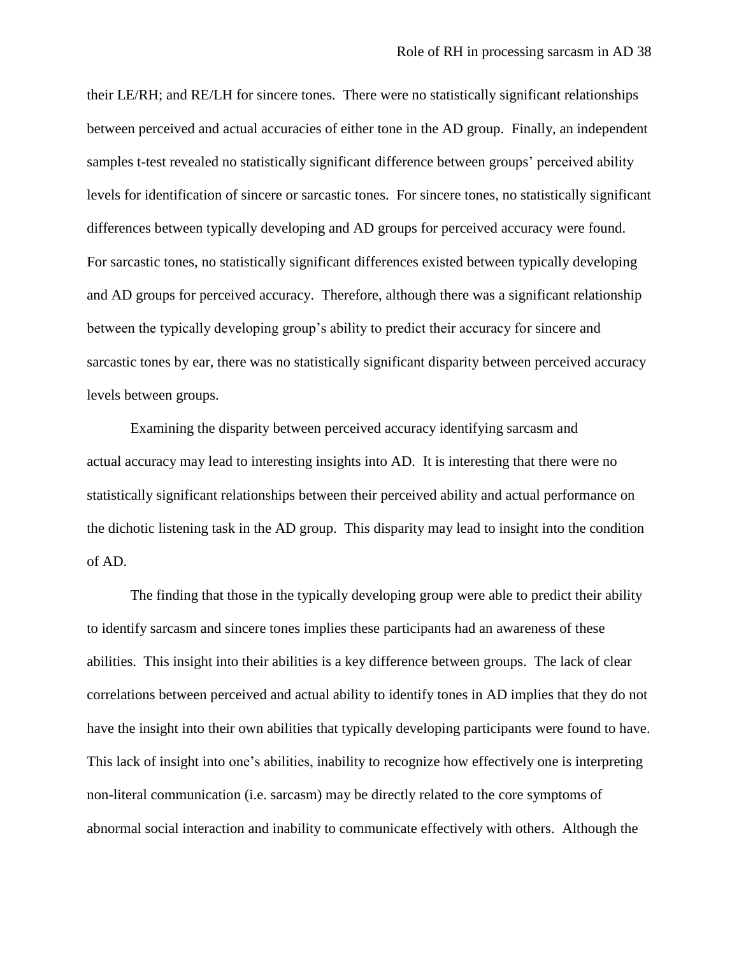their LE/RH; and RE/LH for sincere tones. There were no statistically significant relationships between perceived and actual accuracies of either tone in the AD group. Finally, an independent samples t-test revealed no statistically significant difference between groups" perceived ability levels for identification of sincere or sarcastic tones. For sincere tones, no statistically significant differences between typically developing and AD groups for perceived accuracy were found. For sarcastic tones, no statistically significant differences existed between typically developing and AD groups for perceived accuracy. Therefore, although there was a significant relationship between the typically developing group"s ability to predict their accuracy for sincere and sarcastic tones by ear, there was no statistically significant disparity between perceived accuracy levels between groups.

Examining the disparity between perceived accuracy identifying sarcasm and actual accuracy may lead to interesting insights into AD. It is interesting that there were no statistically significant relationships between their perceived ability and actual performance on the dichotic listening task in the AD group. This disparity may lead to insight into the condition of AD.

The finding that those in the typically developing group were able to predict their ability to identify sarcasm and sincere tones implies these participants had an awareness of these abilities. This insight into their abilities is a key difference between groups. The lack of clear correlations between perceived and actual ability to identify tones in AD implies that they do not have the insight into their own abilities that typically developing participants were found to have. This lack of insight into one"s abilities, inability to recognize how effectively one is interpreting non-literal communication (i.e. sarcasm) may be directly related to the core symptoms of abnormal social interaction and inability to communicate effectively with others. Although the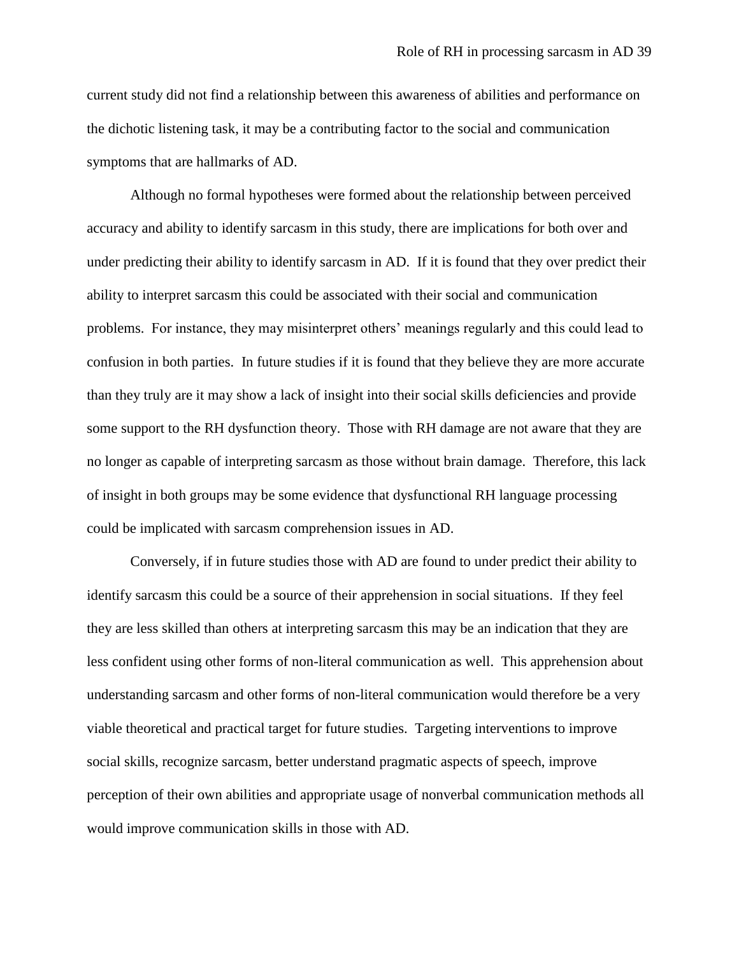current study did not find a relationship between this awareness of abilities and performance on the dichotic listening task, it may be a contributing factor to the social and communication symptoms that are hallmarks of AD.

Although no formal hypotheses were formed about the relationship between perceived accuracy and ability to identify sarcasm in this study, there are implications for both over and under predicting their ability to identify sarcasm in AD. If it is found that they over predict their ability to interpret sarcasm this could be associated with their social and communication problems. For instance, they may misinterpret others' meanings regularly and this could lead to confusion in both parties. In future studies if it is found that they believe they are more accurate than they truly are it may show a lack of insight into their social skills deficiencies and provide some support to the RH dysfunction theory. Those with RH damage are not aware that they are no longer as capable of interpreting sarcasm as those without brain damage. Therefore, this lack of insight in both groups may be some evidence that dysfunctional RH language processing could be implicated with sarcasm comprehension issues in AD.

Conversely, if in future studies those with AD are found to under predict their ability to identify sarcasm this could be a source of their apprehension in social situations. If they feel they are less skilled than others at interpreting sarcasm this may be an indication that they are less confident using other forms of non-literal communication as well. This apprehension about understanding sarcasm and other forms of non-literal communication would therefore be a very viable theoretical and practical target for future studies. Targeting interventions to improve social skills, recognize sarcasm, better understand pragmatic aspects of speech, improve perception of their own abilities and appropriate usage of nonverbal communication methods all would improve communication skills in those with AD.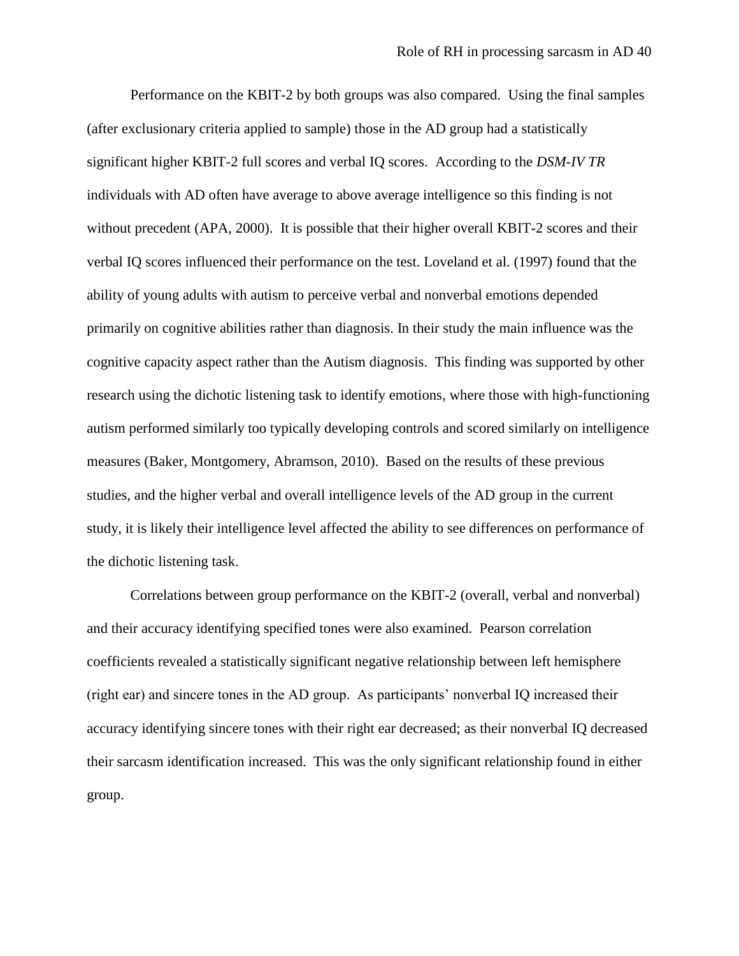Performance on the KBIT-2 by both groups was also compared. Using the final samples (after exclusionary criteria applied to sample) those in the AD group had a statistically significant higher KBIT-2 full scores and verbal IQ scores. According to the *DSM-IV TR* individuals with AD often have average to above average intelligence so this finding is not without precedent (APA, 2000). It is possible that their higher overall KBIT-2 scores and their verbal IQ scores influenced their performance on the test. Loveland et al. (1997) found that the ability of young adults with autism to perceive verbal and nonverbal emotions depended primarily on cognitive abilities rather than diagnosis. In their study the main influence was the cognitive capacity aspect rather than the Autism diagnosis. This finding was supported by other research using the dichotic listening task to identify emotions, where those with high-functioning autism performed similarly too typically developing controls and scored similarly on intelligence measures (Baker, Montgomery, Abramson, 2010). Based on the results of these previous studies, and the higher verbal and overall intelligence levels of the AD group in the current study, it is likely their intelligence level affected the ability to see differences on performance of the dichotic listening task.

Correlations between group performance on the KBIT-2 (overall, verbal and nonverbal) and their accuracy identifying specified tones were also examined. Pearson correlation coefficients revealed a statistically significant negative relationship between left hemisphere (right ear) and sincere tones in the AD group. As participants" nonverbal IQ increased their accuracy identifying sincere tones with their right ear decreased; as their nonverbal IQ decreased their sarcasm identification increased. This was the only significant relationship found in either group.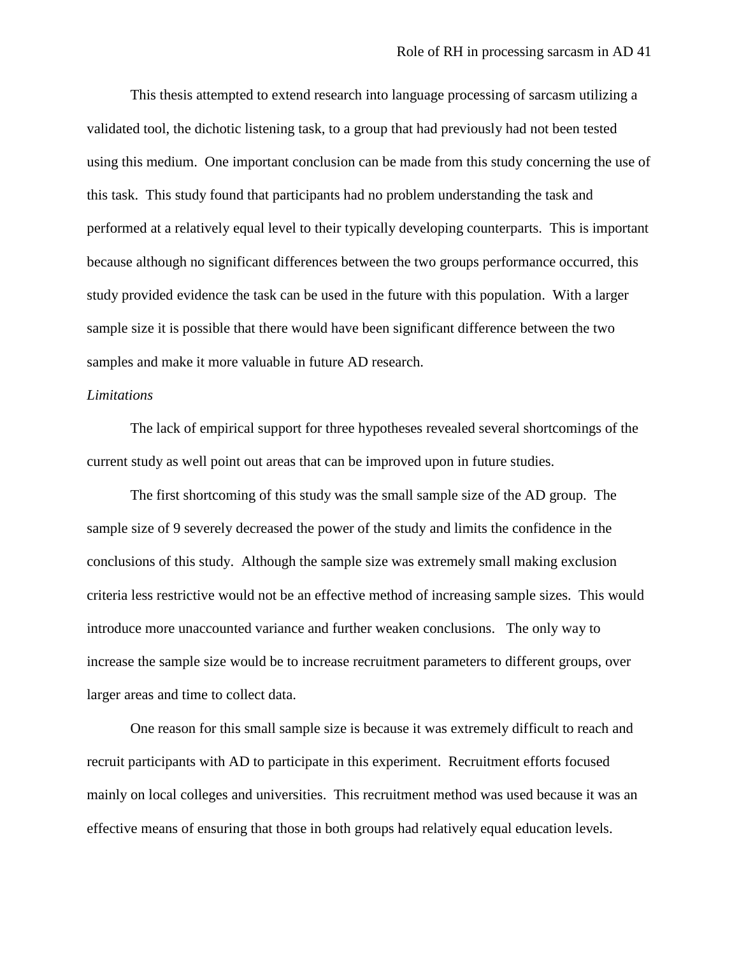This thesis attempted to extend research into language processing of sarcasm utilizing a validated tool, the dichotic listening task, to a group that had previously had not been tested using this medium. One important conclusion can be made from this study concerning the use of this task. This study found that participants had no problem understanding the task and performed at a relatively equal level to their typically developing counterparts. This is important because although no significant differences between the two groups performance occurred, this study provided evidence the task can be used in the future with this population. With a larger sample size it is possible that there would have been significant difference between the two samples and make it more valuable in future AD research.

### *Limitations*

The lack of empirical support for three hypotheses revealed several shortcomings of the current study as well point out areas that can be improved upon in future studies.

The first shortcoming of this study was the small sample size of the AD group. The sample size of 9 severely decreased the power of the study and limits the confidence in the conclusions of this study. Although the sample size was extremely small making exclusion criteria less restrictive would not be an effective method of increasing sample sizes. This would introduce more unaccounted variance and further weaken conclusions. The only way to increase the sample size would be to increase recruitment parameters to different groups, over larger areas and time to collect data.

One reason for this small sample size is because it was extremely difficult to reach and recruit participants with AD to participate in this experiment. Recruitment efforts focused mainly on local colleges and universities. This recruitment method was used because it was an effective means of ensuring that those in both groups had relatively equal education levels.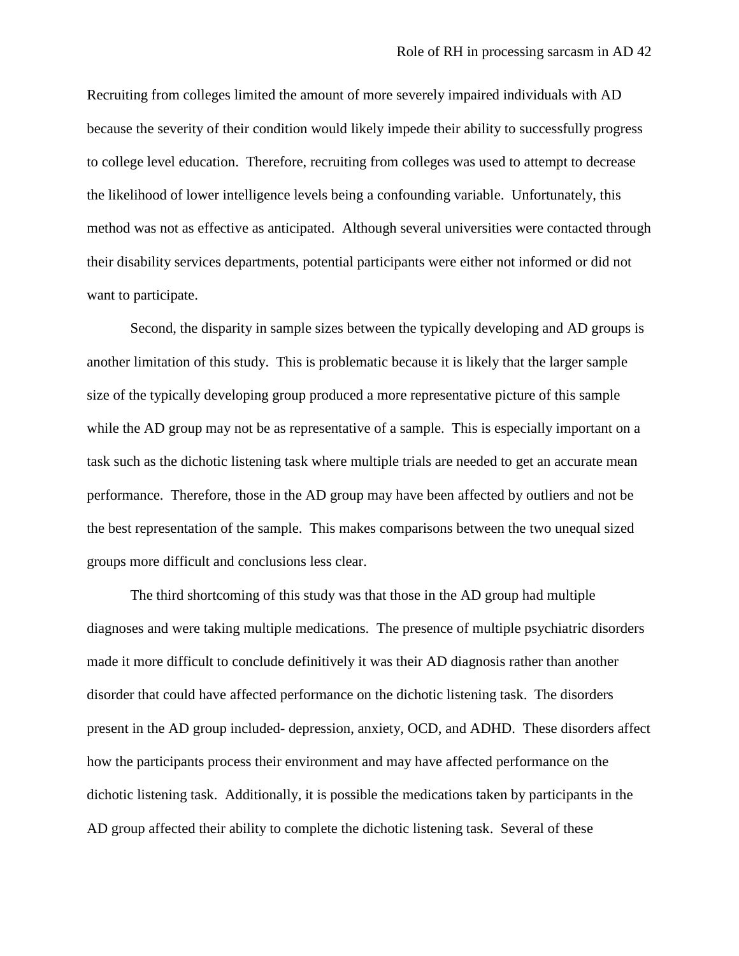Recruiting from colleges limited the amount of more severely impaired individuals with AD because the severity of their condition would likely impede their ability to successfully progress to college level education. Therefore, recruiting from colleges was used to attempt to decrease the likelihood of lower intelligence levels being a confounding variable. Unfortunately, this method was not as effective as anticipated. Although several universities were contacted through their disability services departments, potential participants were either not informed or did not want to participate.

Second, the disparity in sample sizes between the typically developing and AD groups is another limitation of this study. This is problematic because it is likely that the larger sample size of the typically developing group produced a more representative picture of this sample while the AD group may not be as representative of a sample. This is especially important on a task such as the dichotic listening task where multiple trials are needed to get an accurate mean performance. Therefore, those in the AD group may have been affected by outliers and not be the best representation of the sample. This makes comparisons between the two unequal sized groups more difficult and conclusions less clear.

The third shortcoming of this study was that those in the AD group had multiple diagnoses and were taking multiple medications. The presence of multiple psychiatric disorders made it more difficult to conclude definitively it was their AD diagnosis rather than another disorder that could have affected performance on the dichotic listening task. The disorders present in the AD group included- depression, anxiety, OCD, and ADHD. These disorders affect how the participants process their environment and may have affected performance on the dichotic listening task. Additionally, it is possible the medications taken by participants in the AD group affected their ability to complete the dichotic listening task. Several of these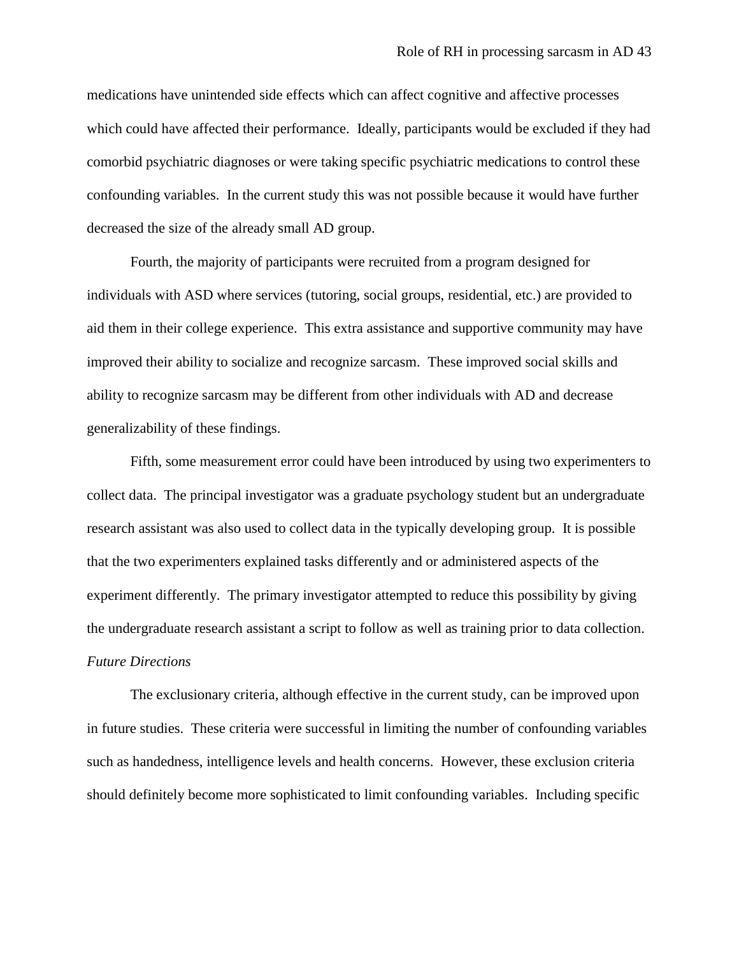medications have unintended side effects which can affect cognitive and affective processes which could have affected their performance. Ideally, participants would be excluded if they had comorbid psychiatric diagnoses or were taking specific psychiatric medications to control these confounding variables. In the current study this was not possible because it would have further decreased the size of the already small AD group.

Fourth, the majority of participants were recruited from a program designed for individuals with ASD where services (tutoring, social groups, residential, etc.) are provided to aid them in their college experience. This extra assistance and supportive community may have improved their ability to socialize and recognize sarcasm. These improved social skills and ability to recognize sarcasm may be different from other individuals with AD and decrease generalizability of these findings.

Fifth, some measurement error could have been introduced by using two experimenters to collect data. The principal investigator was a graduate psychology student but an undergraduate research assistant was also used to collect data in the typically developing group. It is possible that the two experimenters explained tasks differently and or administered aspects of the experiment differently. The primary investigator attempted to reduce this possibility by giving the undergraduate research assistant a script to follow as well as training prior to data collection. *Future Directions*

The exclusionary criteria, although effective in the current study, can be improved upon in future studies. These criteria were successful in limiting the number of confounding variables such as handedness, intelligence levels and health concerns. However, these exclusion criteria should definitely become more sophisticated to limit confounding variables. Including specific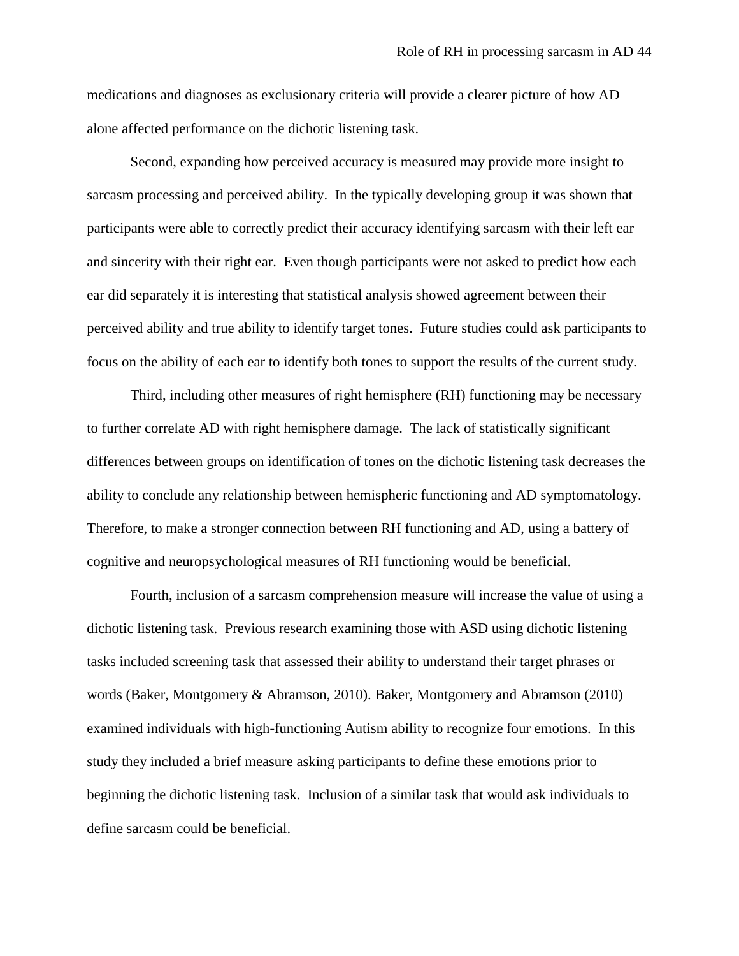medications and diagnoses as exclusionary criteria will provide a clearer picture of how AD alone affected performance on the dichotic listening task.

Second, expanding how perceived accuracy is measured may provide more insight to sarcasm processing and perceived ability. In the typically developing group it was shown that participants were able to correctly predict their accuracy identifying sarcasm with their left ear and sincerity with their right ear. Even though participants were not asked to predict how each ear did separately it is interesting that statistical analysis showed agreement between their perceived ability and true ability to identify target tones. Future studies could ask participants to focus on the ability of each ear to identify both tones to support the results of the current study.

Third, including other measures of right hemisphere (RH) functioning may be necessary to further correlate AD with right hemisphere damage. The lack of statistically significant differences between groups on identification of tones on the dichotic listening task decreases the ability to conclude any relationship between hemispheric functioning and AD symptomatology. Therefore, to make a stronger connection between RH functioning and AD, using a battery of cognitive and neuropsychological measures of RH functioning would be beneficial.

Fourth, inclusion of a sarcasm comprehension measure will increase the value of using a dichotic listening task. Previous research examining those with ASD using dichotic listening tasks included screening task that assessed their ability to understand their target phrases or words (Baker, Montgomery & Abramson, 2010). Baker, Montgomery and Abramson (2010) examined individuals with high-functioning Autism ability to recognize four emotions. In this study they included a brief measure asking participants to define these emotions prior to beginning the dichotic listening task. Inclusion of a similar task that would ask individuals to define sarcasm could be beneficial.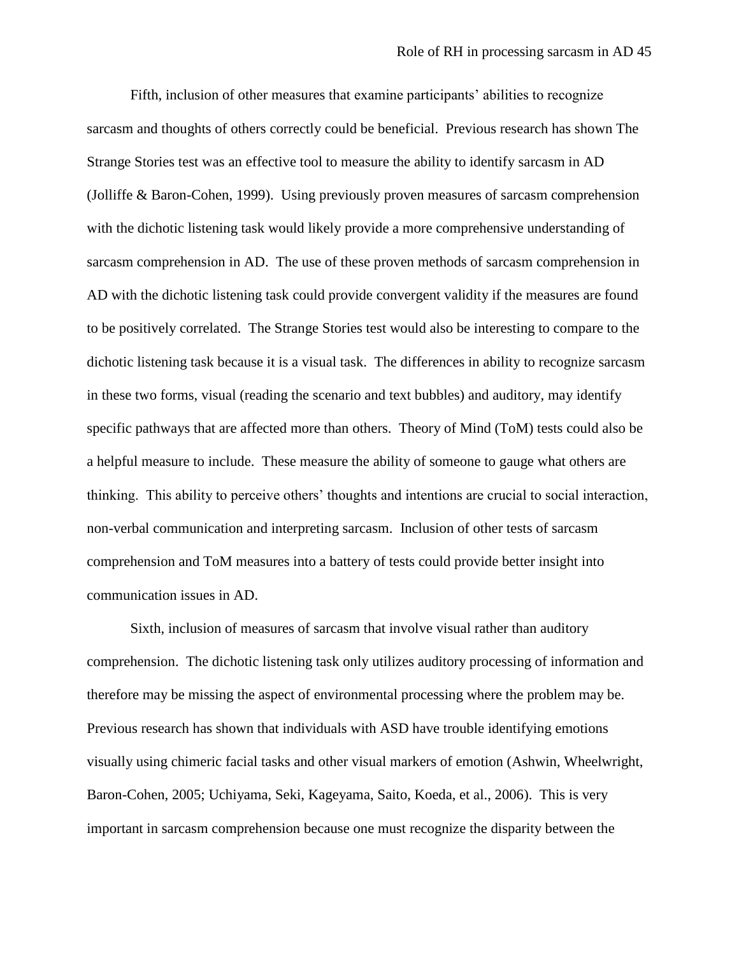Fifth, inclusion of other measures that examine participants" abilities to recognize sarcasm and thoughts of others correctly could be beneficial. Previous research has shown The Strange Stories test was an effective tool to measure the ability to identify sarcasm in AD (Jolliffe & Baron-Cohen, 1999). Using previously proven measures of sarcasm comprehension with the dichotic listening task would likely provide a more comprehensive understanding of sarcasm comprehension in AD. The use of these proven methods of sarcasm comprehension in AD with the dichotic listening task could provide convergent validity if the measures are found to be positively correlated. The Strange Stories test would also be interesting to compare to the dichotic listening task because it is a visual task. The differences in ability to recognize sarcasm in these two forms, visual (reading the scenario and text bubbles) and auditory, may identify specific pathways that are affected more than others. Theory of Mind (ToM) tests could also be a helpful measure to include. These measure the ability of someone to gauge what others are thinking. This ability to perceive others" thoughts and intentions are crucial to social interaction, non-verbal communication and interpreting sarcasm. Inclusion of other tests of sarcasm comprehension and ToM measures into a battery of tests could provide better insight into communication issues in AD.

Sixth, inclusion of measures of sarcasm that involve visual rather than auditory comprehension. The dichotic listening task only utilizes auditory processing of information and therefore may be missing the aspect of environmental processing where the problem may be. Previous research has shown that individuals with ASD have trouble identifying emotions visually using chimeric facial tasks and other visual markers of emotion (Ashwin, Wheelwright, Baron-Cohen, 2005; Uchiyama, Seki, Kageyama, Saito, Koeda, et al., 2006). This is very important in sarcasm comprehension because one must recognize the disparity between the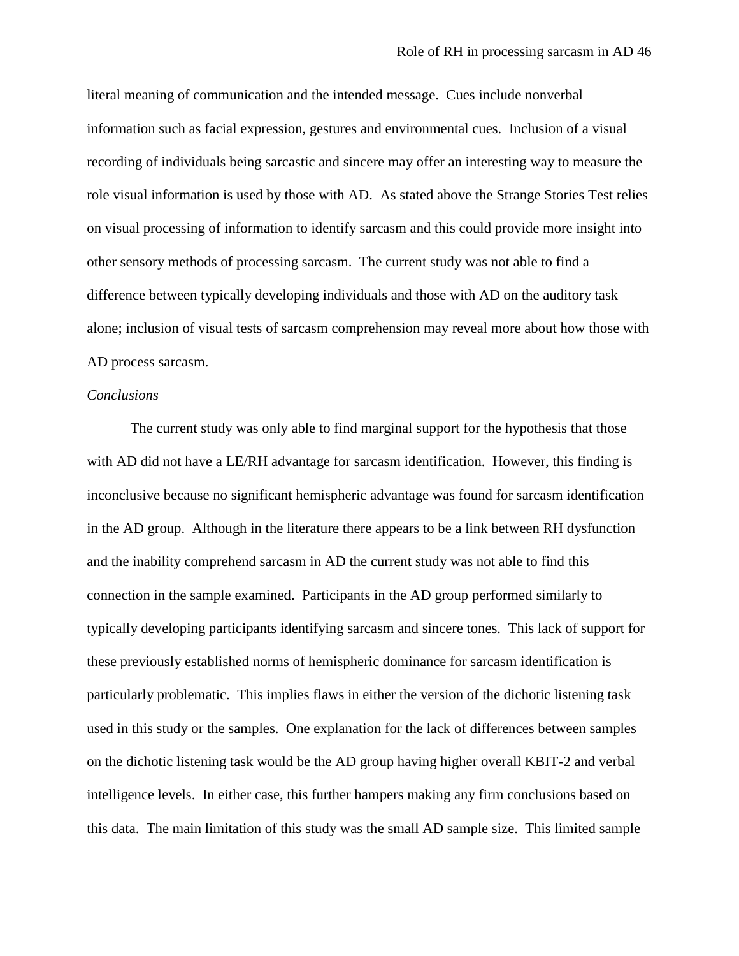literal meaning of communication and the intended message. Cues include nonverbal information such as facial expression, gestures and environmental cues. Inclusion of a visual recording of individuals being sarcastic and sincere may offer an interesting way to measure the role visual information is used by those with AD. As stated above the Strange Stories Test relies on visual processing of information to identify sarcasm and this could provide more insight into other sensory methods of processing sarcasm. The current study was not able to find a difference between typically developing individuals and those with AD on the auditory task alone; inclusion of visual tests of sarcasm comprehension may reveal more about how those with AD process sarcasm.

#### *Conclusions*

The current study was only able to find marginal support for the hypothesis that those with AD did not have a LE/RH advantage for sarcasm identification. However, this finding is inconclusive because no significant hemispheric advantage was found for sarcasm identification in the AD group. Although in the literature there appears to be a link between RH dysfunction and the inability comprehend sarcasm in AD the current study was not able to find this connection in the sample examined. Participants in the AD group performed similarly to typically developing participants identifying sarcasm and sincere tones. This lack of support for these previously established norms of hemispheric dominance for sarcasm identification is particularly problematic. This implies flaws in either the version of the dichotic listening task used in this study or the samples. One explanation for the lack of differences between samples on the dichotic listening task would be the AD group having higher overall KBIT-2 and verbal intelligence levels. In either case, this further hampers making any firm conclusions based on this data. The main limitation of this study was the small AD sample size. This limited sample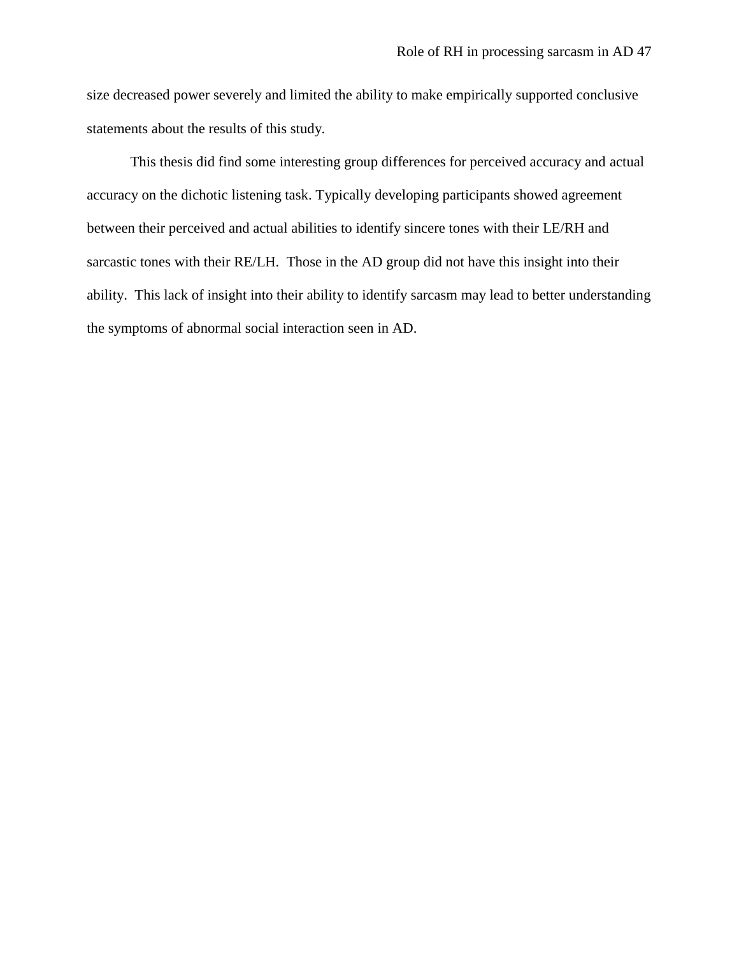size decreased power severely and limited the ability to make empirically supported conclusive statements about the results of this study.

This thesis did find some interesting group differences for perceived accuracy and actual accuracy on the dichotic listening task. Typically developing participants showed agreement between their perceived and actual abilities to identify sincere tones with their LE/RH and sarcastic tones with their RE/LH. Those in the AD group did not have this insight into their ability. This lack of insight into their ability to identify sarcasm may lead to better understanding the symptoms of abnormal social interaction seen in AD.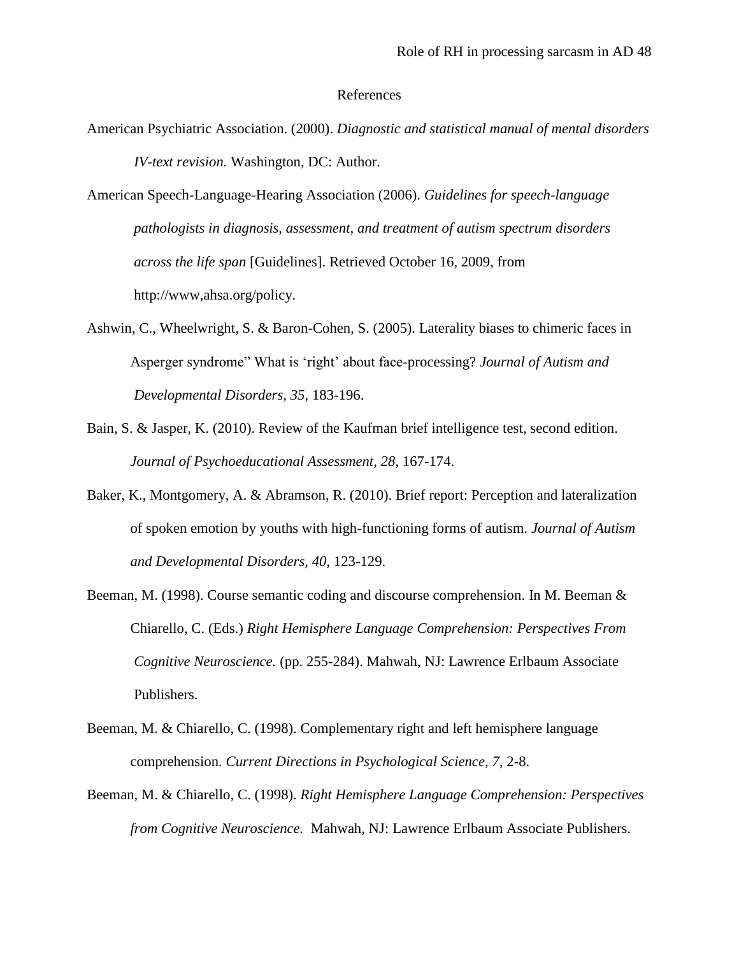#### References

- American Psychiatric Association. (2000). *Diagnostic and statistical manual of mental disorders IV-text revision.* Washington, DC: Author.
- American Speech-Language-Hearing Association (2006). *Guidelines for speech-language pathologists in diagnosis, assessment, and treatment of autism spectrum disorders across the life span* [Guidelines]. Retrieved October 16, 2009, from http://www,ahsa.org/policy.
- Ashwin, C., Wheelwright, S. & Baron-Cohen, S. (2005). Laterality biases to chimeric faces in Asperger syndrome" What is "right" about face-processing? *Journal of Autism and Developmental Disorders, 35*, 183-196.
- Bain, S. & Jasper, K. (2010). Review of the Kaufman brief intelligence test, second edition. *Journal of Psychoeducational Assessment, 28*, 167-174.
- Baker, K., Montgomery, A. & Abramson, R. (2010). Brief report: Perception and lateralization of spoken emotion by youths with high-functioning forms of autism. *Journal of Autism and Developmental Disorders, 40*, 123-129.
- Beeman, M. (1998). Course semantic coding and discourse comprehension. In M. Beeman & Chiarello, C. (Eds.) *Right Hemisphere Language Comprehension: Perspectives From Cognitive Neuroscience.* (pp. 255-284). Mahwah, NJ: Lawrence Erlbaum Associate Publishers.
- Beeman, M. & Chiarello, C. (1998). Complementary right and left hemisphere language comprehension. *Current Directions in Psychological Science, 7*, 2-8.
- Beeman, M. & Chiarello, C. (1998). *Right Hemisphere Language Comprehension: Perspectives from Cognitive Neuroscience.* Mahwah, NJ: Lawrence Erlbaum Associate Publishers.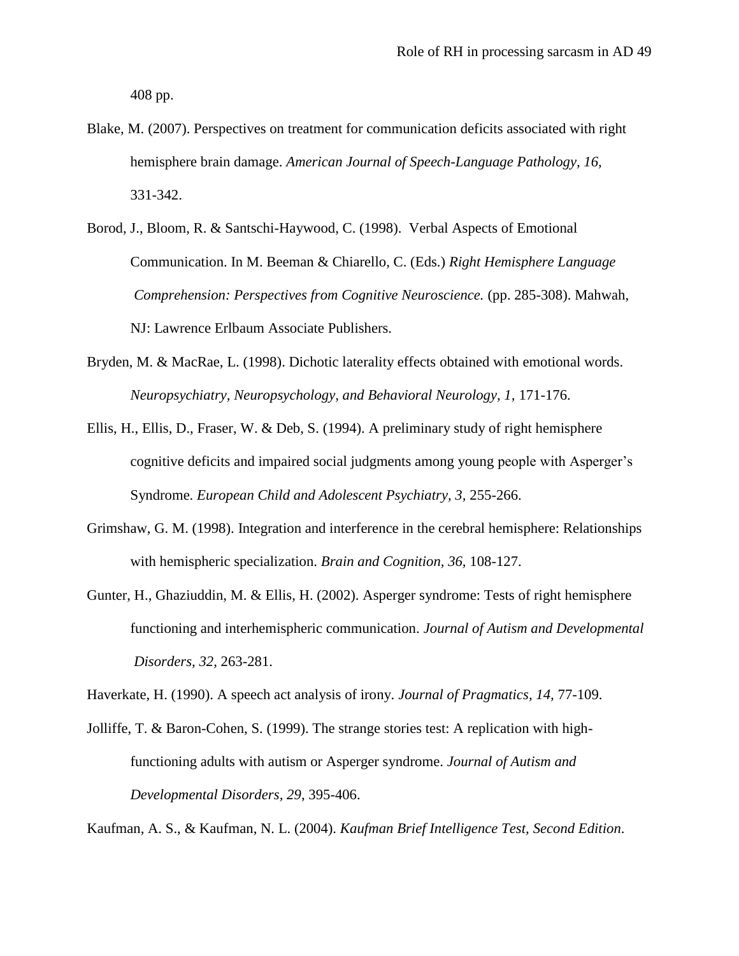408 pp.

- Blake, M. (2007). Perspectives on treatment for communication deficits associated with right hemisphere brain damage. *American Journal of Speech-Language Pathology, 16,* 331-342.
- Borod, J., Bloom, R. & Santschi-Haywood, C. (1998). Verbal Aspects of Emotional Communication. In M. Beeman & Chiarello, C. (Eds.) *Right Hemisphere Language Comprehension: Perspectives from Cognitive Neuroscience.* (pp. 285-308). Mahwah, NJ: Lawrence Erlbaum Associate Publishers.
- Bryden, M. & MacRae, L. (1998). Dichotic laterality effects obtained with emotional words. *Neuropsychiatry, Neuropsychology, and Behavioral Neurology, 1,* 171-176.
- Ellis, H., Ellis, D., Fraser, W. & Deb, S. (1994). A preliminary study of right hemisphere cognitive deficits and impaired social judgments among young people with Asperger"s Syndrome. *European Child and Adolescent Psychiatry, 3,* 255-266.
- Grimshaw, G. M. (1998). Integration and interference in the cerebral hemisphere: Relationships with hemispheric specialization. *Brain and Cognition, 36,* 108-127.
- Gunter, H., Ghaziuddin, M. & Ellis, H. (2002). Asperger syndrome: Tests of right hemisphere functioning and interhemispheric communication. *Journal of Autism and Developmental Disorders, 32*, 263-281.

Haverkate, H. (1990). A speech act analysis of irony. *Journal of Pragmatics, 14,* 77-109.

Jolliffe, T. & Baron-Cohen, S. (1999). The strange stories test: A replication with highfunctioning adults with autism or Asperger syndrome. *Journal of Autism and Developmental Disorders, 29*, 395-406.

Kaufman, A. S., & Kaufman, N. L. (2004). *Kaufman Brief Intelligence Test, Second Edition*.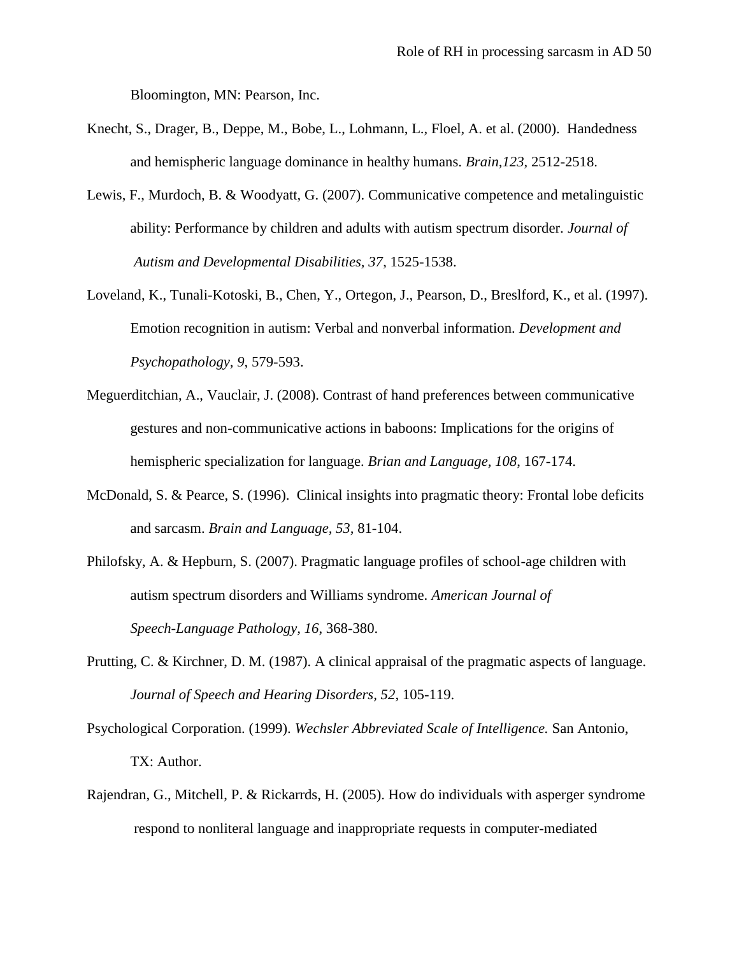Bloomington, MN: Pearson, Inc.

- Knecht, S., Drager, B., Deppe, M., Bobe, L., Lohmann, L., Floel, A. et al. (2000). Handedness and hemispheric language dominance in healthy humans. *Brain,123*, 2512-2518.
- Lewis, F., Murdoch, B. & Woodyatt, G. (2007). Communicative competence and metalinguistic ability: Performance by children and adults with autism spectrum disorder. *Journal of Autism and Developmental Disabilities, 37*, 1525-1538.
- Loveland, K., Tunali-Kotoski, B., Chen, Y., Ortegon, J., Pearson, D., Breslford, K., et al. (1997). Emotion recognition in autism: Verbal and nonverbal information. *Development and Psychopathology, 9*, 579-593.
- Meguerditchian, A., Vauclair, J. (2008). Contrast of hand preferences between communicative gestures and non-communicative actions in baboons: Implications for the origins of hemispheric specialization for language. *Brian and Language, 108*, 167-174.
- McDonald, S. & Pearce, S. (1996). Clinical insights into pragmatic theory: Frontal lobe deficits and sarcasm. *Brain and Language, 53,* 81-104.
- Philofsky, A. & Hepburn, S. (2007). Pragmatic language profiles of school-age children with autism spectrum disorders and Williams syndrome. *American Journal of Speech-Language Pathology, 16*, 368-380.
- Prutting, C. & Kirchner, D. M. (1987). A clinical appraisal of the pragmatic aspects of language. *Journal of Speech and Hearing Disorders, 52*, 105-119.
- Psychological Corporation. (1999). *Wechsler Abbreviated Scale of Intelligence.* San Antonio, TX: Author.
- Rajendran, G., Mitchell, P. & Rickarrds, H. (2005). How do individuals with asperger syndrome respond to nonliteral language and inappropriate requests in computer-mediated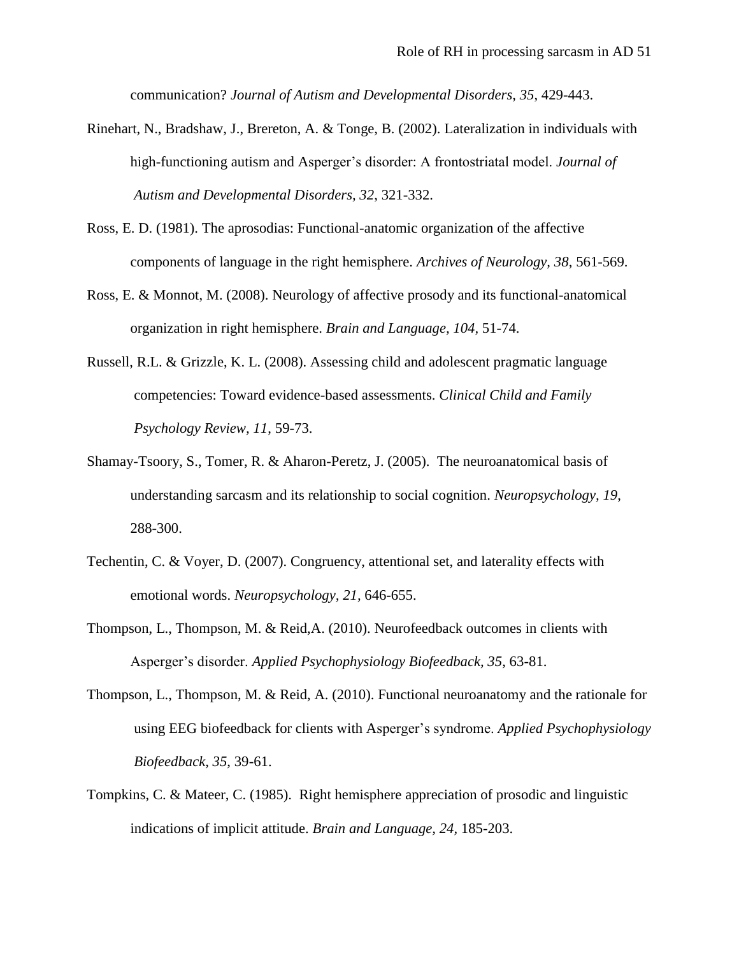communication? *Journal of Autism and Developmental Disorders, 35*, 429-443.

- Rinehart, N., Bradshaw, J., Brereton, A. & Tonge, B. (2002). Lateralization in individuals with high-functioning autism and Asperger"s disorder: A frontostriatal model. *Journal of Autism and Developmental Disorders, 32*, 321-332.
- Ross, E. D. (1981). The aprosodias: Functional-anatomic organization of the affective components of language in the right hemisphere. *Archives of Neurology, 38*, 561-569.
- Ross, E. & Monnot, M. (2008). Neurology of affective prosody and its functional-anatomical organization in right hemisphere. *Brain and Language, 104,* 51-74.
- Russell, R.L. & Grizzle, K. L. (2008). Assessing child and adolescent pragmatic language competencies: Toward evidence-based assessments. *Clinical Child and Family Psychology Review, 11*, 59-73.
- Shamay-Tsoory, S., Tomer, R. & Aharon-Peretz, J. (2005). The neuroanatomical basis of understanding sarcasm and its relationship to social cognition. *Neuropsychology, 19*, 288-300.
- Techentin, C. & Voyer, D. (2007). Congruency, attentional set, and laterality effects with emotional words. *Neuropsychology, 21,* 646-655.
- Thompson, L., Thompson, M. & Reid,A. (2010). Neurofeedback outcomes in clients with Asperger"s disorder. *Applied Psychophysiology Biofeedback, 35*, 63-81.
- Thompson, L., Thompson, M. & Reid, A. (2010). Functional neuroanatomy and the rationale for using EEG biofeedback for clients with Asperger"s syndrome. *Applied Psychophysiology Biofeedback, 35*, 39-61.
- Tompkins, C. & Mateer, C. (1985). Right hemisphere appreciation of prosodic and linguistic indications of implicit attitude. *Brain and Language, 24,* 185-203.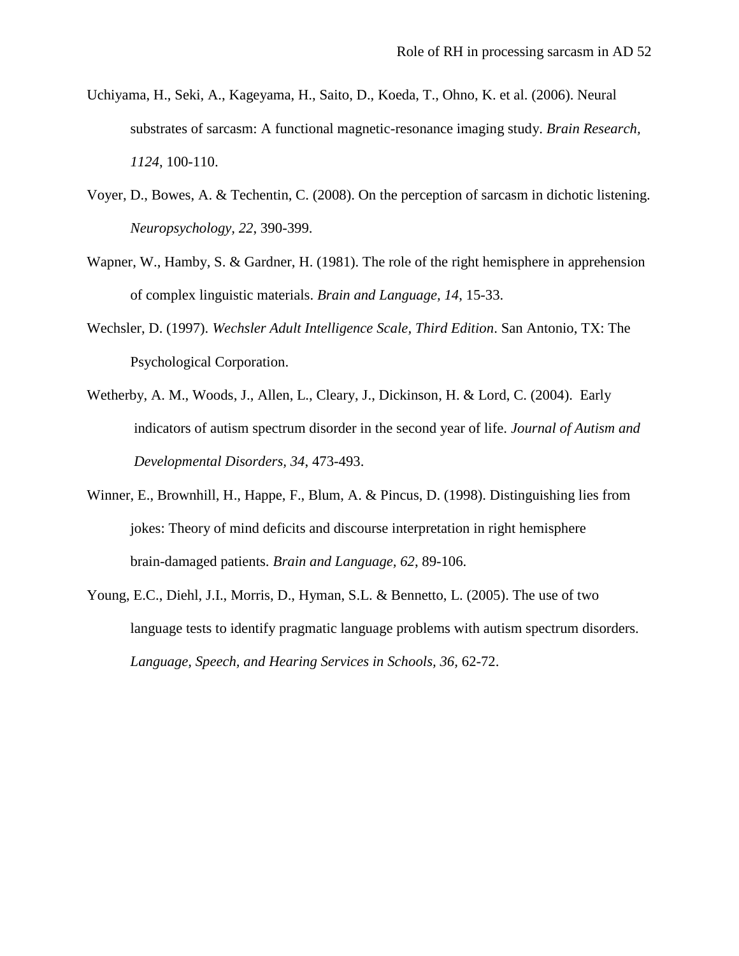- Uchiyama, H., Seki, A., Kageyama, H., Saito, D., Koeda, T., Ohno, K. et al. (2006). Neural substrates of sarcasm: A functional magnetic-resonance imaging study. *Brain Research, 1124*, 100-110.
- Voyer, D., Bowes, A. & Techentin, C. (2008). On the perception of sarcasm in dichotic listening. *Neuropsychology, 22*, 390-399.
- Wapner, W., Hamby, S. & Gardner, H. (1981). The role of the right hemisphere in apprehension of complex linguistic materials. *Brain and Language, 14*, 15-33.
- Wechsler, D. (1997). *Wechsler Adult Intelligence Scale, Third Edition*. San Antonio, TX: The Psychological Corporation.
- Wetherby, A. M., Woods, J., Allen, L., Cleary, J., Dickinson, H. & Lord, C. (2004). Early indicators of autism spectrum disorder in the second year of life. *Journal of Autism and Developmental Disorders, 34*, 473-493.
- Winner, E., Brownhill, H., Happe, F., Blum, A. & Pincus, D. (1998). Distinguishing lies from jokes: Theory of mind deficits and discourse interpretation in right hemisphere brain-damaged patients. *Brain and Language, 62*, 89-106.
- Young, E.C., Diehl, J.I., Morris, D., Hyman, S.L. & Bennetto, L. (2005). The use of two language tests to identify pragmatic language problems with autism spectrum disorders. *Language, Speech, and Hearing Services in Schools, 36,* 62-72.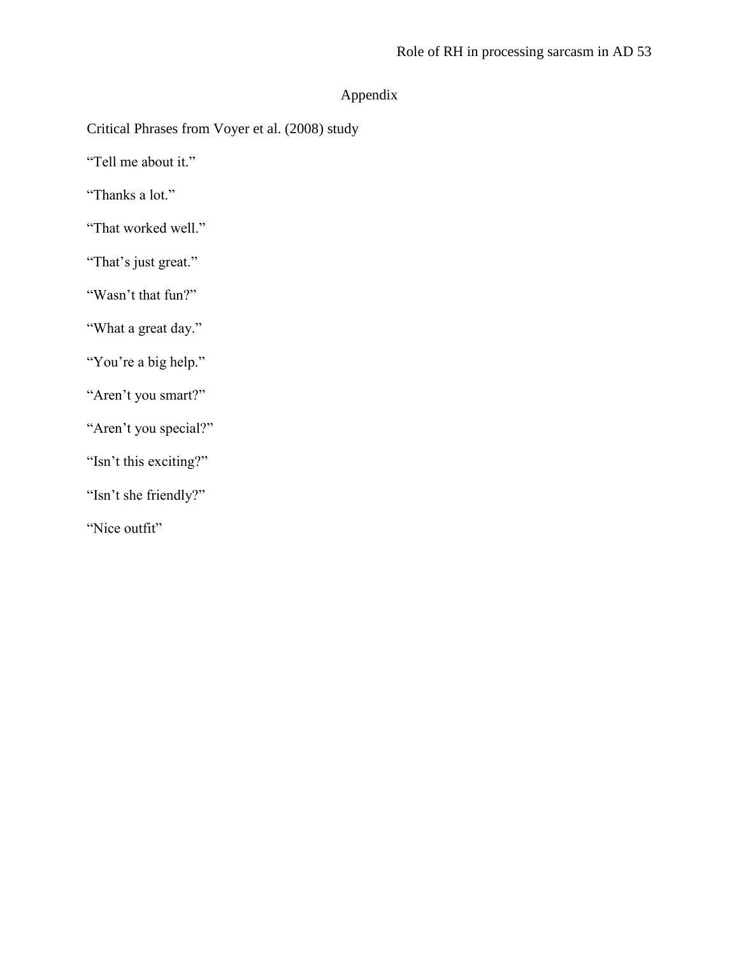# Appendix

Critical Phrases from Voyer et al. (2008) study

"Tell me about it."

"Thanks a lot."

"That worked well."

"That's just great."

"Wasn"t that fun?"

"What a great day."

"You're a big help."

"Aren't you smart?"

"Aren't you special?"

"Isn't this exciting?"

"Isn"t she friendly?"

"Nice outfit"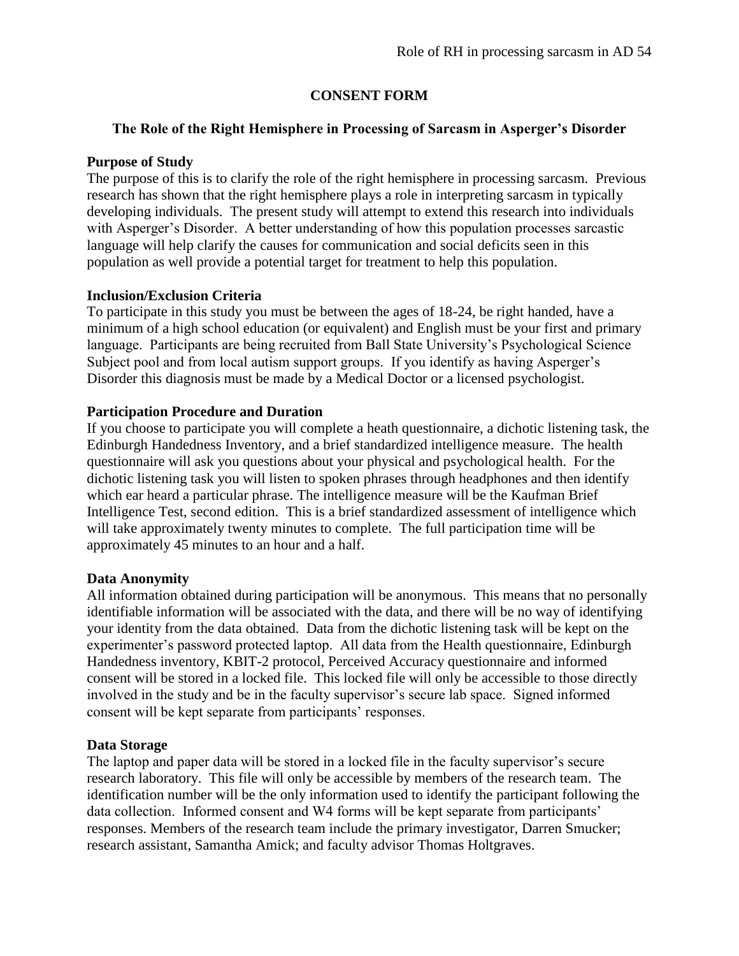# **CONSENT FORM**

# **The Role of the Right Hemisphere in Processing of Sarcasm in Asperger's Disorder**

# **Purpose of Study**

The purpose of this is to clarify the role of the right hemisphere in processing sarcasm. Previous research has shown that the right hemisphere plays a role in interpreting sarcasm in typically developing individuals. The present study will attempt to extend this research into individuals with Asperger"s Disorder. A better understanding of how this population processes sarcastic language will help clarify the causes for communication and social deficits seen in this population as well provide a potential target for treatment to help this population.

# **Inclusion/Exclusion Criteria**

To participate in this study you must be between the ages of 18-24, be right handed, have a minimum of a high school education (or equivalent) and English must be your first and primary language. Participants are being recruited from Ball State University's Psychological Science Subject pool and from local autism support groups. If you identify as having Asperger's Disorder this diagnosis must be made by a Medical Doctor or a licensed psychologist.

# **Participation Procedure and Duration**

If you choose to participate you will complete a heath questionnaire, a dichotic listening task, the Edinburgh Handedness Inventory, and a brief standardized intelligence measure. The health questionnaire will ask you questions about your physical and psychological health. For the dichotic listening task you will listen to spoken phrases through headphones and then identify which ear heard a particular phrase. The intelligence measure will be the Kaufman Brief Intelligence Test, second edition. This is a brief standardized assessment of intelligence which will take approximately twenty minutes to complete. The full participation time will be approximately 45 minutes to an hour and a half.

## **Data Anonymity**

All information obtained during participation will be anonymous. This means that no personally identifiable information will be associated with the data, and there will be no way of identifying your identity from the data obtained. Data from the dichotic listening task will be kept on the experimenter's password protected laptop. All data from the Health questionnaire, Edinburgh Handedness inventory, KBIT-2 protocol, Perceived Accuracy questionnaire and informed consent will be stored in a locked file. This locked file will only be accessible to those directly involved in the study and be in the faculty supervisor's secure lab space. Signed informed consent will be kept separate from participants' responses.

## **Data Storage**

The laptop and paper data will be stored in a locked file in the faculty supervisor"s secure research laboratory. This file will only be accessible by members of the research team. The identification number will be the only information used to identify the participant following the data collection. Informed consent and W4 forms will be kept separate from participants' responses. Members of the research team include the primary investigator, Darren Smucker; research assistant, Samantha Amick; and faculty advisor Thomas Holtgraves.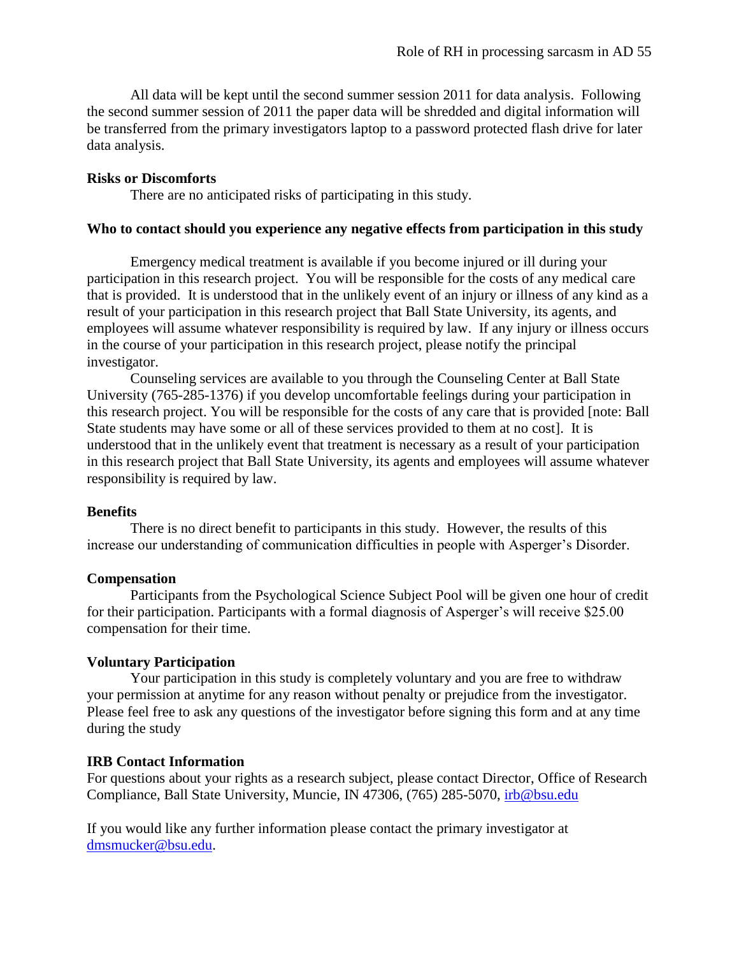All data will be kept until the second summer session 2011 for data analysis. Following the second summer session of 2011 the paper data will be shredded and digital information will be transferred from the primary investigators laptop to a password protected flash drive for later data analysis.

### **Risks or Discomforts**

There are no anticipated risks of participating in this study.

#### **Who to contact should you experience any negative effects from participation in this study**

Emergency medical treatment is available if you become injured or ill during your participation in this research project. You will be responsible for the costs of any medical care that is provided. It is understood that in the unlikely event of an injury or illness of any kind as a result of your participation in this research project that Ball State University, its agents, and employees will assume whatever responsibility is required by law. If any injury or illness occurs in the course of your participation in this research project, please notify the principal investigator.

Counseling services are available to you through the Counseling Center at Ball State University (765-285-1376) if you develop uncomfortable feelings during your participation in this research project. You will be responsible for the costs of any care that is provided [note: Ball State students may have some or all of these services provided to them at no cost]. It is understood that in the unlikely event that treatment is necessary as a result of your participation in this research project that Ball State University, its agents and employees will assume whatever responsibility is required by law.

#### **Benefits**

There is no direct benefit to participants in this study. However, the results of this increase our understanding of communication difficulties in people with Asperger's Disorder.

#### **Compensation**

Participants from the Psychological Science Subject Pool will be given one hour of credit for their participation. Participants with a formal diagnosis of Asperger's will receive \$25.00 compensation for their time.

### **Voluntary Participation**

Your participation in this study is completely voluntary and you are free to withdraw your permission at anytime for any reason without penalty or prejudice from the investigator. Please feel free to ask any questions of the investigator before signing this form and at any time during the study

#### **IRB Contact Information**

For questions about your rights as a research subject, please contact Director, Office of Research Compliance, Ball State University, Muncie, IN 47306, (765) 285-5070, [irb@bsu.edu](mailto:irb@bsu.edu)

If you would like any further information please contact the primary investigator at [dmsmucker@bsu.edu.](mailto:dmsmucker@bsu.edu)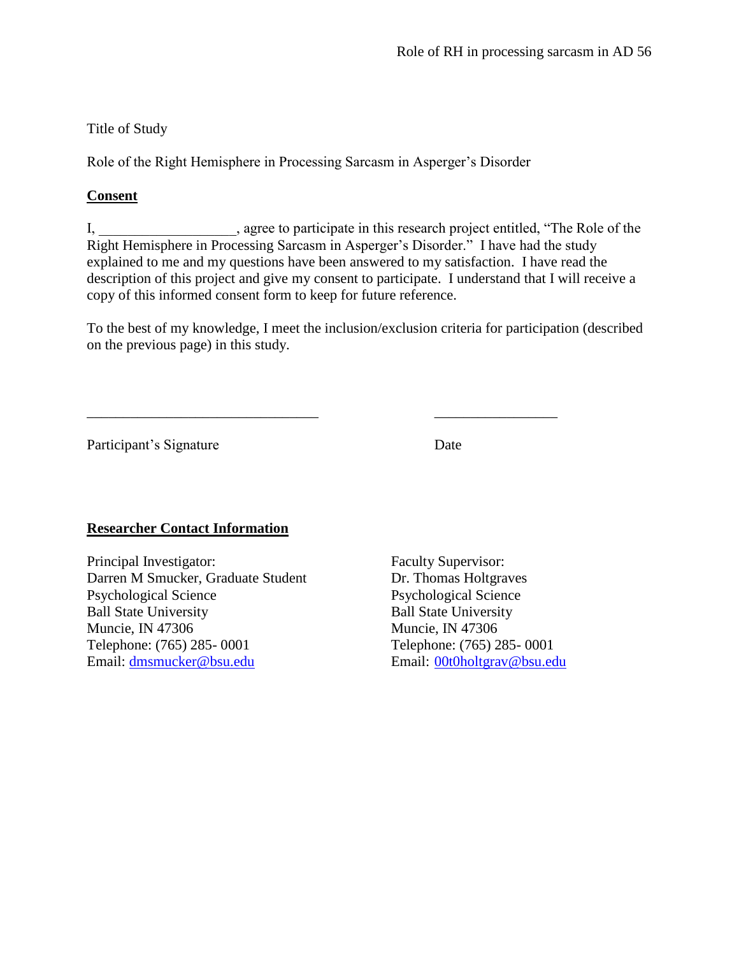# Title of Study

Role of the Right Hemisphere in Processing Sarcasm in Asperger"s Disorder

# **Consent**

I, \_\_\_\_\_\_\_\_\_\_\_\_\_\_\_\_\_\_\_, agree to participate in this research project entitled, "The Role of the Right Hemisphere in Processing Sarcasm in Asperger"s Disorder." I have had the study explained to me and my questions have been answered to my satisfaction. I have read the description of this project and give my consent to participate. I understand that I will receive a copy of this informed consent form to keep for future reference.

To the best of my knowledge, I meet the inclusion/exclusion criteria for participation (described on the previous page) in this study.

\_\_\_\_\_\_\_\_\_\_\_\_\_\_\_\_\_\_\_\_\_\_\_\_\_\_\_\_\_\_\_\_ \_\_\_\_\_\_\_\_\_\_\_\_\_\_\_\_\_

Participant's Signature Date

# **Researcher Contact Information**

Principal Investigator: Faculty Supervisor: Darren M Smucker, Graduate Student Dr. Thomas Holtgraves Psychological Science Psychological Science Ball State University Ball State University Muncie, IN 47306 Muncie, IN 47306 Telephone: (765) 285- 0001 Telephone: (765) 285- 0001 Email: [dmsmucker@bsu.edu](mailto:dmsmucker@bsu.edu) Email: [00t0holtgrav@bsu.edu](mailto:00t0holtgrav@bsu.edu)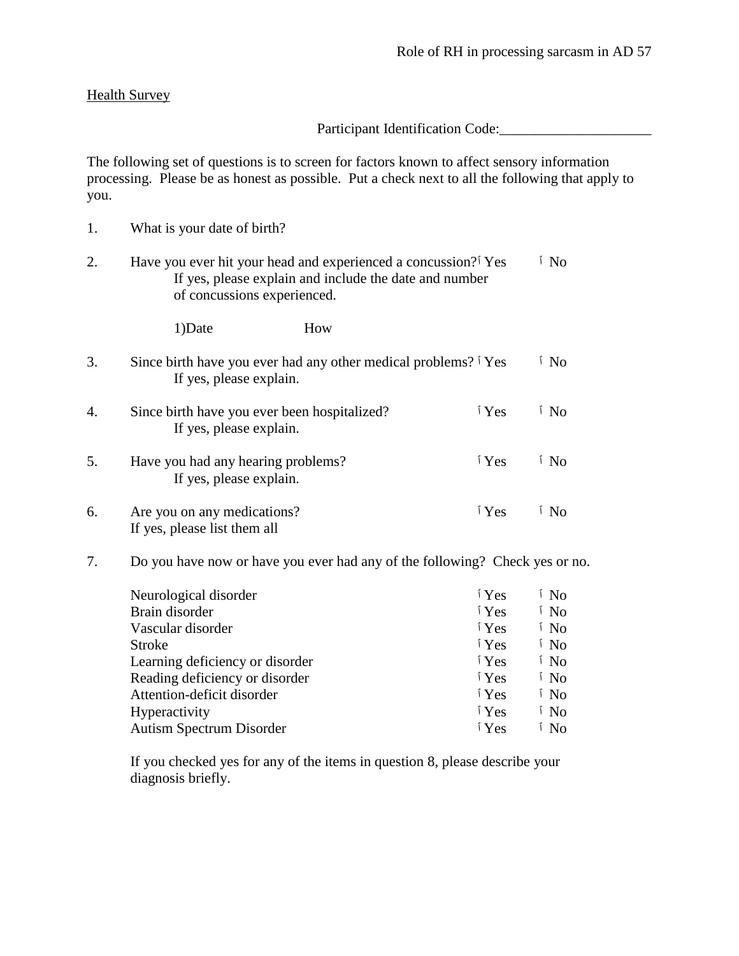### Health Survey

Participant Identification Code:

The following set of questions is to screen for factors known to affect sensory information processing. Please be as honest as possible. Put a check next to all the following that apply to you.

1. What is your date of birth? 2. Have you ever hit your head and experienced a concussion?<sup>†</sup> Yes <sup>i</sup> No If yes, please explain and include the date and number of concussions experienced. 1)Date How 3. Since birth have you ever had any other medical problems?  $\frac{1}{1}$  Yes  $\frac{1}{1}$  No If yes, please explain. 4. Since birth have you ever been hospitalized? **The interval** i Yes *No* If yes, please explain. 5. Have you had any hearing problems? **T** Yes *No* If yes, please explain. 6. Are you on any medications? **T** Yes *No* If yes, please list them all 7. Do you have now or have you ever had any of the following? Check yes or no.

| Neurological disorder           | i Yes           | í No            |
|---------------------------------|-----------------|-----------------|
| Brain disorder                  | i Yes           | <sup>i</sup> No |
| Vascular disorder               | i Yes           | <sup>i</sup> No |
| <b>Stroke</b>                   | $\mathbf{Y}$ es | <sup>i</sup> No |
| Learning deficiency or disorder | $\mathbf{Y}$ es | <sup>i</sup> No |
| Reading deficiency or disorder  | i Yes           | <sup>i</sup> No |
| Attention-deficit disorder      | i Yes           | <sup>i</sup> No |
| Hyperactivity                   | i Yes           | <sup>i</sup> No |
| <b>Autism Spectrum Disorder</b> | i Yes           | <sup>i</sup> No |

If you checked yes for any of the items in question 8, please describe your diagnosis briefly.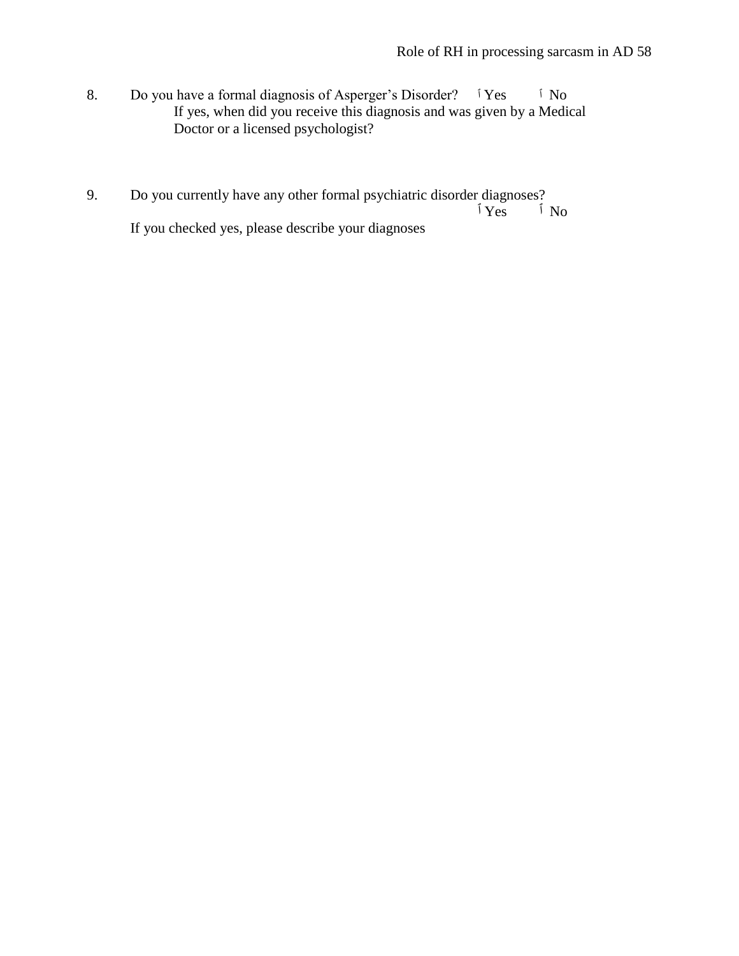- 8. Do you have a formal diagnosis of Asperger's Disorder? *I* Yes *I* No If yes, when did you receive this diagnosis and was given by a Medical Doctor or a licensed psychologist?
- 9. Do you currently have any other formal psychiatric disorder diagnoses? No ٱ Yes ٱ If you checked yes, please describe your diagnoses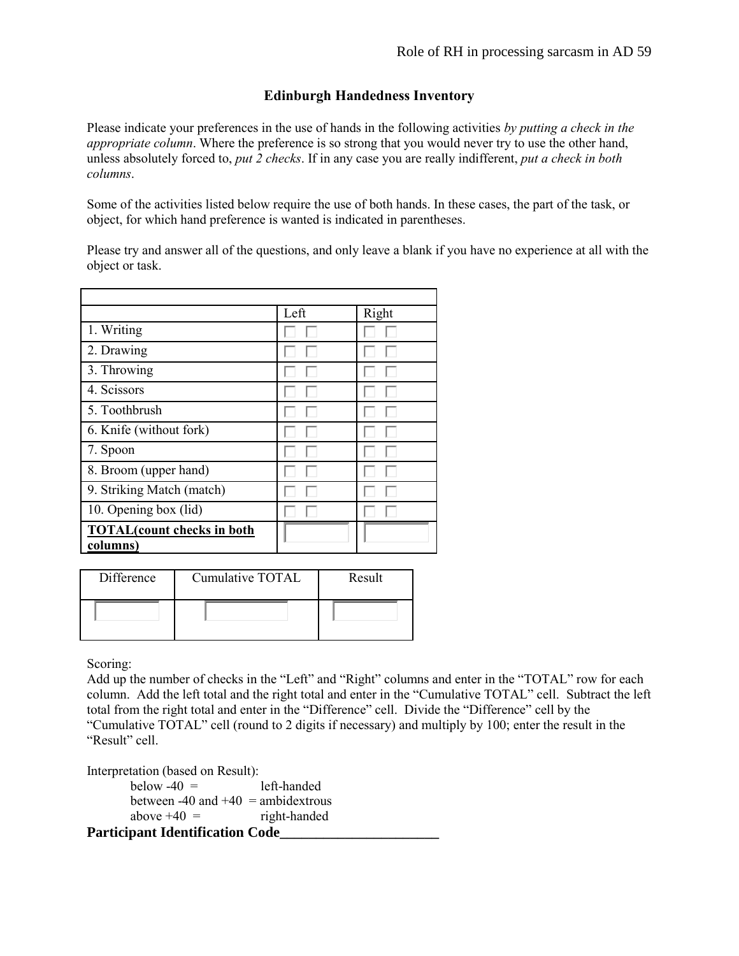# **Edinburgh Handedness Inventory**

Please indicate your preferences in the use of hands in the following activities *by putting a check in the appropriate column*. Where the preference is so strong that you would never try to use the other hand, unless absolutely forced to, *put 2 checks*. If in any case you are really indifferent, *put a check in both columns*.

Some of the activities listed below require the use of both hands. In these cases, the part of the task, or object, for which hand preference is wanted is indicated in parentheses.

Please try and answer all of the questions, and only leave a blank if you have no experience at all with the object or task.

|                                                | Left | Right |
|------------------------------------------------|------|-------|
| 1. Writing                                     |      |       |
| 2. Drawing                                     |      |       |
| 3. Throwing                                    |      |       |
| 4. Scissors                                    |      |       |
| 5. Toothbrush                                  |      |       |
| 6. Knife (without fork)                        |      |       |
| 7. Spoon                                       |      |       |
| 8. Broom (upper hand)                          |      |       |
| 9. Striking Match (match)                      |      |       |
| 10. Opening box (lid)                          |      |       |
| <b>TOTAL</b> (count checks in both<br>columns) |      |       |
|                                                |      |       |

| Difference | Cumulative TOTAL | Result |
|------------|------------------|--------|
|            |                  |        |

Scoring:

Add up the number of checks in the "Left" and "Right" columns and enter in the "TOTAL" row for each column. Add the left total and the right total and enter in the "Cumulative TOTAL" cell. Subtract the left total from the right total and enter in the "Difference" cell. Divide the "Difference" cell by the "Cumulative TOTAL" cell (round to 2 digits if necessary) and multiply by 100; enter the result in the "Result" cell.

Interpretation (based on Result):

 $below -40 =$  left-handed between -40 and  $+40$  = ambidextrous above  $+40 =$  right-handed **Participant Identification Code\_\_\_\_\_\_\_\_\_\_\_\_\_\_\_\_\_\_\_\_\_\_**